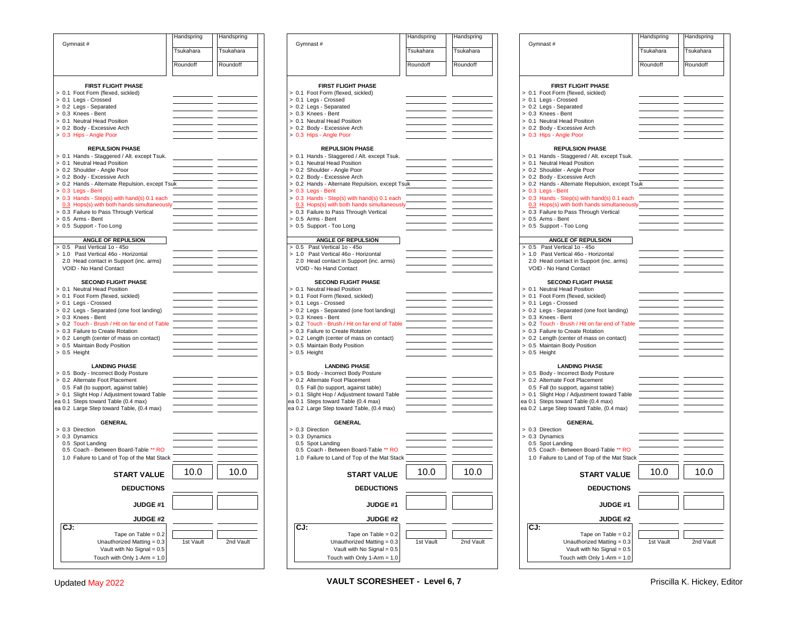|                                                                                  | Handspring | Handspring |  |  |  |  |  |  |  |  |
|----------------------------------------------------------------------------------|------------|------------|--|--|--|--|--|--|--|--|
| Gymnast#                                                                         | Tsukahara  | Tsukahara  |  |  |  |  |  |  |  |  |
|                                                                                  | Roundoff   | Roundoff   |  |  |  |  |  |  |  |  |
|                                                                                  |            |            |  |  |  |  |  |  |  |  |
| <b>FIRST FLIGHT PHASE</b>                                                        |            |            |  |  |  |  |  |  |  |  |
| > 0.1 Foot Form (flexed, sickled)                                                |            |            |  |  |  |  |  |  |  |  |
| > 0.1 Legs - Crossed                                                             |            |            |  |  |  |  |  |  |  |  |
| > 0.2 Legs - Separated<br>> 0.3 Knees - Bent                                     |            |            |  |  |  |  |  |  |  |  |
| > 0.1 Neutral Head Position                                                      |            |            |  |  |  |  |  |  |  |  |
| > 0.2 Body - Excessive Arch                                                      |            |            |  |  |  |  |  |  |  |  |
| > 0.3 Hips - Angle Poor                                                          |            |            |  |  |  |  |  |  |  |  |
| <b>REPULSION PHASE</b>                                                           |            |            |  |  |  |  |  |  |  |  |
| > 0.1 Hands - Staggered / Alt. except Tsuk.                                      |            |            |  |  |  |  |  |  |  |  |
| > 0.1 Neutral Head Position<br>> 0.2 Shoulder - Angle Poor                       |            |            |  |  |  |  |  |  |  |  |
| > 0.2 Body - Excessive Arch                                                      |            |            |  |  |  |  |  |  |  |  |
| > 0.2 Hands - Alternate Repulsion, except Tsuk                                   |            |            |  |  |  |  |  |  |  |  |
| $> 0.3$ Legs - Bent<br>> 0.3 Hands - Step(s) with hand(s) 0.1 each               |            |            |  |  |  |  |  |  |  |  |
| 0.3 Hops(s) with both hands simultaneously                                       |            |            |  |  |  |  |  |  |  |  |
| > 0.3 Failure to Pass Through Vertical                                           |            |            |  |  |  |  |  |  |  |  |
| > 0.5 Arms - Bent                                                                |            |            |  |  |  |  |  |  |  |  |
| > 0.5 Support - Too Long                                                         |            |            |  |  |  |  |  |  |  |  |
| <b>ANGLE OF REPULSION</b>                                                        |            |            |  |  |  |  |  |  |  |  |
| > 0.5 Past Vertical 1o - 45o<br>> 1.0 Past Vertical 46o - Horizontal             |            |            |  |  |  |  |  |  |  |  |
| 2.0 Head contact in Support (inc. arms)                                          |            |            |  |  |  |  |  |  |  |  |
| VOID - No Hand Contact                                                           |            |            |  |  |  |  |  |  |  |  |
| <b>SECOND FLIGHT PHASE</b>                                                       |            |            |  |  |  |  |  |  |  |  |
| > 0.1 Neutral Head Position                                                      |            |            |  |  |  |  |  |  |  |  |
| > 0.1 Foot Form (flexed, sickled)                                                |            |            |  |  |  |  |  |  |  |  |
| > 0.1 Legs - Crossed                                                             |            |            |  |  |  |  |  |  |  |  |
| > 0.2 Legs - Separated (one foot landing)<br>> 0.3 Knees - Bent                  |            |            |  |  |  |  |  |  |  |  |
| > 0.2 Touch - Brush / Hit on far end of Table                                    |            |            |  |  |  |  |  |  |  |  |
| > 0.3 Failure to Create Rotation                                                 |            |            |  |  |  |  |  |  |  |  |
| > 0.2 Length (center of mass on contact)<br>> 0.5 Maintain Body Position         |            |            |  |  |  |  |  |  |  |  |
| > 0.5 Height                                                                     |            |            |  |  |  |  |  |  |  |  |
|                                                                                  |            |            |  |  |  |  |  |  |  |  |
| <b>LANDING PHASE</b>                                                             |            |            |  |  |  |  |  |  |  |  |
| > 0.5 Body - Incorrect Body Posture<br>> 0.2 Alternate Foot Placement            |            |            |  |  |  |  |  |  |  |  |
| 0.5 Fall (to support, against table)                                             |            |            |  |  |  |  |  |  |  |  |
| > 0.1 Slight Hop / Adjustment toward Table                                       |            |            |  |  |  |  |  |  |  |  |
| ea 0.1 Steps toward Table (0.4 max)<br>ea 0.2 Large Step toward Table, (0.4 max) |            |            |  |  |  |  |  |  |  |  |
|                                                                                  |            |            |  |  |  |  |  |  |  |  |
| <b>GENERAL</b>                                                                   |            |            |  |  |  |  |  |  |  |  |
| > 0.3 Direction<br>> 0.3 Dynamics                                                |            |            |  |  |  |  |  |  |  |  |
| 0.5 Spot Landing                                                                 |            |            |  |  |  |  |  |  |  |  |
| 0.5 Coach - Between Board-Table ** RO                                            |            |            |  |  |  |  |  |  |  |  |
| 1.0 Failure to Land of Top of the Mat Stack                                      |            |            |  |  |  |  |  |  |  |  |
| 10.0<br>10.0<br>START VALUE                                                      |            |            |  |  |  |  |  |  |  |  |
|                                                                                  |            |            |  |  |  |  |  |  |  |  |
| <b>DEDUCTIONS</b>                                                                |            |            |  |  |  |  |  |  |  |  |
| <b>JUDGE #1</b>                                                                  |            |            |  |  |  |  |  |  |  |  |
| JUDGE #2                                                                         |            |            |  |  |  |  |  |  |  |  |
| CJ:                                                                              |            |            |  |  |  |  |  |  |  |  |
| Tape on Table = $0.2$                                                            |            |            |  |  |  |  |  |  |  |  |
| Unauthorized Matting = 0.3<br>Vault with No Signal = 0.5                         | 1st Vault  | 2nd Vault  |  |  |  |  |  |  |  |  |
| Touch with Only 1-Arm = 1.0                                                      |            |            |  |  |  |  |  |  |  |  |
|                                                                                  |            |            |  |  |  |  |  |  |  |  |

| Gymnast#                                                                         | Handspring | Handspring | Gymnast#                                                                         | Handspring | Handspring | Gymnast#                                                            | Handspring | Handspring |
|----------------------------------------------------------------------------------|------------|------------|----------------------------------------------------------------------------------|------------|------------|---------------------------------------------------------------------|------------|------------|
|                                                                                  | Tsukahara  | Tsukahara  |                                                                                  | Tsukahara  | Tsukahara  |                                                                     | Tsukahara  | Tsukahara  |
|                                                                                  | Roundoff   | Roundoff   |                                                                                  | Roundoff   | Roundoff   |                                                                     | Roundoff   | Roundoff   |
|                                                                                  |            |            |                                                                                  |            |            |                                                                     |            |            |
| <b>FIRST FLIGHT PHASE</b>                                                        |            |            | FIRST FLIGHT PHASE                                                               |            |            | <b>FIRST FLIGHT PHASE</b>                                           |            |            |
| > 0.1 Foot Form (flexed, sickled)                                                |            |            | > 0.1 Foot Form (flexed, sickled)                                                |            |            | > 0.1 Foot Form (flexed, sickled)                                   |            |            |
| > 0.1 Legs - Crossed                                                             |            |            | > 0.1 Legs - Crossed                                                             |            |            | > 0.1 Legs - Crossed                                                |            |            |
| > 0.2 Legs - Separated                                                           |            |            | > 0.2 Legs - Separated                                                           |            |            | > 0.2 Legs - Separated                                              |            |            |
| > 0.3 Knees - Bent                                                               |            |            | > 0.3 Knees - Bent                                                               |            |            | > 0.3 Knees - Bent                                                  |            |            |
| > 0.1 Neutral Head Position                                                      |            |            | > 0.1 Neutral Head Position                                                      |            |            | > 0.1 Neutral Head Position                                         |            |            |
| > 0.2 Body - Excessive Arch                                                      |            |            | > 0.2 Body - Excessive Arch                                                      |            |            | > 0.2 Body - Excessive Arch                                         |            |            |
| > 0.3 Hips - Angle Poor                                                          |            |            | > 0.3 Hips - Angle Poor                                                          |            |            | > 0.3 Hips - Angle Poor                                             |            |            |
| <b>REPULSION PHASE</b>                                                           |            |            | <b>REPULSION PHASE</b>                                                           |            |            | <b>REPULSION PHASE</b>                                              |            |            |
| > 0.1 Hands - Staggered / Alt. except Tsuk.                                      |            |            | > 0.1 Hands - Staggered / Alt. except Tsuk.                                      |            |            | > 0.1 Hands - Staggered / Alt. except Tsuk.                         |            |            |
| > 0.1 Neutral Head Position                                                      |            |            | > 0.1 Neutral Head Position                                                      |            |            | > 0.1 Neutral Head Position                                         |            |            |
| > 0.2 Shoulder - Angle Poor                                                      |            |            | > 0.2 Shoulder - Angle Poor                                                      |            |            | > 0.2 Shoulder - Angle Poor                                         |            |            |
| > 0.2 Body - Excessive Arch                                                      |            |            | > 0.2 Body - Excessive Arch                                                      |            |            | > 0.2 Body - Excessive Arch                                         |            |            |
| > 0.2 Hands - Alternate Repulsion, except Tsuk                                   |            |            | > 0.2 Hands - Alternate Repulsion, except Tsuk                                   |            |            | > 0.2 Hands - Alternate Repulsion, except Tsuk                      |            |            |
| $> 0.3$ Legs - Bent                                                              |            |            | $> 0.3$ Legs - Bent                                                              |            |            | $> 0.3$ Legs - Bent                                                 |            |            |
| > 0.3 Hands - Step(s) with hand(s) 0.1 each                                      |            |            | > 0.3 Hands - Step(s) with hand(s) 0.1 each                                      |            |            | > 0.3 Hands - Step(s) with hand(s) 0.1 each                         |            |            |
| 0.3 Hops(s) with both hands simultaneously                                       |            |            | 0.3 Hops(s) with both hands simultaneously                                       |            |            | 0.3 Hops(s) with both hands simultaneously                          |            |            |
| > 0.3 Failure to Pass Through Vertical                                           |            |            | > 0.3 Failure to Pass Through Vertical                                           |            |            | > 0.3 Failure to Pass Through Vertical                              |            |            |
| > 0.5 Arms - Bent                                                                |            |            | > 0.5 Arms - Bent                                                                |            |            | > 0.5 Arms - Bent                                                   |            |            |
| > 0.5 Support - Too Long                                                         |            |            | > 0.5 Support - Too Long                                                         |            |            | > 0.5 Support - Too Long                                            |            |            |
| ANGLE OF REPULSION                                                               |            |            | ANGLE OF REPULSION                                                               |            |            | <b>ANGLE OF REPULSION</b>                                           |            |            |
| > 0.5 Past Vertical 1o - 45o                                                     |            |            | > 0.5 Past Vertical 1o - 45o                                                     |            |            | $> 0.5$ Past Vertical 1o - 45o                                      |            |            |
| > 1.0 Past Vertical 46o - Horizontal                                             |            |            | > 1.0 Past Vertical 46o - Horizontal                                             |            |            | > 1.0 Past Vertical 46o - Horizontal                                |            |            |
| 2.0 Head contact in Support (inc. arms)                                          |            |            | 2.0 Head contact in Support (inc. arms)                                          |            |            | 2.0 Head contact in Support (inc. arms)                             |            |            |
| VOID - No Hand Contact                                                           |            |            | VOID - No Hand Contact                                                           |            |            | VOID - No Hand Contact                                              |            |            |
|                                                                                  |            |            |                                                                                  |            |            |                                                                     |            |            |
| <b>SECOND FLIGHT PHASE</b>                                                       |            |            | <b>SECOND FLIGHT PHASE</b>                                                       |            |            | <b>SECOND FLIGHT PHASE</b>                                          |            |            |
| > 0.1 Neutral Head Position                                                      |            |            | > 0.1 Neutral Head Position                                                      |            |            | > 0.1 Neutral Head Position                                         |            |            |
| > 0.1 Foot Form (flexed, sickled)                                                |            |            | > 0.1 Foot Form (flexed, sickled)                                                |            |            | > 0.1 Foot Form (flexed, sickled)                                   |            |            |
| > 0.1 Legs - Crossed                                                             |            |            | > 0.1 Legs - Crossed                                                             |            |            | > 0.1 Legs - Crossed                                                |            |            |
| > 0.2 Legs - Separated (one foot landing)                                        |            |            | > 0.2 Legs - Separated (one foot landing)                                        |            |            | > 0.2 Legs - Separated (one foot landing)                           |            |            |
| > 0.3 Knees - Bent<br>> 0.2 Touch - Brush / Hit on far end of Table              |            |            | > 0.3 Knees - Bent<br>> 0.2 Touch - Brush / Hit on far end of Table              |            |            | > 0.3 Knees - Bent<br>> 0.2 Touch - Brush / Hit on far end of Table |            |            |
| > 0.3 Failure to Create Rotation                                                 |            |            | > 0.3 Failure to Create Rotation                                                 |            |            | > 0.3 Failure to Create Rotation                                    |            |            |
| > 0.2 Length (center of mass on contact)                                         |            |            | > 0.2 Length (center of mass on contact)                                         |            |            | > 0.2 Length (center of mass on contact)                            |            |            |
| > 0.5 Maintain Body Position                                                     |            |            | > 0.5 Maintain Body Position                                                     |            |            | > 0.5 Maintain Body Position                                        |            |            |
| $> 0.5$ Height                                                                   |            |            | > 0.5 Height                                                                     |            |            | $> 0.5$ Height                                                      |            |            |
|                                                                                  |            |            |                                                                                  |            |            |                                                                     |            |            |
| <b>LANDING PHASE</b>                                                             |            |            | <b>LANDING PHASE</b>                                                             |            |            | <b>LANDING PHASE</b>                                                |            |            |
| > 0.5 Body - Incorrect Body Posture                                              |            |            | > 0.5 Body - Incorrect Body Posture                                              |            |            | > 0.5 Body - Incorrect Body Posture                                 |            |            |
| > 0.2 Alternate Foot Placement                                                   |            |            | > 0.2 Alternate Foot Placement                                                   |            |            | > 0.2 Alternate Foot Placement                                      |            |            |
| 0.5 Fall (to support, against table)                                             |            |            | 0.5 Fall (to support, against table)                                             |            |            | 0.5 Fall (to support, against table)                                |            |            |
| > 0.1 Slight Hop / Adjustment toward Table                                       |            |            | > 0.1 Slight Hop / Adjustment toward Table                                       |            |            | > 0.1 Slight Hop / Adjustment toward Table                          |            |            |
| ea 0.1 Steps toward Table (0.4 max)<br>ea 0.2 Large Step toward Table, (0.4 max) |            |            | ea 0.1 Steps toward Table (0.4 max)<br>ea 0.2 Large Step toward Table, (0.4 max) |            |            | ea 0.1 Steps toward Table (0.4 max)                                 |            |            |
|                                                                                  |            |            |                                                                                  |            |            | ea 0.2 Large Step toward Table, (0.4 max)                           |            |            |
| <b>GENERAL</b>                                                                   |            |            | <b>GENERAL</b>                                                                   |            |            | <b>GENERAL</b>                                                      |            |            |
| > 0.3 Direction                                                                  |            |            | > 0.3 Direction                                                                  |            |            | > 0.3 Direction                                                     |            |            |
| > 0.3 Dynamics                                                                   |            |            | > 0.3 Dynamics                                                                   |            |            | > 0.3 Dynamics                                                      |            |            |
| 0.5 Spot Landing                                                                 |            |            | 0.5 Spot Landing                                                                 |            |            | 0.5 Spot Landing                                                    |            |            |
| 0.5 Coach - Between Board-Table ** RO                                            |            |            | 0.5 Coach - Between Board-Table ** RO                                            |            |            | 0.5 Coach - Between Board-Table ** RO                               |            |            |
| 1.0 Failure to Land of Top of the Mat Stack                                      |            |            | 1.0 Failure to Land of Top of the Mat Stack                                      |            |            | 1.0 Failure to Land of Top of the Mat Stack                         |            |            |
|                                                                                  |            |            |                                                                                  |            |            |                                                                     |            |            |
| <b>START VALUE</b>                                                               | 10.0       | 10.0       | <b>START VALUE</b>                                                               | 10.0       | 10.0       | <b>START VALUE</b>                                                  | 10.0       | 10.0       |
| <b>DEDUCTIONS</b>                                                                |            |            | <b>DEDUCTIONS</b>                                                                |            |            | <b>DEDUCTIONS</b>                                                   |            |            |
|                                                                                  |            |            |                                                                                  |            |            |                                                                     |            |            |
| JUDGE#1                                                                          |            |            | JUDGE #1                                                                         |            |            | JUDGE #1                                                            |            |            |
| <b>JUDGE #2</b>                                                                  |            |            | <b>JUDGE #2</b>                                                                  |            |            | <b>JUDGE #2</b>                                                     |            |            |
| CJ:                                                                              |            |            | CJ:                                                                              |            |            | $CJ$ :                                                              |            |            |
| Tape on Table = $0.2$                                                            |            |            | Tape on Table = $0.2$                                                            |            |            | Tape on Table = $0.2$                                               |            |            |
| Unauthorized Matting = 0.3                                                       | 1st Vault  | 2nd Vault  | Unauthorized Matting = 0.3                                                       | 1st Vault  | 2nd Vault  | Unauthorized Matting = 0.3                                          | 1st Vault  | 2nd Vault  |
| Vault with No Signal = 0.5                                                       |            |            | Vault with No Signal = 0.5                                                       |            |            | Vault with No Signal = 0.5                                          |            |            |
| Touch with Only $1-Arm = 1.0$                                                    |            |            | Touch with Only 1-Arm $= 1.0$                                                    |            |            | Touch with Only $1-Arm = 1.0$                                       |            |            |

|     |                                                                                  | Handspring | Handspring |
|-----|----------------------------------------------------------------------------------|------------|------------|
|     | Gymnast #                                                                        |            |            |
|     |                                                                                  | Tsukahara  | Tsukahara  |
|     |                                                                                  | Roundoff   | Roundoff   |
|     |                                                                                  |            |            |
|     | <b>FIRST FLIGHT PHASE</b>                                                        |            |            |
|     | 0.1 Foot Form (flexed, sickled)                                                  |            |            |
|     | 0.1 Legs - Crossed                                                               |            |            |
|     | 0.2 Legs - Separated<br>0.3 Knees - Bent                                         |            |            |
|     | 0.1 Neutral Head Position                                                        |            |            |
|     | 0.2 Body - Excessive Arch                                                        |            |            |
|     | 0.3 Hips - Angle Poor                                                            |            |            |
|     | <b>REPULSION PHASE</b>                                                           |            |            |
|     | 0.1 Hands - Staggered / Alt. except Tsuk.                                        |            |            |
|     | 0.1 Neutral Head Position                                                        |            |            |
|     | 0.2 Shoulder - Angle Poor                                                        |            |            |
|     | 0.2 Body - Excessive Arch<br>0.2 Hands - Alternate Repulsion, except Tsuk        |            |            |
|     | 0.3 Legs - Bent                                                                  |            |            |
|     | 0.3 Hands - Step(s) with hand(s) 0.1 each                                        |            |            |
|     | 0.3 Hops(s) with both hands simultaneously                                       |            |            |
|     | 0.3 Failure to Pass Through Vertical                                             |            |            |
|     | 0.5 Arms - Bent<br>0.5 Support - Too Long                                        |            |            |
|     |                                                                                  |            |            |
|     | ANGLE OF REPULSION                                                               |            |            |
| 0.5 | Past Vertical 1o - 45o<br>1.0 Past Vertical 46o - Horizontal                     |            |            |
|     | 2.0 Head contact in Support (inc. arms)                                          |            |            |
|     | VOID - No Hand Contact                                                           |            |            |
|     | <b>SECOND FLIGHT PHASE</b>                                                       |            |            |
|     | 0.1 Neutral Head Position                                                        |            |            |
|     | 0.1 Foot Form (flexed, sickled)                                                  |            |            |
|     | 0.1 Legs - Crossed                                                               |            |            |
|     | 0.2 Legs - Separated (one foot landing)<br>0.3 Knees - Bent                      |            |            |
|     | 0.2 Touch - Brush / Hit on far end of Table                                      |            |            |
|     | 0.3 Failure to Create Rotation                                                   |            |            |
|     | 0.2 Length (center of mass on contact)                                           |            |            |
|     | 0.5 Maintain Body Position                                                       |            |            |
|     | 0.5 Height                                                                       |            |            |
|     | <b>LANDING PHASE</b>                                                             |            |            |
|     | 0.5 Body - Incorrect Body Posture                                                |            |            |
|     | 0.2 Alternate Foot Placement                                                     |            |            |
|     | 0.5 Fall (to support, against table)<br>0.1 Slight Hop / Adjustment toward Table |            |            |
|     | 0.1 Steps toward Table (0.4 max)                                                 |            |            |
|     | 0.2 Large Step toward Table, (0.4 max)                                           |            |            |
|     | <b>GENERAL</b>                                                                   |            |            |
|     | 0.3 Direction                                                                    |            |            |
|     | 0.3 Dynamics                                                                     |            |            |
|     | 0.5 Spot Landing                                                                 |            |            |
|     | 0.5 Coach - Between Board-Table ** RO                                            |            |            |
|     | 1.0 Failure to Land of Top of the Mat Stack                                      |            |            |
|     | START VALUE                                                                      | 10.0       | 10.0       |
|     |                                                                                  |            |            |
|     | <b>DEDUCTIONS</b>                                                                |            |            |
|     | JUDGE #1                                                                         |            |            |
|     | <b>JUDGE #2</b>                                                                  |            |            |
| CJ: |                                                                                  |            |            |
|     | Tape on Table = $0.2$                                                            |            |            |
|     | Unauthorized Matting = 0.3                                                       | 1st Vault  | 2nd Vault  |
|     | Vault with No Signal = 0.5                                                       |            |            |
|     | Touch with Only 1-Arm = 1.0                                                      |            |            |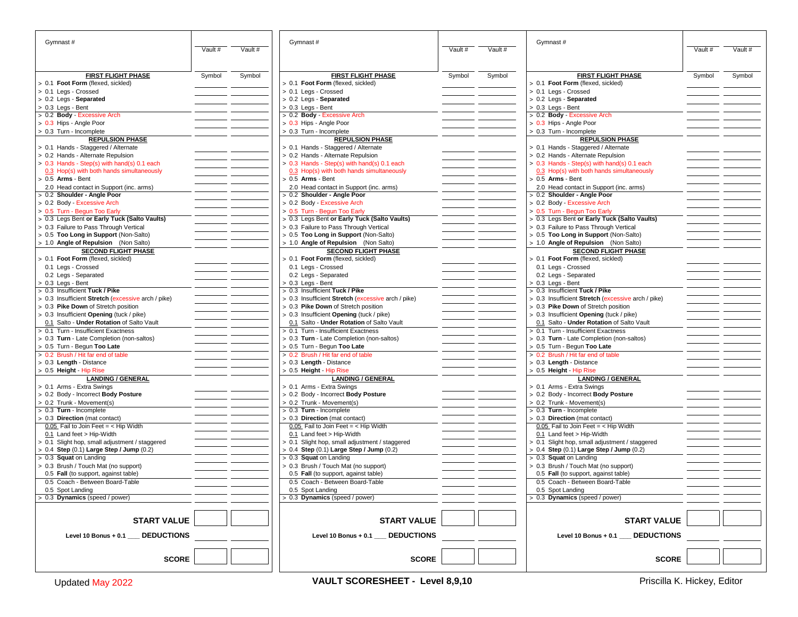| Gymnast#                                                         |         |         | Gymnast#                                                         |         |         | Gymnast#                                                         |         |         |
|------------------------------------------------------------------|---------|---------|------------------------------------------------------------------|---------|---------|------------------------------------------------------------------|---------|---------|
|                                                                  | Vault # | Vault # |                                                                  | Vault # | Vault # |                                                                  | Vault # | Vault # |
|                                                                  |         |         |                                                                  |         |         |                                                                  |         |         |
|                                                                  |         |         |                                                                  |         |         |                                                                  |         |         |
| <b>FIRST FLIGHT PHASE</b>                                        | Symbol  | Symbol  | <b>FIRST FLIGHT PHASE</b>                                        | Symbol  | Symbol  | <b>FIRST FLIGHT PHASE</b>                                        | Symbol  | Symbol  |
| > 0.1 Foot Form (flexed, sickled)                                |         |         | > 0.1 Foot Form (flexed, sickled)                                |         |         | > 0.1 Foot Form (flexed, sickled)                                |         |         |
| > 0.1 Legs - Crossed<br>$> 0.2$ Legs - Separated                 |         |         | > 0.1 Legs - Crossed<br>$> 0.2$ Legs - Separated                 |         |         | > 0.1 Legs - Crossed<br>> 0.2 Legs - Separated                   |         |         |
| > 0.3 Legs - Bent                                                |         |         | > 0.3 Legs - Bent                                                |         |         | > 0.3 Legs - Bent                                                |         |         |
| > 0.2 Body - Excessive Arch                                      |         |         | > 0.2 Body - Excessive Arch                                      |         |         | > 0.2 Body - Excessive Arch                                      |         |         |
| > 0.3 Hips - Angle Poor                                          |         |         | > 0.3 Hips - Angle Poor                                          |         |         | > 0.3 Hips - Angle Poor                                          |         |         |
| > 0.3 Turn - Incomplete                                          |         |         | > 0.3 Turn - Incomplete                                          |         |         | > 0.3 Turn - Incomplete                                          |         |         |
| <b>REPULSION PHASE</b>                                           |         |         | <b>REPULSION PHASE</b>                                           |         |         | <b>REPULSION PHASE</b>                                           |         |         |
| > 0.1 Hands - Staggered / Alternate                              |         |         | > 0.1 Hands - Staggered / Alternate                              |         |         | > 0.1 Hands - Staggered / Alternate                              |         |         |
| > 0.2 Hands - Alternate Repulsion                                |         |         | > 0.2 Hands - Alternate Repulsion                                |         |         | > 0.2 Hands - Alternate Repulsion                                |         |         |
| > 0.3 Hands - Step(s) with hand(s) 0.1 each                      |         |         | $> 0.3$ Hands - Step(s) with hand(s) 0.1 each                    |         |         | > 0.3 Hands - Step(s) with hand(s) 0.1 each                      |         |         |
| 0.3 Hop(s) with both hands simultaneously<br>> 0.5 Arms - Bent   |         |         | 0.3 Hop(s) with both hands simultaneously<br>> 0.5 Arms - Bent   |         |         | 0.3 Hop(s) with both hands simultaneously<br>$> 0.5$ Arms - Bent |         |         |
| 2.0 Head contact in Support (inc. arms)                          |         |         | 2.0 Head contact in Support (inc. arms)                          |         |         | 2.0 Head contact in Support (inc. arms)                          |         |         |
| > 0.2 Shoulder - Angle Poor                                      |         |         | > 0.2 Shoulder - Angle Poor                                      |         |         | 0.2 Shoulder - Angle Poor                                        |         |         |
| > 0.2 Body - Excessive Arch                                      |         |         | > 0.2 Body - Excessive Arch                                      |         |         | > 0.2 Body - Excessive Arch                                      |         |         |
| > 0.5 Turn - Begun Too Early                                     |         |         | > 0.5 Turn - Begun Too Early                                     |         |         | > 0.5 Turn - Begun Too Early                                     |         |         |
| > 0.3 Legs Bent or Early Tuck (Salto Vaults)                     |         |         | $>$ 0.3 Legs Bent or Early Tuck (Salto Vaults)                   |         |         | > 0.3 Legs Bent or Early Tuck (Salto Vaults)                     |         |         |
| > 0.3 Failure to Pass Through Vertical                           |         |         | > 0.3 Failure to Pass Through Vertical                           |         |         | > 0.3 Failure to Pass Through Vertical                           |         |         |
| > 0.5 Too Long in Support (Non-Salto)                            |         |         | > 0.5 Too Long in Support (Non-Salto)                            |         |         | > 0.5 Too Long in Support (Non-Salto)                            |         |         |
| > 1.0 Angle of Repulsion (Non Salto)                             |         |         | > 1.0 Angle of Repulsion (Non Salto)                             |         |         | > 1.0 Angle of Repulsion (Non Salto)                             |         |         |
| <b>SECOND FLIGHT PHASE</b>                                       |         |         | <b>SECOND FLIGHT PHASE</b>                                       |         |         | <b>SECOND FLIGHT PHASE</b>                                       |         |         |
| > 0.1 Foot Form (flexed, sickled)                                |         |         | 0.1 Foot Form (flexed, sickled)                                  |         |         | > 0.1 Foot Form (flexed, sickled)                                |         |         |
| 0.1 Legs - Crossed                                               |         |         | 0.1 Legs - Crossed                                               |         |         | 0.1 Legs - Crossed                                               |         |         |
| 0.2 Legs - Separated                                             |         |         | 0.2 Legs - Separated                                             |         |         | 0.2 Legs - Separated                                             |         |         |
| > 0.3 Legs - Bent<br>> 0.3 Insufficient Tuck / Pike              |         |         | > 0.3 Legs - Bent<br>> 0.3 Insufficient Tuck / Pike              |         |         | 0.3 Legs - Bent<br>> 0.3 Insufficient Tuck / Pike                |         |         |
| > 0.3 Insufficient Stretch (excessive arch / pike)               |         |         | > 0.3 Insufficient Stretch (excessive arch / pike)               |         |         | > 0.3 Insufficient Stretch (excessive arch / pike)               |         |         |
| > 0.3 Pike Down of Stretch position                              |         |         | > 0.3 Pike Down of Stretch position                              |         |         | > 0.3 Pike Down of Stretch position                              |         |         |
| > 0.3 Insufficient Opening (tuck / pike)                         |         |         | > 0.3 Insufficient Opening (tuck / pike)                         |         |         | > 0.3 Insufficient Opening (tuck / pike)                         |         |         |
| 0.1 Salto - Under Rotation of Salto Vault                        |         |         | 0.1 Salto - Under Rotation of Salto Vault                        |         |         | 0.1 Salto - Under Rotation of Salto Vault                        |         |         |
| > 0.1 Turn - Insufficient Exactness                              |         |         | > 0.1 Turn - Insufficient Exactness                              |         |         | > 0.1 Turn - Insufficient Exactness                              |         |         |
| > 0.3 Turn - Late Completion (non-saltos)                        |         |         | > 0.3 Turn - Late Completion (non-saltos)                        |         |         | > 0.3 Turn - Late Completion (non-saltos)                        |         |         |
| > 0.5 Turn - Begun Too Late                                      |         |         | > 0.5 Turn - Begun Too Late                                      |         |         | > 0.5 Turn - Begun Too Late                                      |         |         |
| > 0.2 Brush / Hit far end of table                               |         |         | > 0.2 Brush / Hit far end of table                               |         |         | > 0.2 Brush / Hit far end of table                               |         |         |
| > 0.3 Length - Distance                                          |         |         | > 0.3 Length - Distance                                          |         |         | > 0.3 Length - Distance                                          |         |         |
| > 0.5 Height - Hip Rise                                          |         |         | > 0.5 Height - Hip Rise                                          |         |         | > 0.5 Height - Hip Rise                                          |         |         |
| <b>LANDING / GENERAL</b>                                         |         |         | <b>LANDING / GENERAL</b>                                         |         |         | <b>LANDING / GENERAL</b>                                         |         |         |
| > 0.1 Arms - Extra Swings<br>> 0.2 Body - Incorrect Body Posture |         |         | > 0.1 Arms - Extra Swings<br>> 0.2 Body - Incorrect Body Posture |         |         | > 0.1 Arms - Extra Swings<br>> 0.2 Body - Incorrect Body Posture |         |         |
| > 0.2 Trunk - Movement(s)                                        |         |         | > 0.2 Trunk - Movement(s)                                        |         |         | > 0.2 Trunk - Movement(s)                                        |         |         |
| > 0.3 Turn - Incomplete                                          |         |         | $> 0.3$ Turn - Incomplete                                        |         |         | > 0.3 Turn - Incomplete                                          |         |         |
| > 0.3 Direction (mat contact)                                    |         |         | > 0.3 Direction (mat contact)                                    |         |         | > 0.3 Direction (mat contact)                                    |         |         |
| $0.05$ Fail to Join Feet = < Hip Width                           |         |         | $0.05$ Fail to Join Feet = < Hip Width                           |         |         | $0.05$ Fail to Join Feet = < Hip Width                           |         |         |
| $0.1$ Land feet > Hip-Width                                      |         |         | 0.1 Land feet > Hip-Width                                        |         |         | $0.1$ Land feet > Hip-Width                                      |         |         |
| > 0.1 Slight hop, small adjustment / staggered                   |         |         | > 0.1 Slight hop, small adjustment / staggered                   |         |         | > 0.1 Slight hop, small adjustment / staggered                   |         |         |
| > 0.4 Step (0.1) Large Step / Jump (0.2)                         |         |         | > 0.4 Step (0.1) Large Step / Jump (0.2)                         |         |         | > 0.4 Step (0.1) Large Step / Jump (0.2)                         |         |         |
| > 0.3 Squat on Landing                                           |         |         | $> 0.3$ Squat on Landing                                         |         |         | > 0.3 <b>Squat</b> on Landing                                    |         |         |
| > 0.3 Brush / Touch Mat (no support)                             |         |         | > 0.3 Brush / Touch Mat (no support)                             |         |         | > 0.3 Brush / Touch Mat (no support)                             |         |         |
| 0.5 Fall (to support, against table)                             |         |         | 0.5 Fall (to support, against table)                             |         |         | 0.5 Fall (to support, against table)                             |         |         |
| 0.5 Coach - Between Board-Table                                  |         |         | 0.5 Coach - Between Board-Table                                  |         |         | 0.5 Coach - Between Board-Table                                  |         |         |
| 0.5 Spot Landing<br>0.3 Dynamics (speed / power)                 |         |         | 0.5 Spot Landing<br>0.3 Dynamics (speed / power)                 |         |         | 0.5 Spot Landing<br>0.3 Dynamics (speed / power)                 |         |         |
|                                                                  |         |         |                                                                  |         |         |                                                                  |         |         |
|                                                                  |         |         |                                                                  |         |         |                                                                  |         |         |
| <b>START VALUE</b>                                               |         |         | <b>START VALUE</b>                                               |         |         | <b>START VALUE</b>                                               |         |         |
|                                                                  |         |         |                                                                  |         |         |                                                                  |         |         |
| <b>DEDUCTIONS</b><br>Level 10 Bonus + 0.1                        |         |         | <b>DEDUCTIONS</b><br>Level 10 Bonus + 0.1                        |         |         | <b>DEDUCTIONS</b><br>Level 10 Bonus + 0.1 $\_$                   |         |         |
|                                                                  |         |         |                                                                  |         |         |                                                                  |         |         |
| <b>SCORE</b>                                                     |         |         | <b>SCORE</b>                                                     |         |         | <b>SCORE</b>                                                     |         |         |
|                                                                  |         |         |                                                                  |         |         |                                                                  |         |         |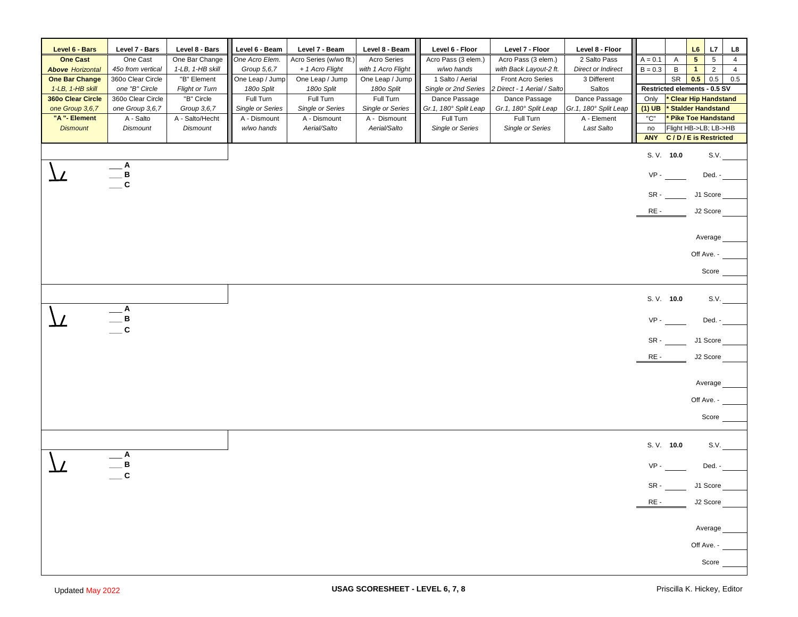| Level 6 - Bars          | Level 7 - Bars    | Level 8 - Bars        | Level 6 - Beam          | Level 7 - Beam          | Level 8 - Beam          | Level 6 - Floor       | Level 7 - Floor             | Level 8 - Floor           |            |                              | L6                         | L7              | L8             |
|-------------------------|-------------------|-----------------------|-------------------------|-------------------------|-------------------------|-----------------------|-----------------------------|---------------------------|------------|------------------------------|----------------------------|-----------------|----------------|
| <b>One Cast</b>         | One Cast          | One Bar Change        | One Acro Elem.          | Acro Series (w/wo flt.) | Acro Series             | Acro Pass (3 elem.)   | Acro Pass (3 elem.)         | 2 Salto Pass              | $A = 0.1$  | $\mathsf{A}$                 | $5\phantom{.0}$            | $5\phantom{.0}$ | $\overline{4}$ |
| <b>Above Horizontal</b> | 45o from vertical | 1-LB, 1-HB skill      | Group 5,6,7             | + 1 Acro Flight         | with 1 Acro Flight      | w/wo hands            | with Back Layout-2 ft.      | <b>Direct or Indirect</b> | $B = 0.3$  | B                            | $\overline{1}$             | $\overline{2}$  | $\overline{4}$ |
| <b>One Bar Change</b>   | 360o Clear Circle | "B" Element           | One Leap / Jump         | One Leap / Jump         | One Leap / Jump         | 1 Salto / Aerial      | <b>Front Acro Series</b>    | 3 Different               |            | SR                           | 0.5                        | 0.5             | 0.5            |
| 1-LB, 1-HB skill        | one "B" Circle    | <b>Flight or Turn</b> | 180o Split              | 180o Split              | 180o Split              | Single or 2nd Series  | 2 Direct - 1 Aerial / Salto | Saltos                    |            | Restricted elements - 0.5 SV |                            |                 |                |
| 360o Clear Circle       | 360o Clear Circle | "B" Circle            | Full Turn               | Full Turn               | Full Turn               | Dance Passage         | Dance Passage               | Dance Passage             | Only       |                              | <b>Clear Hip Handstand</b> |                 |                |
| one Group 3,6,7         | one Group 3,6,7   | Group 3,6,7           | <b>Single or Series</b> | <b>Single or Series</b> | <b>Single or Series</b> | Gr.1, 180° Split Leap | Gr.1, 180° Split Leap       | Gr.1, 180° Split Leap     | $(1)$ UB   |                              | <b>Stalder Handstand</b>   |                 |                |
| "A "- Element           | A - Salto         | A - Salto/Hecht       | A - Dismount            | A - Dismount            | A - Dismount            | Full Turn             | Full Turn                   | A - Element               | "C"        |                              | Pike Toe Handstand         |                 |                |
| <b>Dismount</b>         | <b>Dismount</b>   | <b>Dismount</b>       | w/wo hands              | Aerial/Salto            | Aerial/Salto            | Single or Series      | Single or Series            | Last Salto                | no         | Flight HB->LB; LB->HB        |                            |                 |                |
|                         |                   |                       |                         |                         |                         |                       |                             |                           | <b>ANY</b> | <b>C/D/E</b> is Restricted   |                            |                 |                |
|                         |                   |                       |                         |                         |                         |                       |                             |                           |            | S. V. 10.0                   |                            | S.V.            |                |
|                         | A                 |                       |                         |                         |                         |                       |                             |                           |            |                              |                            |                 |                |
|                         | в<br>$\mathbf{C}$ |                       |                         |                         |                         |                       |                             |                           | $VP -$     |                              |                            | Ded. -          |                |
|                         |                   |                       |                         |                         |                         |                       |                             |                           |            | $SR -$                       | J1 Score                   |                 |                |
|                         |                   |                       |                         |                         |                         |                       |                             |                           | RE-        |                              | J2 Score                   |                 |                |
|                         |                   |                       |                         |                         |                         |                       |                             |                           |            |                              |                            |                 |                |
|                         |                   |                       |                         |                         |                         |                       |                             |                           |            |                              |                            | Average         |                |
|                         |                   |                       |                         |                         |                         |                       |                             |                           |            |                              | Off Ave. -                 |                 |                |
|                         |                   |                       |                         |                         |                         |                       |                             |                           |            |                              |                            | Score           |                |
|                         |                   |                       |                         |                         |                         |                       |                             |                           |            | S. V. 10.0                   |                            | S.V.            |                |
|                         | Α<br>в            |                       |                         |                         |                         |                       |                             |                           | $VP -$     |                              |                            | Ded. -          |                |
|                         | $\mathbf c$       |                       |                         |                         |                         |                       |                             |                           |            |                              |                            |                 |                |
|                         |                   |                       |                         |                         |                         |                       |                             |                           |            | $SR -$                       | J1 Score                   |                 |                |
|                         |                   |                       |                         |                         |                         |                       |                             |                           | $RE -$     |                              | J2 Score                   |                 |                |
|                         |                   |                       |                         |                         |                         |                       |                             |                           |            |                              |                            | Average         |                |
|                         |                   |                       |                         |                         |                         |                       |                             |                           |            |                              | Off Ave. -                 |                 |                |
|                         |                   |                       |                         |                         |                         |                       |                             |                           |            |                              |                            |                 |                |
|                         |                   |                       |                         |                         |                         |                       |                             |                           |            |                              |                            | Score           |                |
|                         |                   |                       |                         |                         |                         |                       |                             |                           |            | S. V. 10.0                   |                            | S.V.            |                |
|                         | в                 |                       |                         |                         |                         |                       |                             |                           | $VP -$     |                              |                            | Ded. -          |                |
|                         | C                 |                       |                         |                         |                         |                       |                             |                           |            |                              |                            |                 |                |
|                         |                   |                       |                         |                         |                         |                       |                             |                           | SR-        |                              | J1 Score                   |                 |                |
|                         |                   |                       |                         |                         |                         |                       |                             |                           | RE -       |                              | J2 Score                   |                 |                |
|                         |                   |                       |                         |                         |                         |                       |                             |                           |            |                              |                            | Average         |                |
|                         |                   |                       |                         |                         |                         |                       |                             |                           |            |                              | Off Ave. - _               |                 |                |
|                         |                   |                       |                         |                         |                         |                       |                             |                           |            |                              |                            | Score _         |                |
|                         |                   |                       |                         |                         |                         |                       |                             |                           |            |                              |                            |                 |                |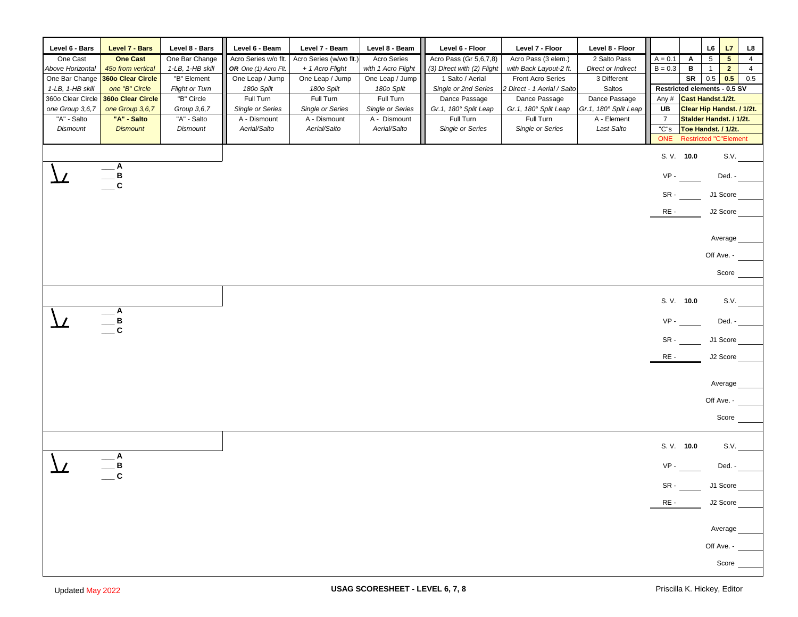| Level 6 - Bars    | Level 7 - Bars    | Level 8 - Bars        | Level 6 - Beam            | Level 7 - Beam          | Level 8 - Beam     | Level 6 - Floor            | Level 7 - Floor             | Level 8 - Floor       |                |                              | L6              | L7                | L8             |
|-------------------|-------------------|-----------------------|---------------------------|-------------------------|--------------------|----------------------------|-----------------------------|-----------------------|----------------|------------------------------|-----------------|-------------------|----------------|
| One Cast          | <b>One Cast</b>   | One Bar Change        | Acro Series w/o flt.      | Acro Series (w/wo flt.) | <b>Acro Series</b> | Acro Pass (Gr 5,6,7,8)     | Acro Pass (3 elem.)         | 2 Salto Pass          | $A = 0.1$      | Α                            | $5\phantom{.0}$ | 5 <sub>5</sub>    | $\overline{4}$ |
| Above Horizontal  | 45o from vertical | 1-LB, 1-HB skill      | OR One (1) Acro Flt.      | + 1 Acro Flight         | with 1 Acro Flight | (3) Direct with (2) Flight | with Back Layout-2 ft.      | Direct or Indirect    | $B = 0.3$      | В                            | $\mathbf{1}$    | $\overline{2}$    | $\overline{4}$ |
| One Bar Change    | 360o Clear Circle | "B" Element           | One Leap / Jump           | One Leap / Jump         | One Leap / Jump    | 1 Salto / Aerial           | <b>Front Acro Series</b>    | 3 Different           |                | SR                           | $0.5\,$         | 0.5               | 0.5            |
| 1-LB, 1-HB skill  | one "B" Circle    | <b>Flight or Turn</b> | 180o Split                | 180o Split              | 180o Split         | Single or 2nd Series       | 2 Direct - 1 Aerial / Salto | Saltos                |                | Restricted elements - 0.5 SV |                 |                   |                |
| 360o Clear Circle | 360o Clear Circle | "B" Circle            | Full Turn                 | Full Turn               | Full Turn          | Dance Passage              | Dance Passage               | Dance Passage         | Any #          | Cast Handst.1/2t.            |                 |                   |                |
| one Group 3,6,7   | one Group 3,6,7   | Group 3,6,7           | Single or Series          | Single or Series        | Single or Series   | Gr.1, 180° Split Leap      | Gr.1, 180° Split Leap       | Gr.1, 180° Split Leap | UB             | Clear Hip Handst. / 1/2t.    |                 |                   |                |
| "A" - Salto       | "A" - Salto       | "A" - Salto           | $\overline{A}$ - Dismount | A - Dismount            | A - Dismount       | Full Turn                  | Full Turn                   | A - Element           | $\overline{7}$ | Stalder Handst. / 1/2t.      |                 |                   |                |
| <b>Dismount</b>   | <b>Dismount</b>   | Dismount              | Aerial/Salto              | Aerial/Salto            | Aerial/Salto       | Single or Series           | Single or Series            | Last Salto            | "C"s           | Toe Handst. / 1/2t.          |                 |                   |                |
|                   |                   |                       |                           |                         |                    |                            |                             |                       | <b>ONE</b>     | <b>Restricted "C"Element</b> |                 |                   |                |
|                   |                   |                       |                           |                         |                    |                            |                             |                       |                | S. V. 10.0                   |                 | S.V.              |                |
|                   | A                 |                       |                           |                         |                    |                            |                             |                       |                |                              |                 |                   |                |
|                   | _ B<br>_ C        |                       |                           |                         |                    |                            |                             |                       | VP-            |                              |                 | Ded. -            |                |
|                   |                   |                       |                           |                         |                    |                            |                             |                       |                |                              |                 |                   |                |
|                   |                   |                       |                           |                         |                    |                            |                             |                       | SR -           |                              | J1 Score        |                   |                |
|                   |                   |                       |                           |                         |                    |                            |                             |                       | RE-            |                              | J2 Score        |                   |                |
|                   |                   |                       |                           |                         |                    |                            |                             |                       |                |                              |                 |                   |                |
|                   |                   |                       |                           |                         |                    |                            |                             |                       |                |                              | Average         |                   |                |
|                   |                   |                       |                           |                         |                    |                            |                             |                       |                |                              | Off Ave. -      |                   |                |
|                   |                   |                       |                           |                         |                    |                            |                             |                       |                |                              | Score           |                   |                |
|                   |                   |                       |                           |                         |                    |                            |                             |                       |                |                              |                 |                   |                |
|                   |                   |                       |                           |                         |                    |                            |                             |                       |                | S. V. 10.0                   |                 | S.V.              |                |
|                   | $-^{\mathsf{A}}$  |                       |                           |                         |                    |                            |                             |                       |                |                              |                 |                   |                |
|                   | $\frac{B}{C}$     |                       |                           |                         |                    |                            |                             |                       | VP-            |                              |                 | Ded. -            |                |
|                   |                   |                       |                           |                         |                    |                            |                             |                       | SR -           |                              | J1 Score        |                   |                |
|                   |                   |                       |                           |                         |                    |                            |                             |                       | RE-            |                              | J2 Score        |                   |                |
|                   |                   |                       |                           |                         |                    |                            |                             |                       |                |                              |                 |                   |                |
|                   |                   |                       |                           |                         |                    |                            |                             |                       |                |                              | Average         |                   |                |
|                   |                   |                       |                           |                         |                    |                            |                             |                       |                |                              |                 |                   |                |
|                   |                   |                       |                           |                         |                    |                            |                             |                       |                |                              | Off Ave. -      |                   |                |
|                   |                   |                       |                           |                         |                    |                            |                             |                       |                |                              | Score           |                   |                |
|                   |                   |                       |                           |                         |                    |                            |                             |                       |                |                              |                 |                   |                |
|                   |                   |                       |                           |                         |                    |                            |                             |                       |                |                              |                 |                   |                |
|                   |                   |                       |                           |                         |                    |                            |                             |                       |                | S. V. 10.0                   |                 | S.V.              |                |
|                   | A                 |                       |                           |                         |                    |                            |                             |                       |                |                              |                 |                   |                |
|                   | B<br>$\mathbf c$  |                       |                           |                         |                    |                            |                             |                       | VP-            |                              |                 | $\mathsf{Ded}.$ - |                |
|                   |                   |                       |                           |                         |                    |                            |                             |                       | SR-            |                              | J1 Score        |                   |                |
|                   |                   |                       |                           |                         |                    |                            |                             |                       |                |                              |                 |                   |                |
|                   |                   |                       |                           |                         |                    |                            |                             |                       | RE-            |                              | J2 Score        |                   |                |
|                   |                   |                       |                           |                         |                    |                            |                             |                       |                |                              |                 |                   |                |
|                   |                   |                       |                           |                         |                    |                            |                             |                       |                |                              | Average         |                   |                |
|                   |                   |                       |                           |                         |                    |                            |                             |                       |                |                              | Off Ave. -      |                   |                |
|                   |                   |                       |                           |                         |                    |                            |                             |                       |                |                              |                 |                   |                |
|                   |                   |                       |                           |                         |                    |                            |                             |                       |                |                              | Score           |                   |                |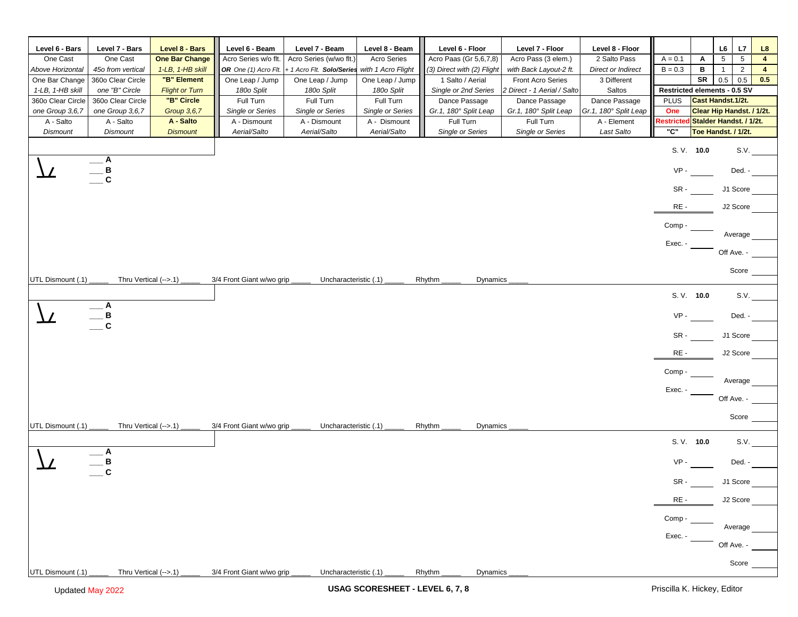| Level 6 - Bars               | Level 7 - Bars                  | Level 8 - Bars           | Level 6 - Beam                   | Level 7 - Beam                   | Level 8 - Beam                   | Level 6 - Floor                    | Level 7 - Floor                    | Level 8 - Floor                      |                              |                                                      | L6              | L7                             | L8             |
|------------------------------|---------------------------------|--------------------------|----------------------------------|----------------------------------|----------------------------------|------------------------------------|------------------------------------|--------------------------------------|------------------------------|------------------------------------------------------|-----------------|--------------------------------|----------------|
| One Cast                     | One Cast                        | <b>One Bar Change</b>    | Acro Series w/o flt.             | Acro Series (w/wo flt.)          | <b>Acro Series</b>               | Acro Paas (Gr 5,6,7,8)             | Acro Pass (3 elem.)                | 2 Salto Pass                         | $A = 0.1$                    | A                                                    | $5\overline{)}$ | 5                              | $\overline{4}$ |
| Above Horizontal             | 45o from vertical               | 1-LB, 1-HB skill         | OR One (1) Acro Flt.             | + 1 Acro Flt. Solo/Series        | with 1 Acro Flight               | (3) Direct with (2) Flight         | with Back Layout-2 ft.             | <b>Direct or Indirect</b>            | $B = 0.3$                    | в                                                    | $\overline{1}$  | $\overline{2}$                 | 4              |
| One Bar Change               | 360o Clear Circle               | "B" Element              | One Leap / Jump                  | One Leap / Jump                  | One Leap / Jump                  | 1 Salto / Aerial                   | Front Acro Series                  | 3 Different                          |                              | SR                                                   | 0.5             | 0.5                            | 0.5            |
| 1-LB, 1-HB skill             | one "B" Circle                  | <b>Flight or Turn</b>    | 180o Split                       | 180o Split                       | 180o Split                       | Single or 2nd Series               | 2 Direct - 1 Aerial / Salto        | Saltos                               | Restricted elements - 0.5 SV |                                                      |                 |                                |                |
| 360o Clear Circle            | 360o Clear Circle               | "B" Circle               | Full Turn                        | Full Turn                        | Full Turn                        | Dance Passage                      | Dance Passage                      | Dance Passage                        | <b>PLUS</b>                  | Cast Handst.1/2t.                                    |                 |                                |                |
| one Group 3,6,7<br>A - Salto | one Group 3,6,7<br>A - Salto    | Group 3,6,7<br>A - Salto | Single or Series<br>A - Dismount | Single or Series<br>A - Dismount | Single or Series<br>A - Dismount | Gr.1, 180° Split Leap<br>Full Turn | Gr.1, 180° Split Leap<br>Full Turn | Gr.1, 180° Split Leap<br>A - Element | One<br>Restricte             | Clear Hip Handst. / 1/2t.<br>Stalder Handst. / 1/2t. |                 |                                |                |
| Dismount                     | <b>Dismount</b>                 | <b>Dismount</b>          | Aerial/Salto                     | Aerial/Salto                     | Aerial/Salto                     | Single or Series                   | Single or Series                   | Last Salto                           | "С"                          | Toe Handst. / 1/2t.                                  |                 |                                |                |
|                              |                                 |                          |                                  |                                  |                                  |                                    |                                    |                                      |                              |                                                      |                 |                                |                |
|                              |                                 |                          |                                  |                                  |                                  |                                    |                                    |                                      |                              | S. V. 10.0                                           |                 | S.V.                           |                |
|                              | A                               |                          |                                  |                                  |                                  |                                    |                                    |                                      | $VP -$                       |                                                      |                 | Ded. -                         |                |
|                              | $rac{B}{C}$                     |                          |                                  |                                  |                                  |                                    |                                    |                                      |                              |                                                      |                 |                                |                |
|                              |                                 |                          |                                  |                                  |                                  |                                    |                                    |                                      | SR-                          |                                                      |                 | J1 Score                       |                |
|                              |                                 |                          |                                  |                                  |                                  |                                    |                                    |                                      |                              |                                                      |                 | J2 Score                       |                |
|                              |                                 |                          |                                  |                                  |                                  |                                    |                                    |                                      | RE-                          |                                                      |                 |                                |                |
|                              |                                 |                          |                                  |                                  |                                  |                                    |                                    |                                      | Comp -                       |                                                      |                 |                                |                |
|                              |                                 |                          |                                  |                                  |                                  |                                    |                                    |                                      |                              |                                                      |                 | Average                        |                |
|                              |                                 |                          |                                  |                                  |                                  |                                    |                                    |                                      | Exec. -                      |                                                      | Off Ave. -      |                                |                |
|                              |                                 |                          |                                  |                                  |                                  |                                    |                                    |                                      |                              |                                                      |                 |                                |                |
| UTL Dismount (.1)            | Thru Vertical (-->.1)           |                          | 3/4 Front Giant w/wo grip        | Uncharacteristic (.1)            |                                  | Rhythm<br>Dynamics                 |                                    |                                      |                              |                                                      |                 | Score                          |                |
|                              |                                 |                          |                                  |                                  |                                  |                                    |                                    |                                      |                              |                                                      |                 |                                |                |
|                              |                                 |                          |                                  |                                  |                                  |                                    |                                    |                                      |                              | S. V. 10.0                                           |                 | S.V.                           |                |
|                              | $-$ A                           |                          |                                  |                                  |                                  |                                    |                                    |                                      |                              |                                                      |                 |                                |                |
|                              | $\frac{\mathsf{B}}{\mathsf{C}}$ |                          |                                  |                                  |                                  |                                    |                                    |                                      | VP-                          |                                                      |                 | Ded. -                         |                |
|                              |                                 |                          |                                  |                                  |                                  |                                    |                                    |                                      | SR -                         |                                                      |                 | J1 Score                       |                |
|                              |                                 |                          |                                  |                                  |                                  |                                    |                                    |                                      |                              |                                                      |                 |                                |                |
|                              |                                 |                          |                                  |                                  |                                  |                                    |                                    |                                      | RE-                          |                                                      |                 | J2 Score                       |                |
|                              |                                 |                          |                                  |                                  |                                  |                                    |                                    |                                      | Comp -                       |                                                      |                 |                                |                |
|                              |                                 |                          |                                  |                                  |                                  |                                    |                                    |                                      |                              |                                                      |                 | Average                        |                |
|                              |                                 |                          |                                  |                                  |                                  |                                    |                                    |                                      | Exec. -                      |                                                      | Off Ave. -      |                                |                |
|                              |                                 |                          |                                  |                                  |                                  |                                    |                                    |                                      |                              |                                                      |                 |                                |                |
|                              |                                 |                          |                                  |                                  |                                  |                                    |                                    |                                      |                              |                                                      |                 | Score                          |                |
| UTL Dismount (.1)            | Thru Vertical (-->.1)           |                          | 3/4 Front Giant w/wo grip        | Uncharacteristic (.1)            |                                  | Rhythm<br>Dynamics                 |                                    |                                      |                              |                                                      |                 |                                |                |
|                              |                                 |                          |                                  |                                  |                                  |                                    |                                    |                                      |                              | S. V. 10.0                                           |                 | S.V.                           |                |
|                              | A                               |                          |                                  |                                  |                                  |                                    |                                    |                                      |                              |                                                      |                 |                                |                |
|                              | B<br>$\mathbf{c}$               |                          |                                  |                                  |                                  |                                    |                                    |                                      | VP-                          |                                                      |                 | Ded. -                         |                |
|                              |                                 |                          |                                  |                                  |                                  |                                    |                                    |                                      | SR-                          |                                                      |                 | J1 Score                       |                |
|                              |                                 |                          |                                  |                                  |                                  |                                    |                                    |                                      |                              |                                                      |                 |                                |                |
|                              |                                 |                          |                                  |                                  |                                  |                                    |                                    |                                      | RE-                          |                                                      |                 | J2 Score                       |                |
|                              |                                 |                          |                                  |                                  |                                  |                                    |                                    |                                      | Comp -                       |                                                      |                 |                                |                |
|                              |                                 |                          |                                  |                                  |                                  |                                    |                                    |                                      |                              |                                                      |                 | Average                        |                |
|                              |                                 |                          |                                  |                                  |                                  |                                    |                                    |                                      | Exec.                        |                                                      |                 |                                |                |
|                              |                                 |                          |                                  |                                  |                                  |                                    |                                    |                                      |                              |                                                      | Off Ave. -      |                                |                |
|                              |                                 |                          |                                  |                                  |                                  |                                    |                                    |                                      |                              |                                                      |                 | Score $\overline{\phantom{0}}$ |                |
| UTL Dismount (.1)            | Thru Vertical (-->.1)           |                          | 3/4 Front Giant w/wo grip        | Uncharacteristic (.1)            |                                  | Rhythm<br>Dynamics                 |                                    |                                      |                              |                                                      |                 |                                |                |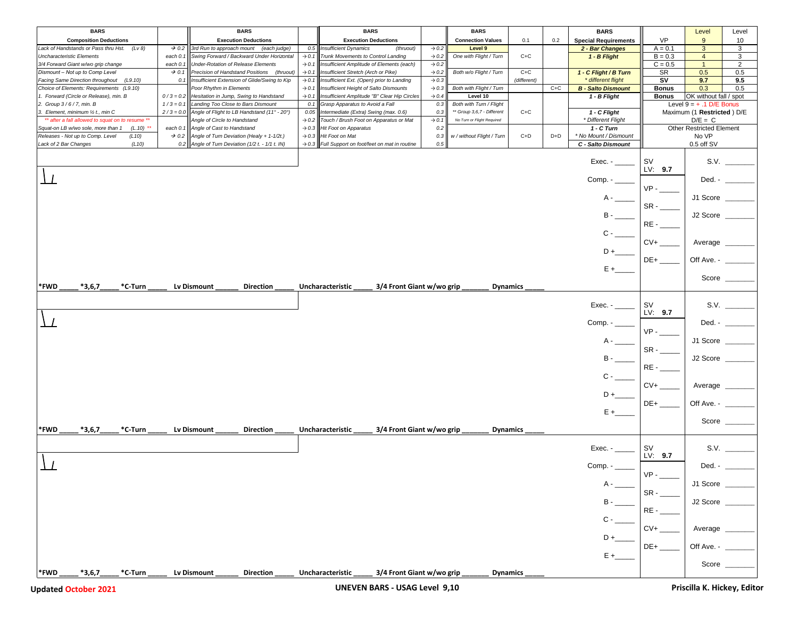| <b>VP</b><br><b>Execution Deductions</b><br><b>Execution Deductions</b><br><b>Connection Values</b><br><b>Special Requirements</b><br>9<br>10<br><b>Composition Deductions</b><br>0.1<br>0.2<br>3<br>Lack of Handstands or Pass thru Hst.<br>3rd Run to approach mount (each judge)<br><b>Insufficient Dynamics</b><br>Level 9<br>2 - Bar Changes<br>$A = 0.1$<br>3<br>(Lv 8)<br>$\rightarrow$ 0.2<br>0.5<br>(thruout)<br>$\rightarrow$ 0.2<br>$B = 0.3$<br>Swing Forward / Backward Under Horizontal<br>Trunk Movements to Control Landing<br>One with Flight / Turn<br>$C+C$<br>1 - B Flight<br>$\overline{4}$<br>3<br><b>Uncharacteristic Elements</b><br>$\rightarrow$ 0.1<br>$\rightarrow$ 0.2<br>each 0.<br>Insufficient Amplitude of Elements (each)<br>$C = 0.5$<br><b>Under-Rotation of Release Elements</b><br>$\rightarrow$ 0.2<br>1<br>2<br>3/4 Forward Giant w/wo grip change<br>each $0.1$<br>$\rightarrow$ 0.1<br>$C+C$<br><b>SR</b><br>Precision of Handstand Positions<br>Insufficient Stretch (Arch or Pike)<br>Both w/o Flight / Turn<br>0.5<br>0.5<br>Dismount - Not up to Comp Level<br>$\rightarrow$ 0.1<br>1 - C Flight / B Turn<br>$\rightarrow$ 0.1<br>(thruout)<br>$\rightarrow$ 0.2<br>Insufficient Extension of Glide/Swing to Kip<br>Insufficient Ext. (Open) prior to Landing<br>* different flight<br>S٧<br>9.7<br>Facing Same Direction throughout<br>$\rightarrow$ 0.1<br>$\rightarrow 0.3$<br>(different)<br>9.5<br>(L9.10)<br>0.1<br>Poor Rhythm in Elements<br>Insufficient Height of Salto Dismounts<br>Both with Flight / Turn<br>$C+C$<br><b>B</b> - Salto Dismount<br>0.3<br>Choice of Elements: Requirements (L9.10)<br>$\rightarrow$ 0.1<br>$\rightarrow 0.3$<br><b>Bonus</b><br>0.5<br>1 - B Flight<br>OK without fall / spot<br>1. Forward (Circle or Release), min. B<br>Hesitation in Jump, Swing to Handstand<br>Insufficient Amplitude "B" Clear Hip Circles<br>$\rightarrow$ 0.4<br><b>Bonus</b><br>$0/3 = 0.2$<br>$\rightarrow$ 0.1<br>Level 10<br>Landing Too Close to Bars Dismount<br>2. Group 3/6/7, min. B<br>$1/3 = 0.1$<br>0.1<br>Grasp Apparatus to Avoid a Fall<br>0.3<br>Both with Turn / Flight<br>Level $9 = +.1$ D/E Bonus<br>3. Element, minimum 1/2 t., min C<br>$2/3 = 0.0$<br>Angle of Flight to LB Handstand (11° - 20°)<br>0.05<br>Intermediate (Extra) Swing (max. 0.6)<br>** Group 3,6,7 - Different<br>$C+C$<br>Maximum (1 Restricted) D/E<br>0.3<br>1 - C Flight<br>** after a fall allowed to squat on to resume **<br>Angle of Circle to Handstand<br>Touch / Brush Foot on Apparatus or Mat<br>No Turn or Flight Required<br>* Different Flight<br>$D/E = C$<br>$\rightarrow 0.2$<br>$\rightarrow$ 0.1<br><b>Other Restricted Element</b><br>each 0.1 Angle of Cast to Handstand<br><b>Hit Foot on Apparatus</b><br>0.2<br>1 - C Turn<br>$(L.10)$ **<br>$\rightarrow 0.3$<br>Squat-on LB w/wo sole, more than 1<br>No VP<br>$\rightarrow$ 0.2 Angle of Turn Deviation (Healy + 1-1/2t.)<br>$\rightarrow$ 0.3 Hit Foot on Mat<br>0.3<br>w / without Flight / Turn<br>* No Mount / Dismount<br>Releases - Not up to Comp. Level<br>$C+D$<br>D+D<br>(L10)<br>0.2 Angle of Turn Deviation (1/2 $t. -1/1$ $t.$ IN)<br>$\rightarrow$ 0.3 Full Support on foot/feet on mat in routine<br>0.5<br>C - Salto Dismount<br>0.5 off SV<br>Lack of 2 Bar Changes<br>(L10)<br>S.V.<br>$Exec. -$<br>SV<br>LV: 9.7<br>$Comp. -$<br>Ded. -<br>$VP -$<br>J1 Score<br>$A -$<br>$SR -$<br>J2 Score<br>RE-<br>$CV+$<br>Average<br>$DE+$<br>Off Ave. - ___<br>$E +$<br>Score $\_\_$<br>$*3,6,7$<br>*FWD<br>*C-Turn<br>Lv Dismount<br><b>Direction</b><br>Uncharacteristic<br>3/4 Front Giant w/wo grip<br><b>Dynamics</b><br>S.V.<br>$Exec. -$<br>sv<br>LV: 9.7<br>Ded. -<br>J1 Score<br>$B -$<br>J2 Score<br>$RE -$<br>$C -$<br>$CV+$<br>Average<br>Off Ave. - ___<br>E +<br>Score $\_\_$<br>*FWD<br>$*3,6,7$<br>*C-Turn<br><b>Direction</b><br>Uncharacteristic<br>3/4 Front Giant w/wo grip<br>Lv Dismount<br><b>Dynamics</b><br>S.V.<br>$Exec. -$<br>sv<br>LV: 9.7<br>Ded. - $\qquad$<br>Comp. - ____<br>$VP -$<br>J1 Score<br>SR-<br>J2 Score<br>RE-<br>$CV+$<br>Average<br>$DE+$<br>Off Ave. -<br>Score _<br>Uncharacteristic ______ 3/4 Front Giant w/wo grip<br>$*3,6,7$<br><b>Direction</b><br>*FWD<br>*C-Turn<br>Lv Dismount<br><b>Dynamics</b> | <b>BARS</b> |  | <b>BARS</b> |  | <b>BARS</b> | <b>BARS</b> |  | <b>BARS</b> | Level | Level |
|----------------------------------------------------------------------------------------------------------------------------------------------------------------------------------------------------------------------------------------------------------------------------------------------------------------------------------------------------------------------------------------------------------------------------------------------------------------------------------------------------------------------------------------------------------------------------------------------------------------------------------------------------------------------------------------------------------------------------------------------------------------------------------------------------------------------------------------------------------------------------------------------------------------------------------------------------------------------------------------------------------------------------------------------------------------------------------------------------------------------------------------------------------------------------------------------------------------------------------------------------------------------------------------------------------------------------------------------------------------------------------------------------------------------------------------------------------------------------------------------------------------------------------------------------------------------------------------------------------------------------------------------------------------------------------------------------------------------------------------------------------------------------------------------------------------------------------------------------------------------------------------------------------------------------------------------------------------------------------------------------------------------------------------------------------------------------------------------------------------------------------------------------------------------------------------------------------------------------------------------------------------------------------------------------------------------------------------------------------------------------------------------------------------------------------------------------------------------------------------------------------------------------------------------------------------------------------------------------------------------------------------------------------------------------------------------------------------------------------------------------------------------------------------------------------------------------------------------------------------------------------------------------------------------------------------------------------------------------------------------------------------------------------------------------------------------------------------------------------------------------------------------------------------------------------------------------------------------------------------------------------------------------------------------------------------------------------------------------------------------------------------------------------------------------------------------------------------------------------------------------------------------------------------------------------------------------------------------------------------------------------------------------------------------------------------------------------------------------------------------------------------------------------------------------------------------------------------------------------------------------------------------------------------------------------------------------------------------------------------------------------------------------------------------------------------------------------------------------------------------------------------------------------------------------------------------------------------------------------------------------------------------------------------------------------------|-------------|--|-------------|--|-------------|-------------|--|-------------|-------|-------|
|                                                                                                                                                                                                                                                                                                                                                                                                                                                                                                                                                                                                                                                                                                                                                                                                                                                                                                                                                                                                                                                                                                                                                                                                                                                                                                                                                                                                                                                                                                                                                                                                                                                                                                                                                                                                                                                                                                                                                                                                                                                                                                                                                                                                                                                                                                                                                                                                                                                                                                                                                                                                                                                                                                                                                                                                                                                                                                                                                                                                                                                                                                                                                                                                                                                                                                                                                                                                                                                                                                                                                                                                                                                                                                                                                                                                                                                                                                                                                                                                                                                                                                                                                                                                                                                                                                                |             |  |             |  |             |             |  |             |       |       |
|                                                                                                                                                                                                                                                                                                                                                                                                                                                                                                                                                                                                                                                                                                                                                                                                                                                                                                                                                                                                                                                                                                                                                                                                                                                                                                                                                                                                                                                                                                                                                                                                                                                                                                                                                                                                                                                                                                                                                                                                                                                                                                                                                                                                                                                                                                                                                                                                                                                                                                                                                                                                                                                                                                                                                                                                                                                                                                                                                                                                                                                                                                                                                                                                                                                                                                                                                                                                                                                                                                                                                                                                                                                                                                                                                                                                                                                                                                                                                                                                                                                                                                                                                                                                                                                                                                                |             |  |             |  |             |             |  |             |       |       |
|                                                                                                                                                                                                                                                                                                                                                                                                                                                                                                                                                                                                                                                                                                                                                                                                                                                                                                                                                                                                                                                                                                                                                                                                                                                                                                                                                                                                                                                                                                                                                                                                                                                                                                                                                                                                                                                                                                                                                                                                                                                                                                                                                                                                                                                                                                                                                                                                                                                                                                                                                                                                                                                                                                                                                                                                                                                                                                                                                                                                                                                                                                                                                                                                                                                                                                                                                                                                                                                                                                                                                                                                                                                                                                                                                                                                                                                                                                                                                                                                                                                                                                                                                                                                                                                                                                                |             |  |             |  |             |             |  |             |       |       |
|                                                                                                                                                                                                                                                                                                                                                                                                                                                                                                                                                                                                                                                                                                                                                                                                                                                                                                                                                                                                                                                                                                                                                                                                                                                                                                                                                                                                                                                                                                                                                                                                                                                                                                                                                                                                                                                                                                                                                                                                                                                                                                                                                                                                                                                                                                                                                                                                                                                                                                                                                                                                                                                                                                                                                                                                                                                                                                                                                                                                                                                                                                                                                                                                                                                                                                                                                                                                                                                                                                                                                                                                                                                                                                                                                                                                                                                                                                                                                                                                                                                                                                                                                                                                                                                                                                                |             |  |             |  |             |             |  |             |       |       |
|                                                                                                                                                                                                                                                                                                                                                                                                                                                                                                                                                                                                                                                                                                                                                                                                                                                                                                                                                                                                                                                                                                                                                                                                                                                                                                                                                                                                                                                                                                                                                                                                                                                                                                                                                                                                                                                                                                                                                                                                                                                                                                                                                                                                                                                                                                                                                                                                                                                                                                                                                                                                                                                                                                                                                                                                                                                                                                                                                                                                                                                                                                                                                                                                                                                                                                                                                                                                                                                                                                                                                                                                                                                                                                                                                                                                                                                                                                                                                                                                                                                                                                                                                                                                                                                                                                                |             |  |             |  |             |             |  |             |       |       |
|                                                                                                                                                                                                                                                                                                                                                                                                                                                                                                                                                                                                                                                                                                                                                                                                                                                                                                                                                                                                                                                                                                                                                                                                                                                                                                                                                                                                                                                                                                                                                                                                                                                                                                                                                                                                                                                                                                                                                                                                                                                                                                                                                                                                                                                                                                                                                                                                                                                                                                                                                                                                                                                                                                                                                                                                                                                                                                                                                                                                                                                                                                                                                                                                                                                                                                                                                                                                                                                                                                                                                                                                                                                                                                                                                                                                                                                                                                                                                                                                                                                                                                                                                                                                                                                                                                                |             |  |             |  |             |             |  |             |       |       |
|                                                                                                                                                                                                                                                                                                                                                                                                                                                                                                                                                                                                                                                                                                                                                                                                                                                                                                                                                                                                                                                                                                                                                                                                                                                                                                                                                                                                                                                                                                                                                                                                                                                                                                                                                                                                                                                                                                                                                                                                                                                                                                                                                                                                                                                                                                                                                                                                                                                                                                                                                                                                                                                                                                                                                                                                                                                                                                                                                                                                                                                                                                                                                                                                                                                                                                                                                                                                                                                                                                                                                                                                                                                                                                                                                                                                                                                                                                                                                                                                                                                                                                                                                                                                                                                                                                                |             |  |             |  |             |             |  |             |       |       |
|                                                                                                                                                                                                                                                                                                                                                                                                                                                                                                                                                                                                                                                                                                                                                                                                                                                                                                                                                                                                                                                                                                                                                                                                                                                                                                                                                                                                                                                                                                                                                                                                                                                                                                                                                                                                                                                                                                                                                                                                                                                                                                                                                                                                                                                                                                                                                                                                                                                                                                                                                                                                                                                                                                                                                                                                                                                                                                                                                                                                                                                                                                                                                                                                                                                                                                                                                                                                                                                                                                                                                                                                                                                                                                                                                                                                                                                                                                                                                                                                                                                                                                                                                                                                                                                                                                                |             |  |             |  |             |             |  |             |       |       |
|                                                                                                                                                                                                                                                                                                                                                                                                                                                                                                                                                                                                                                                                                                                                                                                                                                                                                                                                                                                                                                                                                                                                                                                                                                                                                                                                                                                                                                                                                                                                                                                                                                                                                                                                                                                                                                                                                                                                                                                                                                                                                                                                                                                                                                                                                                                                                                                                                                                                                                                                                                                                                                                                                                                                                                                                                                                                                                                                                                                                                                                                                                                                                                                                                                                                                                                                                                                                                                                                                                                                                                                                                                                                                                                                                                                                                                                                                                                                                                                                                                                                                                                                                                                                                                                                                                                |             |  |             |  |             |             |  |             |       |       |
|                                                                                                                                                                                                                                                                                                                                                                                                                                                                                                                                                                                                                                                                                                                                                                                                                                                                                                                                                                                                                                                                                                                                                                                                                                                                                                                                                                                                                                                                                                                                                                                                                                                                                                                                                                                                                                                                                                                                                                                                                                                                                                                                                                                                                                                                                                                                                                                                                                                                                                                                                                                                                                                                                                                                                                                                                                                                                                                                                                                                                                                                                                                                                                                                                                                                                                                                                                                                                                                                                                                                                                                                                                                                                                                                                                                                                                                                                                                                                                                                                                                                                                                                                                                                                                                                                                                |             |  |             |  |             |             |  |             |       |       |
|                                                                                                                                                                                                                                                                                                                                                                                                                                                                                                                                                                                                                                                                                                                                                                                                                                                                                                                                                                                                                                                                                                                                                                                                                                                                                                                                                                                                                                                                                                                                                                                                                                                                                                                                                                                                                                                                                                                                                                                                                                                                                                                                                                                                                                                                                                                                                                                                                                                                                                                                                                                                                                                                                                                                                                                                                                                                                                                                                                                                                                                                                                                                                                                                                                                                                                                                                                                                                                                                                                                                                                                                                                                                                                                                                                                                                                                                                                                                                                                                                                                                                                                                                                                                                                                                                                                |             |  |             |  |             |             |  |             |       |       |
|                                                                                                                                                                                                                                                                                                                                                                                                                                                                                                                                                                                                                                                                                                                                                                                                                                                                                                                                                                                                                                                                                                                                                                                                                                                                                                                                                                                                                                                                                                                                                                                                                                                                                                                                                                                                                                                                                                                                                                                                                                                                                                                                                                                                                                                                                                                                                                                                                                                                                                                                                                                                                                                                                                                                                                                                                                                                                                                                                                                                                                                                                                                                                                                                                                                                                                                                                                                                                                                                                                                                                                                                                                                                                                                                                                                                                                                                                                                                                                                                                                                                                                                                                                                                                                                                                                                |             |  |             |  |             |             |  |             |       |       |
|                                                                                                                                                                                                                                                                                                                                                                                                                                                                                                                                                                                                                                                                                                                                                                                                                                                                                                                                                                                                                                                                                                                                                                                                                                                                                                                                                                                                                                                                                                                                                                                                                                                                                                                                                                                                                                                                                                                                                                                                                                                                                                                                                                                                                                                                                                                                                                                                                                                                                                                                                                                                                                                                                                                                                                                                                                                                                                                                                                                                                                                                                                                                                                                                                                                                                                                                                                                                                                                                                                                                                                                                                                                                                                                                                                                                                                                                                                                                                                                                                                                                                                                                                                                                                                                                                                                |             |  |             |  |             |             |  |             |       |       |
|                                                                                                                                                                                                                                                                                                                                                                                                                                                                                                                                                                                                                                                                                                                                                                                                                                                                                                                                                                                                                                                                                                                                                                                                                                                                                                                                                                                                                                                                                                                                                                                                                                                                                                                                                                                                                                                                                                                                                                                                                                                                                                                                                                                                                                                                                                                                                                                                                                                                                                                                                                                                                                                                                                                                                                                                                                                                                                                                                                                                                                                                                                                                                                                                                                                                                                                                                                                                                                                                                                                                                                                                                                                                                                                                                                                                                                                                                                                                                                                                                                                                                                                                                                                                                                                                                                                |             |  |             |  |             |             |  |             |       |       |
|                                                                                                                                                                                                                                                                                                                                                                                                                                                                                                                                                                                                                                                                                                                                                                                                                                                                                                                                                                                                                                                                                                                                                                                                                                                                                                                                                                                                                                                                                                                                                                                                                                                                                                                                                                                                                                                                                                                                                                                                                                                                                                                                                                                                                                                                                                                                                                                                                                                                                                                                                                                                                                                                                                                                                                                                                                                                                                                                                                                                                                                                                                                                                                                                                                                                                                                                                                                                                                                                                                                                                                                                                                                                                                                                                                                                                                                                                                                                                                                                                                                                                                                                                                                                                                                                                                                |             |  |             |  |             |             |  |             |       |       |
|                                                                                                                                                                                                                                                                                                                                                                                                                                                                                                                                                                                                                                                                                                                                                                                                                                                                                                                                                                                                                                                                                                                                                                                                                                                                                                                                                                                                                                                                                                                                                                                                                                                                                                                                                                                                                                                                                                                                                                                                                                                                                                                                                                                                                                                                                                                                                                                                                                                                                                                                                                                                                                                                                                                                                                                                                                                                                                                                                                                                                                                                                                                                                                                                                                                                                                                                                                                                                                                                                                                                                                                                                                                                                                                                                                                                                                                                                                                                                                                                                                                                                                                                                                                                                                                                                                                |             |  |             |  |             |             |  |             |       |       |
|                                                                                                                                                                                                                                                                                                                                                                                                                                                                                                                                                                                                                                                                                                                                                                                                                                                                                                                                                                                                                                                                                                                                                                                                                                                                                                                                                                                                                                                                                                                                                                                                                                                                                                                                                                                                                                                                                                                                                                                                                                                                                                                                                                                                                                                                                                                                                                                                                                                                                                                                                                                                                                                                                                                                                                                                                                                                                                                                                                                                                                                                                                                                                                                                                                                                                                                                                                                                                                                                                                                                                                                                                                                                                                                                                                                                                                                                                                                                                                                                                                                                                                                                                                                                                                                                                                                |             |  |             |  |             |             |  |             |       |       |
|                                                                                                                                                                                                                                                                                                                                                                                                                                                                                                                                                                                                                                                                                                                                                                                                                                                                                                                                                                                                                                                                                                                                                                                                                                                                                                                                                                                                                                                                                                                                                                                                                                                                                                                                                                                                                                                                                                                                                                                                                                                                                                                                                                                                                                                                                                                                                                                                                                                                                                                                                                                                                                                                                                                                                                                                                                                                                                                                                                                                                                                                                                                                                                                                                                                                                                                                                                                                                                                                                                                                                                                                                                                                                                                                                                                                                                                                                                                                                                                                                                                                                                                                                                                                                                                                                                                |             |  |             |  |             |             |  |             |       |       |
|                                                                                                                                                                                                                                                                                                                                                                                                                                                                                                                                                                                                                                                                                                                                                                                                                                                                                                                                                                                                                                                                                                                                                                                                                                                                                                                                                                                                                                                                                                                                                                                                                                                                                                                                                                                                                                                                                                                                                                                                                                                                                                                                                                                                                                                                                                                                                                                                                                                                                                                                                                                                                                                                                                                                                                                                                                                                                                                                                                                                                                                                                                                                                                                                                                                                                                                                                                                                                                                                                                                                                                                                                                                                                                                                                                                                                                                                                                                                                                                                                                                                                                                                                                                                                                                                                                                |             |  |             |  |             |             |  |             |       |       |
|                                                                                                                                                                                                                                                                                                                                                                                                                                                                                                                                                                                                                                                                                                                                                                                                                                                                                                                                                                                                                                                                                                                                                                                                                                                                                                                                                                                                                                                                                                                                                                                                                                                                                                                                                                                                                                                                                                                                                                                                                                                                                                                                                                                                                                                                                                                                                                                                                                                                                                                                                                                                                                                                                                                                                                                                                                                                                                                                                                                                                                                                                                                                                                                                                                                                                                                                                                                                                                                                                                                                                                                                                                                                                                                                                                                                                                                                                                                                                                                                                                                                                                                                                                                                                                                                                                                |             |  |             |  |             |             |  |             |       |       |
|                                                                                                                                                                                                                                                                                                                                                                                                                                                                                                                                                                                                                                                                                                                                                                                                                                                                                                                                                                                                                                                                                                                                                                                                                                                                                                                                                                                                                                                                                                                                                                                                                                                                                                                                                                                                                                                                                                                                                                                                                                                                                                                                                                                                                                                                                                                                                                                                                                                                                                                                                                                                                                                                                                                                                                                                                                                                                                                                                                                                                                                                                                                                                                                                                                                                                                                                                                                                                                                                                                                                                                                                                                                                                                                                                                                                                                                                                                                                                                                                                                                                                                                                                                                                                                                                                                                |             |  |             |  |             |             |  |             |       |       |
|                                                                                                                                                                                                                                                                                                                                                                                                                                                                                                                                                                                                                                                                                                                                                                                                                                                                                                                                                                                                                                                                                                                                                                                                                                                                                                                                                                                                                                                                                                                                                                                                                                                                                                                                                                                                                                                                                                                                                                                                                                                                                                                                                                                                                                                                                                                                                                                                                                                                                                                                                                                                                                                                                                                                                                                                                                                                                                                                                                                                                                                                                                                                                                                                                                                                                                                                                                                                                                                                                                                                                                                                                                                                                                                                                                                                                                                                                                                                                                                                                                                                                                                                                                                                                                                                                                                |             |  |             |  |             |             |  |             |       |       |
|                                                                                                                                                                                                                                                                                                                                                                                                                                                                                                                                                                                                                                                                                                                                                                                                                                                                                                                                                                                                                                                                                                                                                                                                                                                                                                                                                                                                                                                                                                                                                                                                                                                                                                                                                                                                                                                                                                                                                                                                                                                                                                                                                                                                                                                                                                                                                                                                                                                                                                                                                                                                                                                                                                                                                                                                                                                                                                                                                                                                                                                                                                                                                                                                                                                                                                                                                                                                                                                                                                                                                                                                                                                                                                                                                                                                                                                                                                                                                                                                                                                                                                                                                                                                                                                                                                                |             |  |             |  |             |             |  |             |       |       |
|                                                                                                                                                                                                                                                                                                                                                                                                                                                                                                                                                                                                                                                                                                                                                                                                                                                                                                                                                                                                                                                                                                                                                                                                                                                                                                                                                                                                                                                                                                                                                                                                                                                                                                                                                                                                                                                                                                                                                                                                                                                                                                                                                                                                                                                                                                                                                                                                                                                                                                                                                                                                                                                                                                                                                                                                                                                                                                                                                                                                                                                                                                                                                                                                                                                                                                                                                                                                                                                                                                                                                                                                                                                                                                                                                                                                                                                                                                                                                                                                                                                                                                                                                                                                                                                                                                                |             |  |             |  |             |             |  |             |       |       |
|                                                                                                                                                                                                                                                                                                                                                                                                                                                                                                                                                                                                                                                                                                                                                                                                                                                                                                                                                                                                                                                                                                                                                                                                                                                                                                                                                                                                                                                                                                                                                                                                                                                                                                                                                                                                                                                                                                                                                                                                                                                                                                                                                                                                                                                                                                                                                                                                                                                                                                                                                                                                                                                                                                                                                                                                                                                                                                                                                                                                                                                                                                                                                                                                                                                                                                                                                                                                                                                                                                                                                                                                                                                                                                                                                                                                                                                                                                                                                                                                                                                                                                                                                                                                                                                                                                                |             |  |             |  |             |             |  |             |       |       |
|                                                                                                                                                                                                                                                                                                                                                                                                                                                                                                                                                                                                                                                                                                                                                                                                                                                                                                                                                                                                                                                                                                                                                                                                                                                                                                                                                                                                                                                                                                                                                                                                                                                                                                                                                                                                                                                                                                                                                                                                                                                                                                                                                                                                                                                                                                                                                                                                                                                                                                                                                                                                                                                                                                                                                                                                                                                                                                                                                                                                                                                                                                                                                                                                                                                                                                                                                                                                                                                                                                                                                                                                                                                                                                                                                                                                                                                                                                                                                                                                                                                                                                                                                                                                                                                                                                                |             |  |             |  |             |             |  |             |       |       |
|                                                                                                                                                                                                                                                                                                                                                                                                                                                                                                                                                                                                                                                                                                                                                                                                                                                                                                                                                                                                                                                                                                                                                                                                                                                                                                                                                                                                                                                                                                                                                                                                                                                                                                                                                                                                                                                                                                                                                                                                                                                                                                                                                                                                                                                                                                                                                                                                                                                                                                                                                                                                                                                                                                                                                                                                                                                                                                                                                                                                                                                                                                                                                                                                                                                                                                                                                                                                                                                                                                                                                                                                                                                                                                                                                                                                                                                                                                                                                                                                                                                                                                                                                                                                                                                                                                                |             |  |             |  |             |             |  |             |       |       |
|                                                                                                                                                                                                                                                                                                                                                                                                                                                                                                                                                                                                                                                                                                                                                                                                                                                                                                                                                                                                                                                                                                                                                                                                                                                                                                                                                                                                                                                                                                                                                                                                                                                                                                                                                                                                                                                                                                                                                                                                                                                                                                                                                                                                                                                                                                                                                                                                                                                                                                                                                                                                                                                                                                                                                                                                                                                                                                                                                                                                                                                                                                                                                                                                                                                                                                                                                                                                                                                                                                                                                                                                                                                                                                                                                                                                                                                                                                                                                                                                                                                                                                                                                                                                                                                                                                                |             |  |             |  |             |             |  |             |       |       |
|                                                                                                                                                                                                                                                                                                                                                                                                                                                                                                                                                                                                                                                                                                                                                                                                                                                                                                                                                                                                                                                                                                                                                                                                                                                                                                                                                                                                                                                                                                                                                                                                                                                                                                                                                                                                                                                                                                                                                                                                                                                                                                                                                                                                                                                                                                                                                                                                                                                                                                                                                                                                                                                                                                                                                                                                                                                                                                                                                                                                                                                                                                                                                                                                                                                                                                                                                                                                                                                                                                                                                                                                                                                                                                                                                                                                                                                                                                                                                                                                                                                                                                                                                                                                                                                                                                                |             |  |             |  |             |             |  |             |       |       |
|                                                                                                                                                                                                                                                                                                                                                                                                                                                                                                                                                                                                                                                                                                                                                                                                                                                                                                                                                                                                                                                                                                                                                                                                                                                                                                                                                                                                                                                                                                                                                                                                                                                                                                                                                                                                                                                                                                                                                                                                                                                                                                                                                                                                                                                                                                                                                                                                                                                                                                                                                                                                                                                                                                                                                                                                                                                                                                                                                                                                                                                                                                                                                                                                                                                                                                                                                                                                                                                                                                                                                                                                                                                                                                                                                                                                                                                                                                                                                                                                                                                                                                                                                                                                                                                                                                                |             |  |             |  |             |             |  |             |       |       |
|                                                                                                                                                                                                                                                                                                                                                                                                                                                                                                                                                                                                                                                                                                                                                                                                                                                                                                                                                                                                                                                                                                                                                                                                                                                                                                                                                                                                                                                                                                                                                                                                                                                                                                                                                                                                                                                                                                                                                                                                                                                                                                                                                                                                                                                                                                                                                                                                                                                                                                                                                                                                                                                                                                                                                                                                                                                                                                                                                                                                                                                                                                                                                                                                                                                                                                                                                                                                                                                                                                                                                                                                                                                                                                                                                                                                                                                                                                                                                                                                                                                                                                                                                                                                                                                                                                                |             |  |             |  |             |             |  |             |       |       |
|                                                                                                                                                                                                                                                                                                                                                                                                                                                                                                                                                                                                                                                                                                                                                                                                                                                                                                                                                                                                                                                                                                                                                                                                                                                                                                                                                                                                                                                                                                                                                                                                                                                                                                                                                                                                                                                                                                                                                                                                                                                                                                                                                                                                                                                                                                                                                                                                                                                                                                                                                                                                                                                                                                                                                                                                                                                                                                                                                                                                                                                                                                                                                                                                                                                                                                                                                                                                                                                                                                                                                                                                                                                                                                                                                                                                                                                                                                                                                                                                                                                                                                                                                                                                                                                                                                                |             |  |             |  |             |             |  |             |       |       |
|                                                                                                                                                                                                                                                                                                                                                                                                                                                                                                                                                                                                                                                                                                                                                                                                                                                                                                                                                                                                                                                                                                                                                                                                                                                                                                                                                                                                                                                                                                                                                                                                                                                                                                                                                                                                                                                                                                                                                                                                                                                                                                                                                                                                                                                                                                                                                                                                                                                                                                                                                                                                                                                                                                                                                                                                                                                                                                                                                                                                                                                                                                                                                                                                                                                                                                                                                                                                                                                                                                                                                                                                                                                                                                                                                                                                                                                                                                                                                                                                                                                                                                                                                                                                                                                                                                                |             |  |             |  |             |             |  |             |       |       |
|                                                                                                                                                                                                                                                                                                                                                                                                                                                                                                                                                                                                                                                                                                                                                                                                                                                                                                                                                                                                                                                                                                                                                                                                                                                                                                                                                                                                                                                                                                                                                                                                                                                                                                                                                                                                                                                                                                                                                                                                                                                                                                                                                                                                                                                                                                                                                                                                                                                                                                                                                                                                                                                                                                                                                                                                                                                                                                                                                                                                                                                                                                                                                                                                                                                                                                                                                                                                                                                                                                                                                                                                                                                                                                                                                                                                                                                                                                                                                                                                                                                                                                                                                                                                                                                                                                                |             |  |             |  |             |             |  |             |       |       |
|                                                                                                                                                                                                                                                                                                                                                                                                                                                                                                                                                                                                                                                                                                                                                                                                                                                                                                                                                                                                                                                                                                                                                                                                                                                                                                                                                                                                                                                                                                                                                                                                                                                                                                                                                                                                                                                                                                                                                                                                                                                                                                                                                                                                                                                                                                                                                                                                                                                                                                                                                                                                                                                                                                                                                                                                                                                                                                                                                                                                                                                                                                                                                                                                                                                                                                                                                                                                                                                                                                                                                                                                                                                                                                                                                                                                                                                                                                                                                                                                                                                                                                                                                                                                                                                                                                                |             |  |             |  |             |             |  |             |       |       |
|                                                                                                                                                                                                                                                                                                                                                                                                                                                                                                                                                                                                                                                                                                                                                                                                                                                                                                                                                                                                                                                                                                                                                                                                                                                                                                                                                                                                                                                                                                                                                                                                                                                                                                                                                                                                                                                                                                                                                                                                                                                                                                                                                                                                                                                                                                                                                                                                                                                                                                                                                                                                                                                                                                                                                                                                                                                                                                                                                                                                                                                                                                                                                                                                                                                                                                                                                                                                                                                                                                                                                                                                                                                                                                                                                                                                                                                                                                                                                                                                                                                                                                                                                                                                                                                                                                                |             |  |             |  |             |             |  |             |       |       |
|                                                                                                                                                                                                                                                                                                                                                                                                                                                                                                                                                                                                                                                                                                                                                                                                                                                                                                                                                                                                                                                                                                                                                                                                                                                                                                                                                                                                                                                                                                                                                                                                                                                                                                                                                                                                                                                                                                                                                                                                                                                                                                                                                                                                                                                                                                                                                                                                                                                                                                                                                                                                                                                                                                                                                                                                                                                                                                                                                                                                                                                                                                                                                                                                                                                                                                                                                                                                                                                                                                                                                                                                                                                                                                                                                                                                                                                                                                                                                                                                                                                                                                                                                                                                                                                                                                                |             |  |             |  |             |             |  |             |       |       |
|                                                                                                                                                                                                                                                                                                                                                                                                                                                                                                                                                                                                                                                                                                                                                                                                                                                                                                                                                                                                                                                                                                                                                                                                                                                                                                                                                                                                                                                                                                                                                                                                                                                                                                                                                                                                                                                                                                                                                                                                                                                                                                                                                                                                                                                                                                                                                                                                                                                                                                                                                                                                                                                                                                                                                                                                                                                                                                                                                                                                                                                                                                                                                                                                                                                                                                                                                                                                                                                                                                                                                                                                                                                                                                                                                                                                                                                                                                                                                                                                                                                                                                                                                                                                                                                                                                                |             |  |             |  |             |             |  |             |       |       |
|                                                                                                                                                                                                                                                                                                                                                                                                                                                                                                                                                                                                                                                                                                                                                                                                                                                                                                                                                                                                                                                                                                                                                                                                                                                                                                                                                                                                                                                                                                                                                                                                                                                                                                                                                                                                                                                                                                                                                                                                                                                                                                                                                                                                                                                                                                                                                                                                                                                                                                                                                                                                                                                                                                                                                                                                                                                                                                                                                                                                                                                                                                                                                                                                                                                                                                                                                                                                                                                                                                                                                                                                                                                                                                                                                                                                                                                                                                                                                                                                                                                                                                                                                                                                                                                                                                                |             |  |             |  |             |             |  |             |       |       |
|                                                                                                                                                                                                                                                                                                                                                                                                                                                                                                                                                                                                                                                                                                                                                                                                                                                                                                                                                                                                                                                                                                                                                                                                                                                                                                                                                                                                                                                                                                                                                                                                                                                                                                                                                                                                                                                                                                                                                                                                                                                                                                                                                                                                                                                                                                                                                                                                                                                                                                                                                                                                                                                                                                                                                                                                                                                                                                                                                                                                                                                                                                                                                                                                                                                                                                                                                                                                                                                                                                                                                                                                                                                                                                                                                                                                                                                                                                                                                                                                                                                                                                                                                                                                                                                                                                                |             |  |             |  |             |             |  |             |       |       |
|                                                                                                                                                                                                                                                                                                                                                                                                                                                                                                                                                                                                                                                                                                                                                                                                                                                                                                                                                                                                                                                                                                                                                                                                                                                                                                                                                                                                                                                                                                                                                                                                                                                                                                                                                                                                                                                                                                                                                                                                                                                                                                                                                                                                                                                                                                                                                                                                                                                                                                                                                                                                                                                                                                                                                                                                                                                                                                                                                                                                                                                                                                                                                                                                                                                                                                                                                                                                                                                                                                                                                                                                                                                                                                                                                                                                                                                                                                                                                                                                                                                                                                                                                                                                                                                                                                                |             |  |             |  |             |             |  |             |       |       |
|                                                                                                                                                                                                                                                                                                                                                                                                                                                                                                                                                                                                                                                                                                                                                                                                                                                                                                                                                                                                                                                                                                                                                                                                                                                                                                                                                                                                                                                                                                                                                                                                                                                                                                                                                                                                                                                                                                                                                                                                                                                                                                                                                                                                                                                                                                                                                                                                                                                                                                                                                                                                                                                                                                                                                                                                                                                                                                                                                                                                                                                                                                                                                                                                                                                                                                                                                                                                                                                                                                                                                                                                                                                                                                                                                                                                                                                                                                                                                                                                                                                                                                                                                                                                                                                                                                                |             |  |             |  |             |             |  |             |       |       |
|                                                                                                                                                                                                                                                                                                                                                                                                                                                                                                                                                                                                                                                                                                                                                                                                                                                                                                                                                                                                                                                                                                                                                                                                                                                                                                                                                                                                                                                                                                                                                                                                                                                                                                                                                                                                                                                                                                                                                                                                                                                                                                                                                                                                                                                                                                                                                                                                                                                                                                                                                                                                                                                                                                                                                                                                                                                                                                                                                                                                                                                                                                                                                                                                                                                                                                                                                                                                                                                                                                                                                                                                                                                                                                                                                                                                                                                                                                                                                                                                                                                                                                                                                                                                                                                                                                                |             |  |             |  |             |             |  |             |       |       |
|                                                                                                                                                                                                                                                                                                                                                                                                                                                                                                                                                                                                                                                                                                                                                                                                                                                                                                                                                                                                                                                                                                                                                                                                                                                                                                                                                                                                                                                                                                                                                                                                                                                                                                                                                                                                                                                                                                                                                                                                                                                                                                                                                                                                                                                                                                                                                                                                                                                                                                                                                                                                                                                                                                                                                                                                                                                                                                                                                                                                                                                                                                                                                                                                                                                                                                                                                                                                                                                                                                                                                                                                                                                                                                                                                                                                                                                                                                                                                                                                                                                                                                                                                                                                                                                                                                                |             |  |             |  |             |             |  |             |       |       |
|                                                                                                                                                                                                                                                                                                                                                                                                                                                                                                                                                                                                                                                                                                                                                                                                                                                                                                                                                                                                                                                                                                                                                                                                                                                                                                                                                                                                                                                                                                                                                                                                                                                                                                                                                                                                                                                                                                                                                                                                                                                                                                                                                                                                                                                                                                                                                                                                                                                                                                                                                                                                                                                                                                                                                                                                                                                                                                                                                                                                                                                                                                                                                                                                                                                                                                                                                                                                                                                                                                                                                                                                                                                                                                                                                                                                                                                                                                                                                                                                                                                                                                                                                                                                                                                                                                                |             |  |             |  |             |             |  |             |       |       |
|                                                                                                                                                                                                                                                                                                                                                                                                                                                                                                                                                                                                                                                                                                                                                                                                                                                                                                                                                                                                                                                                                                                                                                                                                                                                                                                                                                                                                                                                                                                                                                                                                                                                                                                                                                                                                                                                                                                                                                                                                                                                                                                                                                                                                                                                                                                                                                                                                                                                                                                                                                                                                                                                                                                                                                                                                                                                                                                                                                                                                                                                                                                                                                                                                                                                                                                                                                                                                                                                                                                                                                                                                                                                                                                                                                                                                                                                                                                                                                                                                                                                                                                                                                                                                                                                                                                |             |  |             |  |             |             |  |             |       |       |
|                                                                                                                                                                                                                                                                                                                                                                                                                                                                                                                                                                                                                                                                                                                                                                                                                                                                                                                                                                                                                                                                                                                                                                                                                                                                                                                                                                                                                                                                                                                                                                                                                                                                                                                                                                                                                                                                                                                                                                                                                                                                                                                                                                                                                                                                                                                                                                                                                                                                                                                                                                                                                                                                                                                                                                                                                                                                                                                                                                                                                                                                                                                                                                                                                                                                                                                                                                                                                                                                                                                                                                                                                                                                                                                                                                                                                                                                                                                                                                                                                                                                                                                                                                                                                                                                                                                |             |  |             |  |             |             |  |             |       |       |
|                                                                                                                                                                                                                                                                                                                                                                                                                                                                                                                                                                                                                                                                                                                                                                                                                                                                                                                                                                                                                                                                                                                                                                                                                                                                                                                                                                                                                                                                                                                                                                                                                                                                                                                                                                                                                                                                                                                                                                                                                                                                                                                                                                                                                                                                                                                                                                                                                                                                                                                                                                                                                                                                                                                                                                                                                                                                                                                                                                                                                                                                                                                                                                                                                                                                                                                                                                                                                                                                                                                                                                                                                                                                                                                                                                                                                                                                                                                                                                                                                                                                                                                                                                                                                                                                                                                |             |  |             |  |             |             |  |             |       |       |
|                                                                                                                                                                                                                                                                                                                                                                                                                                                                                                                                                                                                                                                                                                                                                                                                                                                                                                                                                                                                                                                                                                                                                                                                                                                                                                                                                                                                                                                                                                                                                                                                                                                                                                                                                                                                                                                                                                                                                                                                                                                                                                                                                                                                                                                                                                                                                                                                                                                                                                                                                                                                                                                                                                                                                                                                                                                                                                                                                                                                                                                                                                                                                                                                                                                                                                                                                                                                                                                                                                                                                                                                                                                                                                                                                                                                                                                                                                                                                                                                                                                                                                                                                                                                                                                                                                                |             |  |             |  |             |             |  |             |       |       |
|                                                                                                                                                                                                                                                                                                                                                                                                                                                                                                                                                                                                                                                                                                                                                                                                                                                                                                                                                                                                                                                                                                                                                                                                                                                                                                                                                                                                                                                                                                                                                                                                                                                                                                                                                                                                                                                                                                                                                                                                                                                                                                                                                                                                                                                                                                                                                                                                                                                                                                                                                                                                                                                                                                                                                                                                                                                                                                                                                                                                                                                                                                                                                                                                                                                                                                                                                                                                                                                                                                                                                                                                                                                                                                                                                                                                                                                                                                                                                                                                                                                                                                                                                                                                                                                                                                                |             |  |             |  |             |             |  |             |       |       |
|                                                                                                                                                                                                                                                                                                                                                                                                                                                                                                                                                                                                                                                                                                                                                                                                                                                                                                                                                                                                                                                                                                                                                                                                                                                                                                                                                                                                                                                                                                                                                                                                                                                                                                                                                                                                                                                                                                                                                                                                                                                                                                                                                                                                                                                                                                                                                                                                                                                                                                                                                                                                                                                                                                                                                                                                                                                                                                                                                                                                                                                                                                                                                                                                                                                                                                                                                                                                                                                                                                                                                                                                                                                                                                                                                                                                                                                                                                                                                                                                                                                                                                                                                                                                                                                                                                                |             |  |             |  |             |             |  |             |       |       |
|                                                                                                                                                                                                                                                                                                                                                                                                                                                                                                                                                                                                                                                                                                                                                                                                                                                                                                                                                                                                                                                                                                                                                                                                                                                                                                                                                                                                                                                                                                                                                                                                                                                                                                                                                                                                                                                                                                                                                                                                                                                                                                                                                                                                                                                                                                                                                                                                                                                                                                                                                                                                                                                                                                                                                                                                                                                                                                                                                                                                                                                                                                                                                                                                                                                                                                                                                                                                                                                                                                                                                                                                                                                                                                                                                                                                                                                                                                                                                                                                                                                                                                                                                                                                                                                                                                                |             |  |             |  |             |             |  |             |       |       |
|                                                                                                                                                                                                                                                                                                                                                                                                                                                                                                                                                                                                                                                                                                                                                                                                                                                                                                                                                                                                                                                                                                                                                                                                                                                                                                                                                                                                                                                                                                                                                                                                                                                                                                                                                                                                                                                                                                                                                                                                                                                                                                                                                                                                                                                                                                                                                                                                                                                                                                                                                                                                                                                                                                                                                                                                                                                                                                                                                                                                                                                                                                                                                                                                                                                                                                                                                                                                                                                                                                                                                                                                                                                                                                                                                                                                                                                                                                                                                                                                                                                                                                                                                                                                                                                                                                                |             |  |             |  |             |             |  |             |       |       |
|                                                                                                                                                                                                                                                                                                                                                                                                                                                                                                                                                                                                                                                                                                                                                                                                                                                                                                                                                                                                                                                                                                                                                                                                                                                                                                                                                                                                                                                                                                                                                                                                                                                                                                                                                                                                                                                                                                                                                                                                                                                                                                                                                                                                                                                                                                                                                                                                                                                                                                                                                                                                                                                                                                                                                                                                                                                                                                                                                                                                                                                                                                                                                                                                                                                                                                                                                                                                                                                                                                                                                                                                                                                                                                                                                                                                                                                                                                                                                                                                                                                                                                                                                                                                                                                                                                                |             |  |             |  |             |             |  |             |       |       |
|                                                                                                                                                                                                                                                                                                                                                                                                                                                                                                                                                                                                                                                                                                                                                                                                                                                                                                                                                                                                                                                                                                                                                                                                                                                                                                                                                                                                                                                                                                                                                                                                                                                                                                                                                                                                                                                                                                                                                                                                                                                                                                                                                                                                                                                                                                                                                                                                                                                                                                                                                                                                                                                                                                                                                                                                                                                                                                                                                                                                                                                                                                                                                                                                                                                                                                                                                                                                                                                                                                                                                                                                                                                                                                                                                                                                                                                                                                                                                                                                                                                                                                                                                                                                                                                                                                                |             |  |             |  |             |             |  |             |       |       |
|                                                                                                                                                                                                                                                                                                                                                                                                                                                                                                                                                                                                                                                                                                                                                                                                                                                                                                                                                                                                                                                                                                                                                                                                                                                                                                                                                                                                                                                                                                                                                                                                                                                                                                                                                                                                                                                                                                                                                                                                                                                                                                                                                                                                                                                                                                                                                                                                                                                                                                                                                                                                                                                                                                                                                                                                                                                                                                                                                                                                                                                                                                                                                                                                                                                                                                                                                                                                                                                                                                                                                                                                                                                                                                                                                                                                                                                                                                                                                                                                                                                                                                                                                                                                                                                                                                                |             |  |             |  |             |             |  |             |       |       |
|                                                                                                                                                                                                                                                                                                                                                                                                                                                                                                                                                                                                                                                                                                                                                                                                                                                                                                                                                                                                                                                                                                                                                                                                                                                                                                                                                                                                                                                                                                                                                                                                                                                                                                                                                                                                                                                                                                                                                                                                                                                                                                                                                                                                                                                                                                                                                                                                                                                                                                                                                                                                                                                                                                                                                                                                                                                                                                                                                                                                                                                                                                                                                                                                                                                                                                                                                                                                                                                                                                                                                                                                                                                                                                                                                                                                                                                                                                                                                                                                                                                                                                                                                                                                                                                                                                                |             |  |             |  |             |             |  |             |       |       |
|                                                                                                                                                                                                                                                                                                                                                                                                                                                                                                                                                                                                                                                                                                                                                                                                                                                                                                                                                                                                                                                                                                                                                                                                                                                                                                                                                                                                                                                                                                                                                                                                                                                                                                                                                                                                                                                                                                                                                                                                                                                                                                                                                                                                                                                                                                                                                                                                                                                                                                                                                                                                                                                                                                                                                                                                                                                                                                                                                                                                                                                                                                                                                                                                                                                                                                                                                                                                                                                                                                                                                                                                                                                                                                                                                                                                                                                                                                                                                                                                                                                                                                                                                                                                                                                                                                                |             |  |             |  |             |             |  |             |       |       |
|                                                                                                                                                                                                                                                                                                                                                                                                                                                                                                                                                                                                                                                                                                                                                                                                                                                                                                                                                                                                                                                                                                                                                                                                                                                                                                                                                                                                                                                                                                                                                                                                                                                                                                                                                                                                                                                                                                                                                                                                                                                                                                                                                                                                                                                                                                                                                                                                                                                                                                                                                                                                                                                                                                                                                                                                                                                                                                                                                                                                                                                                                                                                                                                                                                                                                                                                                                                                                                                                                                                                                                                                                                                                                                                                                                                                                                                                                                                                                                                                                                                                                                                                                                                                                                                                                                                |             |  |             |  |             |             |  |             |       |       |
|                                                                                                                                                                                                                                                                                                                                                                                                                                                                                                                                                                                                                                                                                                                                                                                                                                                                                                                                                                                                                                                                                                                                                                                                                                                                                                                                                                                                                                                                                                                                                                                                                                                                                                                                                                                                                                                                                                                                                                                                                                                                                                                                                                                                                                                                                                                                                                                                                                                                                                                                                                                                                                                                                                                                                                                                                                                                                                                                                                                                                                                                                                                                                                                                                                                                                                                                                                                                                                                                                                                                                                                                                                                                                                                                                                                                                                                                                                                                                                                                                                                                                                                                                                                                                                                                                                                |             |  |             |  |             |             |  |             |       |       |
|                                                                                                                                                                                                                                                                                                                                                                                                                                                                                                                                                                                                                                                                                                                                                                                                                                                                                                                                                                                                                                                                                                                                                                                                                                                                                                                                                                                                                                                                                                                                                                                                                                                                                                                                                                                                                                                                                                                                                                                                                                                                                                                                                                                                                                                                                                                                                                                                                                                                                                                                                                                                                                                                                                                                                                                                                                                                                                                                                                                                                                                                                                                                                                                                                                                                                                                                                                                                                                                                                                                                                                                                                                                                                                                                                                                                                                                                                                                                                                                                                                                                                                                                                                                                                                                                                                                |             |  |             |  |             |             |  |             |       |       |
|                                                                                                                                                                                                                                                                                                                                                                                                                                                                                                                                                                                                                                                                                                                                                                                                                                                                                                                                                                                                                                                                                                                                                                                                                                                                                                                                                                                                                                                                                                                                                                                                                                                                                                                                                                                                                                                                                                                                                                                                                                                                                                                                                                                                                                                                                                                                                                                                                                                                                                                                                                                                                                                                                                                                                                                                                                                                                                                                                                                                                                                                                                                                                                                                                                                                                                                                                                                                                                                                                                                                                                                                                                                                                                                                                                                                                                                                                                                                                                                                                                                                                                                                                                                                                                                                                                                |             |  |             |  |             |             |  |             |       |       |
|                                                                                                                                                                                                                                                                                                                                                                                                                                                                                                                                                                                                                                                                                                                                                                                                                                                                                                                                                                                                                                                                                                                                                                                                                                                                                                                                                                                                                                                                                                                                                                                                                                                                                                                                                                                                                                                                                                                                                                                                                                                                                                                                                                                                                                                                                                                                                                                                                                                                                                                                                                                                                                                                                                                                                                                                                                                                                                                                                                                                                                                                                                                                                                                                                                                                                                                                                                                                                                                                                                                                                                                                                                                                                                                                                                                                                                                                                                                                                                                                                                                                                                                                                                                                                                                                                                                |             |  |             |  |             |             |  |             |       |       |
|                                                                                                                                                                                                                                                                                                                                                                                                                                                                                                                                                                                                                                                                                                                                                                                                                                                                                                                                                                                                                                                                                                                                                                                                                                                                                                                                                                                                                                                                                                                                                                                                                                                                                                                                                                                                                                                                                                                                                                                                                                                                                                                                                                                                                                                                                                                                                                                                                                                                                                                                                                                                                                                                                                                                                                                                                                                                                                                                                                                                                                                                                                                                                                                                                                                                                                                                                                                                                                                                                                                                                                                                                                                                                                                                                                                                                                                                                                                                                                                                                                                                                                                                                                                                                                                                                                                |             |  |             |  |             |             |  |             |       |       |
|                                                                                                                                                                                                                                                                                                                                                                                                                                                                                                                                                                                                                                                                                                                                                                                                                                                                                                                                                                                                                                                                                                                                                                                                                                                                                                                                                                                                                                                                                                                                                                                                                                                                                                                                                                                                                                                                                                                                                                                                                                                                                                                                                                                                                                                                                                                                                                                                                                                                                                                                                                                                                                                                                                                                                                                                                                                                                                                                                                                                                                                                                                                                                                                                                                                                                                                                                                                                                                                                                                                                                                                                                                                                                                                                                                                                                                                                                                                                                                                                                                                                                                                                                                                                                                                                                                                |             |  |             |  |             |             |  |             |       |       |
|                                                                                                                                                                                                                                                                                                                                                                                                                                                                                                                                                                                                                                                                                                                                                                                                                                                                                                                                                                                                                                                                                                                                                                                                                                                                                                                                                                                                                                                                                                                                                                                                                                                                                                                                                                                                                                                                                                                                                                                                                                                                                                                                                                                                                                                                                                                                                                                                                                                                                                                                                                                                                                                                                                                                                                                                                                                                                                                                                                                                                                                                                                                                                                                                                                                                                                                                                                                                                                                                                                                                                                                                                                                                                                                                                                                                                                                                                                                                                                                                                                                                                                                                                                                                                                                                                                                |             |  |             |  |             |             |  |             |       |       |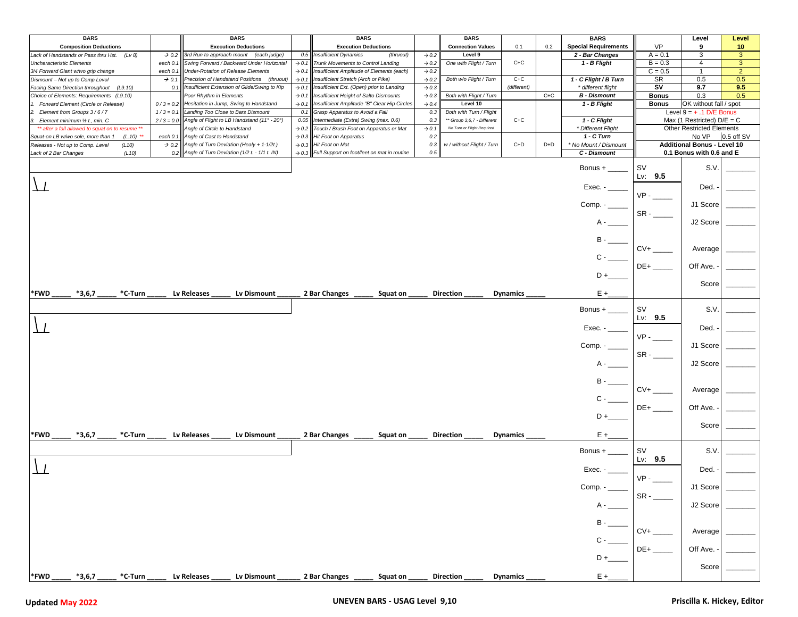| <b>BARS</b>                                                            |                   | <b>BARS</b>                                                                              |                          | <b>BARS</b>                                                                         |                          | <b>BARS</b>                         |                      |       | <b>BARS</b>                                               |                        | Level                                                            | Level           |
|------------------------------------------------------------------------|-------------------|------------------------------------------------------------------------------------------|--------------------------|-------------------------------------------------------------------------------------|--------------------------|-------------------------------------|----------------------|-------|-----------------------------------------------------------|------------------------|------------------------------------------------------------------|-----------------|
| <b>Composition Deductions</b>                                          |                   | <b>Execution Deductions</b>                                                              |                          | <b>Execution Deductions</b>                                                         |                          | <b>Connection Values</b>            | 0.1                  | 0.2   | <b>Special Requirements</b>                               | <b>VP</b>              | 9                                                                | 10 <sub>1</sub> |
| Lack of Handstands or Pass thru Hst.<br>(Lv 8)                         | $\rightarrow$ 0.2 | 3rd Run to approach mount (each judge)                                                   | 0.5                      | <b>Insufficient Dynamics</b><br>(thruout)                                           | $\rightarrow 0.2$        | Level 9                             |                      |       | 2 - Bar Changes                                           | $A = 0.1$              | 3                                                                | $\mathbf{3}$    |
| <b>Uncharacteristic Elements</b>                                       | each 0.1          | Swing Forward / Backward Under Horizontal                                                | $\rightarrow$ 0.1        | Trunk Movements to Control Landing                                                  | $\rightarrow$ 0.2        | One with Flight / Turn              | $C+C$                |       | 1 - B Flight                                              | $B = 0.3$              | 4                                                                | $\mathbf{3}$    |
| 3/4 Forward Giant w/wo grip change                                     |                   | each 0.1 Under-Rotation of Release Elements                                              | $\rightarrow$ 0.1        | Insufficient Amplitude of Elements (each)                                           | $\rightarrow 0.2$        |                                     |                      |       |                                                           | $C = 0.5$              | $\mathbf{1}$                                                     | $\overline{2}$  |
| Dismount - Not up to Comp Level                                        | $\rightarrow$ 0.1 | Precision of Handstand Positions (thruout)                                               | $\rightarrow$ 0.1        | Insufficient Stretch (Arch or Pike)                                                 | $\rightarrow$ 0.2        | Both w/o Flight / Turn              | $C+C$<br>(different) |       | 1 - C Flight / B Turn                                     | SR<br>SV               | 0.5<br>9.7                                                       | 0.5             |
| Facing Same Direction throughout (L9.10)                               | 0.1               | Insufficient Extension of Glide/Swing to Kip<br>Poor Rhythm in Elements                  | $\rightarrow$ 0.1        | Insufficient Ext. (Open) prior to Landing<br>Insufficient Height of Salto Dismounts | $\rightarrow 0.3$        | Both with Flight / Turn             |                      |       | * different flight                                        | <b>Bonus</b>           | 0.3                                                              | 9.5<br>0.5      |
| Choice of Elements: Requirements (L9.10)                               |                   |                                                                                          | $\rightarrow$ 0.1        |                                                                                     | $\rightarrow 0.3$        |                                     |                      | $C+C$ | <b>B</b> - Dismount                                       |                        |                                                                  |                 |
| 1. Forward Element (Circle or Release)<br>2. Element from Groups 3/6/7 | $1/3 = 0.1$       | $0/3 = 0.2$ Hesitation in Jump, Swing to Handstand<br>Landing Too Close to Bars Dismount | $\rightarrow$ 0.1<br>0.1 | Insufficient Amplitude "B" Clear Hip Circles<br>Grasp Apparatus to Avoid a Fall     | $\rightarrow$ 0.4<br>0.3 | Level 10<br>Both with Turn / Flight |                      |       | 1 - B Flight                                              | <b>Bonus</b>           | OK without fall / spot                                           |                 |
| 3. Element minimum 1/2 t., min. C                                      |                   | $2/3 = 0.0$ Angle of Flight to LB Handstand (11° - 20°)                                  | 0.05                     | Intermediate (Extra) Swing (max. 0.6)                                               | 0.3                      | ** Group 3,6,7 - Different          | $C+C$                |       | 1 - C Flight                                              |                        | Level $9 = +.1$ D/E Bonus                                        |                 |
| ** after a fall allowed to squat on to resume **                       |                   | Angle of Circle to Handstand                                                             | $\rightarrow$ 0.2        | Touch / Brush Foot on Apparatus or Mat                                              | $\rightarrow$ 0.1        | No Turn or Flight Required          |                      |       | * Different Flight                                        |                        | Max (1 Restricted) $D/E = C$<br><b>Other Restricted Elements</b> |                 |
| Squat-on LB w/wo sole, more than 1<br>$(L.10)$ **                      | each 0.1          | Angle of Cast to Handstand                                                               | $\rightarrow 0.3$        | Hit Foot on Apparatus                                                               | 0.2                      |                                     |                      |       | 1 - C Turn                                                |                        | No VP                                                            | 0.5 off SV      |
| Releases - Not up to Comp. Level<br>(L10)                              |                   | $\rightarrow$ 0.2 Angle of Turn Deviation (Healy + 1-1/2t.)                              |                          | $\rightarrow$ 0.3 Hit Foot on Mat                                                   | 0.3                      | w / without Flight / Turn           | $C+D$                | $D+D$ | * No Mount / Dismount                                     |                        | <b>Additional Bonus - Level 10</b>                               |                 |
| Lack of 2 Bar Changes<br>(L10)                                         |                   | 0.2 Angle of Turn Deviation (1/2 $t. -1/1$ $t.$ IN)                                      |                          | $\rightarrow$ 0.3 Full Support on foot/feet on mat in routine                       | 0.5                      |                                     |                      |       | C - Dismount                                              |                        | 0.1 Bonus with 0.6 and E                                         |                 |
|                                                                        |                   |                                                                                          |                          |                                                                                     |                          |                                     |                      |       |                                                           |                        |                                                                  |                 |
|                                                                        |                   |                                                                                          |                          |                                                                                     |                          |                                     |                      |       | Bonus $+$                                                 | <b>SV</b><br>Lv: $9.5$ | S.V.                                                             |                 |
|                                                                        |                   |                                                                                          |                          |                                                                                     |                          |                                     |                      |       | $Exec. -$                                                 |                        | Ded.                                                             |                 |
|                                                                        |                   |                                                                                          |                          |                                                                                     |                          |                                     |                      |       |                                                           | $VP -$                 | J1 Score                                                         |                 |
|                                                                        |                   |                                                                                          |                          |                                                                                     |                          |                                     |                      |       |                                                           | $SR -$                 | J2 Score                                                         |                 |
|                                                                        |                   |                                                                                          |                          |                                                                                     |                          |                                     |                      |       |                                                           |                        |                                                                  |                 |
|                                                                        |                   |                                                                                          |                          |                                                                                     |                          |                                     |                      |       |                                                           | $CV+$                  |                                                                  |                 |
|                                                                        |                   |                                                                                          |                          |                                                                                     |                          |                                     |                      |       |                                                           |                        | Average                                                          |                 |
|                                                                        |                   |                                                                                          |                          |                                                                                     |                          |                                     |                      |       |                                                           |                        |                                                                  |                 |
|                                                                        |                   |                                                                                          |                          |                                                                                     |                          |                                     |                      |       |                                                           | $DE+$                  | Off Ave.                                                         |                 |
|                                                                        |                   |                                                                                          |                          |                                                                                     |                          |                                     |                      |       |                                                           |                        | Score                                                            |                 |
| *FWD<br>$*3,6,7$<br>*C-Turn                                            |                   | Lv Releases<br>Lv Dismount                                                               |                          | 2 Bar Changes<br>Squat on                                                           |                          | <b>Direction</b>                    | <b>Dynamics</b>      |       | $E +$                                                     |                        |                                                                  |                 |
|                                                                        |                   |                                                                                          |                          |                                                                                     |                          |                                     |                      |       | Bonus $+$ $\_\_$                                          | <b>SV</b>              | S.V.                                                             |                 |
|                                                                        |                   |                                                                                          |                          |                                                                                     |                          |                                     |                      |       |                                                           | Lv: $9.5$              |                                                                  |                 |
|                                                                        |                   |                                                                                          |                          |                                                                                     |                          |                                     |                      |       | Exec. - ____                                              |                        | Ded.                                                             |                 |
|                                                                        |                   |                                                                                          |                          |                                                                                     |                          |                                     |                      |       |                                                           | $VP -$                 |                                                                  |                 |
|                                                                        |                   |                                                                                          |                          |                                                                                     |                          |                                     |                      |       |                                                           |                        | J1 Score                                                         |                 |
|                                                                        |                   |                                                                                          |                          |                                                                                     |                          |                                     |                      |       |                                                           | $SR -$                 |                                                                  |                 |
|                                                                        |                   |                                                                                          |                          |                                                                                     |                          |                                     |                      |       |                                                           |                        | J2 Score                                                         |                 |
|                                                                        |                   |                                                                                          |                          |                                                                                     |                          |                                     |                      |       |                                                           |                        |                                                                  |                 |
|                                                                        |                   |                                                                                          |                          |                                                                                     |                          |                                     |                      |       | $\mathsf{B}\mathord{\hspace{1pt}\text{--}\hspace{1pt}}$ . |                        |                                                                  |                 |
|                                                                        |                   |                                                                                          |                          |                                                                                     |                          |                                     |                      |       |                                                           | $CV+$                  | Average                                                          |                 |
|                                                                        |                   |                                                                                          |                          |                                                                                     |                          |                                     |                      |       |                                                           |                        |                                                                  |                 |
|                                                                        |                   |                                                                                          |                          |                                                                                     |                          |                                     |                      |       |                                                           | DE+                    | Off Ave.                                                         |                 |
|                                                                        |                   |                                                                                          |                          |                                                                                     |                          |                                     |                      |       | D +                                                       |                        |                                                                  |                 |
|                                                                        |                   |                                                                                          |                          |                                                                                     |                          |                                     |                      |       |                                                           |                        | Score                                                            |                 |
| *FWD<br>$*3,6,7$<br>*C-Turn                                            |                   | Lv Releases<br>Lv Dismount                                                               |                          | 2 Bar Changes<br>Squat on                                                           |                          | <b>Direction</b>                    | <b>Dynamics</b>      |       | E +_                                                      |                        |                                                                  |                 |
|                                                                        |                   |                                                                                          |                          |                                                                                     |                          |                                     |                      |       |                                                           |                        |                                                                  |                 |
|                                                                        |                   |                                                                                          |                          |                                                                                     |                          |                                     |                      |       |                                                           | <b>SV</b>              | S.V.                                                             |                 |
|                                                                        |                   |                                                                                          |                          |                                                                                     |                          |                                     |                      |       |                                                           | Lv: $9.5$              |                                                                  |                 |
|                                                                        |                   |                                                                                          |                          |                                                                                     |                          |                                     |                      |       | Exec. - $\_\_$                                            |                        | Ded.                                                             |                 |
|                                                                        |                   |                                                                                          |                          |                                                                                     |                          |                                     |                      |       |                                                           | $VP -$                 |                                                                  |                 |
|                                                                        |                   |                                                                                          |                          |                                                                                     |                          |                                     |                      |       | Comp. -                                                   |                        | J1 Score                                                         |                 |
|                                                                        |                   |                                                                                          |                          |                                                                                     |                          |                                     |                      |       |                                                           | $SR -$                 |                                                                  |                 |
|                                                                        |                   |                                                                                          |                          |                                                                                     |                          |                                     |                      |       |                                                           |                        | J2 Score                                                         |                 |
|                                                                        |                   |                                                                                          |                          |                                                                                     |                          |                                     |                      |       |                                                           |                        |                                                                  |                 |
|                                                                        |                   |                                                                                          |                          |                                                                                     |                          |                                     |                      |       |                                                           |                        |                                                                  |                 |
|                                                                        |                   |                                                                                          |                          |                                                                                     |                          |                                     |                      |       |                                                           | $CV+$                  | Average                                                          |                 |
|                                                                        |                   |                                                                                          |                          |                                                                                     |                          |                                     |                      |       |                                                           |                        |                                                                  |                 |
|                                                                        |                   |                                                                                          |                          |                                                                                     |                          |                                     |                      |       |                                                           | $DE+$                  | Off Ave.                                                         |                 |
|                                                                        |                   |                                                                                          |                          |                                                                                     |                          |                                     |                      |       | D+                                                        |                        |                                                                  |                 |
|                                                                        |                   |                                                                                          |                          |                                                                                     |                          |                                     |                      |       |                                                           |                        | Score                                                            |                 |
| *FWD<br>$*3,6,7$<br>*C-Turn                                            |                   | Lv Dismount<br>Lv Releases                                                               |                          | 2 Bar Changes<br>Squat on                                                           |                          | <b>Direction</b>                    | <b>Dynamics</b>      |       | $E +$                                                     |                        |                                                                  |                 |
|                                                                        |                   |                                                                                          |                          |                                                                                     |                          |                                     |                      |       |                                                           |                        |                                                                  |                 |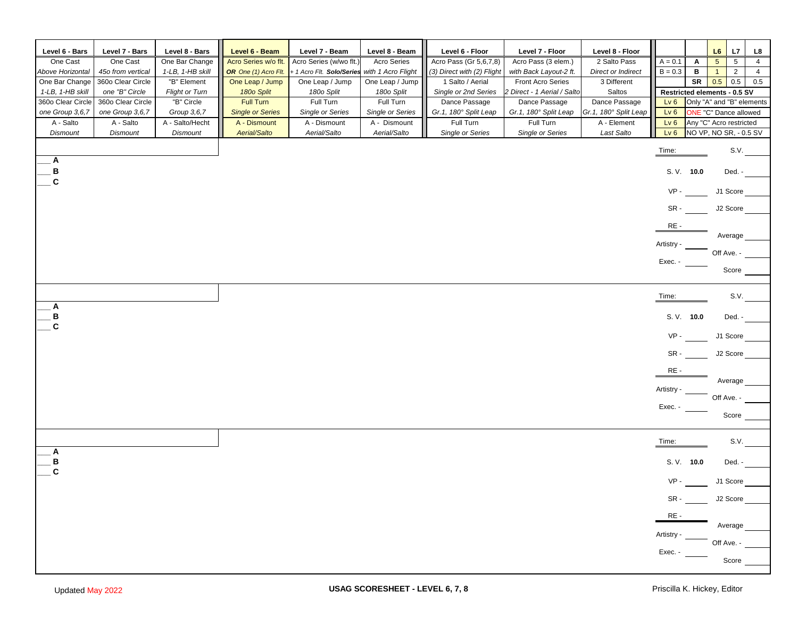| Level 6 - Bars               | Level 7 - Bars               | Level 8 - Bars                 | Level 6 - Beam                          | Level 7 - Beam                   | Level 8 - Beam                          | Level 6 - Floor                    | Level 7 - Floor                    | Level 8 - Floor                      |                                    |        | L6<br>L7                                                | L8                                |  |
|------------------------------|------------------------------|--------------------------------|-----------------------------------------|----------------------------------|-----------------------------------------|------------------------------------|------------------------------------|--------------------------------------|------------------------------------|--------|---------------------------------------------------------|-----------------------------------|--|
| One Cast                     | One Cast                     | One Bar Change                 | Acro Series w/o flt.                    | Acro Series (w/wo flt.)          | Acro Series                             | Acro Pass (Gr 5,6,7,8)             | Acro Pass (3 elem.)                | 2 Salto Pass                         | $A = 0.1$                          | Α      | $5\phantom{.0}$                                         | $5\phantom{.0}$<br>$\overline{4}$ |  |
| Above Horizontal             | 45o from vertical            | 1-LB, 1-HB skill               | OR One (1) Acro Flt.                    | + 1 Acro Flt. Solo/Series        | with 1 Acro Flight                      | (3) Direct with (2) Flight         | with Back Layout-2 ft.             | Direct or Indirect                   | $B = 0.3$                          | в      | $\mathbf{1}$                                            | $\overline{2}$<br>$\overline{4}$  |  |
| One Bar Change               | 360o Clear Circle            | "B" Element                    | One Leap / Jump                         | One Leap / Jump                  | One Leap / Jump                         | 1 Salto / Aerial                   | <b>Front Acro Series</b>           | 3 Different                          |                                    | SR     | 0.5<br>0.5                                              | 0.5                               |  |
| 1-LB, 1-HB skill             | one "B" Circle               | Flight or Turn                 | 180 <sub>o</sub> Split                  | 180o Split                       | 180o Split                              | Single or 2nd Series               | 2 Direct - 1 Aerial / Salto        | Saltos                               |                                    |        | Restricted elements - 0.5 SV                            |                                   |  |
| 360o Clear Circle            | 360o Clear Circle            | "B" Circle                     | <b>Full Turn</b>                        | Full Turn                        | Full Turn                               | Dance Passage                      | Dance Passage                      | Dance Passage                        | Lv6                                |        | Only "A" and "B" elements                               |                                   |  |
| one Group 3,6,7<br>A - Salto | one Group 3,6,7<br>A - Salto | Group 3,6,7<br>A - Salto/Hecht | <b>Single or Series</b><br>A - Dismount | Single or Series<br>A - Dismount | <b>Single or Series</b><br>A - Dismount | Gr.1, 180° Split Leap<br>Full Turn | Gr.1, 180° Split Leap<br>Full Turn | Gr.1, 180° Split Leap<br>A - Element | Lv <sub>6</sub><br>Lv <sub>6</sub> |        | <b>ONE</b> "C" Dance allowed<br>Any "C" Acro restricted |                                   |  |
| <b>Dismount</b>              | <b>Dismount</b>              | <b>Dismount</b>                | Aerial/Salto                            | Aerial/Salto                     | Aerial/Salto                            | Single or Series                   | Single or Series                   | Last Salto                           | Lv6                                |        | NO VP, NO SR, - 0.5 SV                                  |                                   |  |
|                              |                              |                                |                                         |                                  |                                         |                                    |                                    |                                      |                                    |        |                                                         |                                   |  |
|                              |                              |                                |                                         |                                  |                                         |                                    |                                    |                                      | Time:                              |        |                                                         | S.V.                              |  |
| Α<br>В                       |                              |                                |                                         |                                  |                                         |                                    |                                    |                                      | S. V. 10.0                         |        | Ded. -                                                  |                                   |  |
| $\mathbf c$                  |                              |                                |                                         |                                  |                                         |                                    |                                    |                                      |                                    |        |                                                         |                                   |  |
|                              |                              |                                |                                         |                                  |                                         |                                    |                                    |                                      | $VP -$                             |        | J1 Score                                                |                                   |  |
|                              |                              |                                |                                         |                                  |                                         |                                    |                                    |                                      | SR-                                |        | J2 Score                                                |                                   |  |
|                              |                              |                                |                                         |                                  |                                         |                                    |                                    |                                      | RE-                                |        |                                                         |                                   |  |
|                              |                              |                                |                                         |                                  |                                         |                                    |                                    |                                      | Artistry                           |        | Average                                                 |                                   |  |
|                              |                              |                                |                                         |                                  |                                         |                                    |                                    |                                      | Exec. -                            |        | Off Ave. -                                              |                                   |  |
|                              |                              |                                |                                         |                                  |                                         |                                    |                                    |                                      |                                    |        | Score                                                   |                                   |  |
| Α                            |                              |                                |                                         |                                  |                                         |                                    |                                    |                                      | Time:                              |        |                                                         | S.V.                              |  |
| В                            |                              |                                |                                         |                                  |                                         |                                    |                                    |                                      | S. V. 10.0                         |        | Ded. -                                                  |                                   |  |
| $\mathbf{C}$                 |                              |                                |                                         |                                  |                                         |                                    |                                    |                                      | $VP -$                             |        | J1 Score                                                |                                   |  |
|                              |                              |                                |                                         |                                  |                                         |                                    |                                    |                                      | SR-                                |        | J2 Score                                                |                                   |  |
|                              |                              |                                |                                         |                                  |                                         |                                    |                                    |                                      | RE-                                |        |                                                         |                                   |  |
|                              |                              |                                |                                         |                                  |                                         |                                    |                                    |                                      | Artistry                           |        | Average                                                 |                                   |  |
|                              |                              |                                |                                         |                                  |                                         |                                    |                                    |                                      |                                    |        | Off Ave. -                                              |                                   |  |
|                              |                              |                                |                                         |                                  |                                         |                                    |                                    |                                      | Exec. -                            |        |                                                         |                                   |  |
|                              |                              |                                |                                         |                                  |                                         |                                    |                                    |                                      |                                    |        | Score                                                   |                                   |  |
|                              |                              |                                |                                         |                                  |                                         |                                    |                                    |                                      | Time:                              |        |                                                         | S.V.                              |  |
| Α                            |                              |                                |                                         |                                  |                                         |                                    |                                    |                                      |                                    |        |                                                         |                                   |  |
| В<br>$\mathbf{C}$            |                              |                                |                                         |                                  |                                         |                                    |                                    |                                      | S. V. 10.0                         |        | Ded. -                                                  |                                   |  |
|                              |                              |                                |                                         |                                  |                                         |                                    |                                    |                                      | $VP -$                             |        | J1 Score                                                |                                   |  |
|                              |                              |                                |                                         |                                  |                                         |                                    |                                    |                                      |                                    | $SR -$ | J2 Score                                                |                                   |  |
|                              |                              |                                |                                         |                                  |                                         |                                    |                                    |                                      | $RE-$                              |        |                                                         |                                   |  |
|                              |                              |                                |                                         |                                  |                                         |                                    |                                    |                                      |                                    |        | Average                                                 |                                   |  |
|                              |                              |                                |                                         |                                  |                                         |                                    |                                    |                                      | Artistry -                         |        | $\overline{\phantom{a}}$ Off Ave. -                     |                                   |  |
|                              |                              |                                |                                         |                                  |                                         |                                    |                                    |                                      | Exec. -                            |        |                                                         |                                   |  |
|                              |                              |                                |                                         |                                  |                                         |                                    |                                    |                                      |                                    |        | Score                                                   |                                   |  |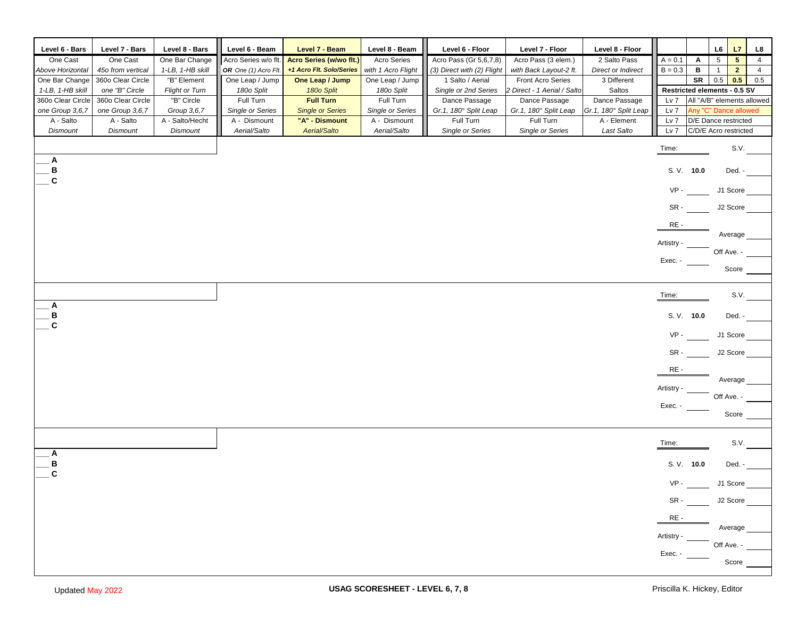| Level 6 - Bars    | Level 7 - Bars    | Level 8 - Bars   | Level 6 - Beam       | Level 7 - Beam           | Level 8 - Beam          | Level 6 - Floor            | Level 7 - Floor             | Level 8 - Floor           |                              |                            | L6              | L7             | L8             |
|-------------------|-------------------|------------------|----------------------|--------------------------|-------------------------|----------------------------|-----------------------------|---------------------------|------------------------------|----------------------------|-----------------|----------------|----------------|
| One Cast          | One Cast          | One Bar Change   | Acro Series w/o flt. | Acro Series (w/wo flt.)  | <b>Acro Series</b>      | Acro Pass (Gr 5,6,7,8)     | Acro Pass (3 elem.)         | 2 Salto Pass              | $A = 0.1$                    | A                          | $5\phantom{.0}$ | 5 <sup>1</sup> | $\overline{4}$ |
| Above Horizontal  | 45o from vertical | 1-LB, 1-HB skill | OR One (1) Acro Flt. | +1 Acro Flt. Solo/Series | with 1 Acro Flight      | (3) Direct with (2) Flight | with Back Layout-2 ft.      | <b>Direct or Indirect</b> | $B = 0.3$                    | в                          | $\mathbf{1}$    | $\overline{2}$ | $\overline{4}$ |
| One Bar Change    | 360o Clear Circle | "B" Element      | One Leap / Jump      | One Leap / Jump          | One Leap / Jump         | 1 Salto / Aerial           | Front Acro Series           | 3 Different               |                              | SR                         | $0.5\,$         | 0.5            | 0.5            |
| 1-LB, 1-HB skill  | one "B" Circle    | Flight or Turn   | 180o Split           | 180 <sub>o</sub> Split   | 180o Split              | Single or 2nd Series       | 2 Direct - 1 Aerial / Salto | Saltos                    | Restricted elements - 0.5 SV |                            |                 |                |                |
| 360o Clear Circle | 360o Clear Circle | "B" Circle       | Full Turn            | <b>Full Turn</b>         | Full Turn               | Dance Passage              | Dance Passage               | Dance Passage             | Lv 7                         | All "A/B" elements allowed |                 |                |                |
| one Group 3,6,7   | one Group 3,6,7   | Group 3,6,7      | Single or Series     | <b>Single or Series</b>  | <b>Single or Series</b> | Gr.1, 180° Split Leap      | Gr.1, 180° Split Leap       | Gr.1, 180° Split Leap     | Lv 7                         | Any "C" Dance allowed      |                 |                |                |
| A - Salto         | A - Salto         | A - Salto/Hecht  | A - Dismount         | "A" - Dismount           | A - Dismount            | Full Turn                  | Full Turn                   | A - Element               | Lv 7                         | D/E Dance restricted       |                 |                |                |
| <b>Dismount</b>   | <b>Dismount</b>   | <b>Dismount</b>  | Aerial/Salto         | Aerial/Salto             | Aerial/Salto            | Single or Series           | Single or Series            | Last Salto                | Lv 7                         | C/D/E Acro restricted      |                 |                |                |
|                   |                   |                  |                      |                          |                         |                            |                             |                           | Time:                        |                            |                 | S.V.           |                |
| A                 |                   |                  |                      |                          |                         |                            |                             |                           |                              |                            |                 |                |                |
| B                 |                   |                  |                      |                          |                         |                            |                             |                           | S. V. 10.0                   |                            |                 | Ded. -         |                |
| $\mathbf{C}$      |                   |                  |                      |                          |                         |                            |                             |                           | $VP -$                       |                            | J1 Score        |                |                |
|                   |                   |                  |                      |                          |                         |                            |                             |                           |                              |                            |                 |                |                |
|                   |                   |                  |                      |                          |                         |                            |                             |                           | SR-                          |                            | J2 Score        |                |                |
|                   |                   |                  |                      |                          |                         |                            |                             |                           | RE-                          |                            |                 |                |                |
|                   |                   |                  |                      |                          |                         |                            |                             |                           |                              |                            | Average         |                |                |
|                   |                   |                  |                      |                          |                         |                            |                             |                           | Artistry                     |                            | Off Ave. -      |                |                |
|                   |                   |                  |                      |                          |                         |                            |                             |                           | Exec. -                      |                            |                 |                |                |
|                   |                   |                  |                      |                          |                         |                            |                             |                           |                              |                            |                 | Score          |                |
|                   |                   |                  |                      |                          |                         |                            |                             |                           |                              |                            |                 |                |                |
| Α                 |                   |                  |                      |                          |                         |                            |                             |                           | Time:                        |                            |                 | S.V.           |                |
| в                 |                   |                  |                      |                          |                         |                            |                             |                           | S. V. 10.0                   |                            |                 | Ded. -         |                |
| $\mathbf{C}$      |                   |                  |                      |                          |                         |                            |                             |                           |                              |                            |                 |                |                |
|                   |                   |                  |                      |                          |                         |                            |                             |                           | $VP -$                       |                            | J1 Score        |                |                |
|                   |                   |                  |                      |                          |                         |                            |                             |                           | SR -                         |                            | J2 Score        |                |                |
|                   |                   |                  |                      |                          |                         |                            |                             |                           | RE-                          |                            |                 |                |                |
|                   |                   |                  |                      |                          |                         |                            |                             |                           |                              |                            | Average         |                |                |
|                   |                   |                  |                      |                          |                         |                            |                             |                           | Artistry ·                   |                            | Off Ave. -      |                |                |
|                   |                   |                  |                      |                          |                         |                            |                             |                           | Exec. -                      |                            |                 |                |                |
|                   |                   |                  |                      |                          |                         |                            |                             |                           |                              |                            |                 | Score          |                |
|                   |                   |                  |                      |                          |                         |                            |                             |                           |                              |                            |                 |                |                |
|                   |                   |                  |                      |                          |                         |                            |                             |                           | Time:                        |                            |                 | S.V.           |                |
| Α                 |                   |                  |                      |                          |                         |                            |                             |                           |                              |                            |                 |                |                |
| В                 |                   |                  |                      |                          |                         |                            |                             |                           | S.V. 10.0                    |                            |                 | Ded. -         |                |
| $\mathbf{C}$      |                   |                  |                      |                          |                         |                            |                             |                           | $VP -$                       |                            | J1 Score        |                |                |
|                   |                   |                  |                      |                          |                         |                            |                             |                           |                              |                            |                 |                |                |
|                   |                   |                  |                      |                          |                         |                            |                             |                           | $SR -$                       |                            | J2 Score        |                |                |
|                   |                   |                  |                      |                          |                         |                            |                             |                           | RE-                          |                            |                 |                |                |
|                   |                   |                  |                      |                          |                         |                            |                             |                           |                              |                            | Average         |                |                |
|                   |                   |                  |                      |                          |                         |                            |                             |                           | Artistry -                   |                            | Off Ave. -      |                |                |
|                   |                   |                  |                      |                          |                         |                            |                             |                           | Exec. -                      |                            |                 |                |                |
|                   |                   |                  |                      |                          |                         |                            |                             |                           |                              |                            |                 | Score          |                |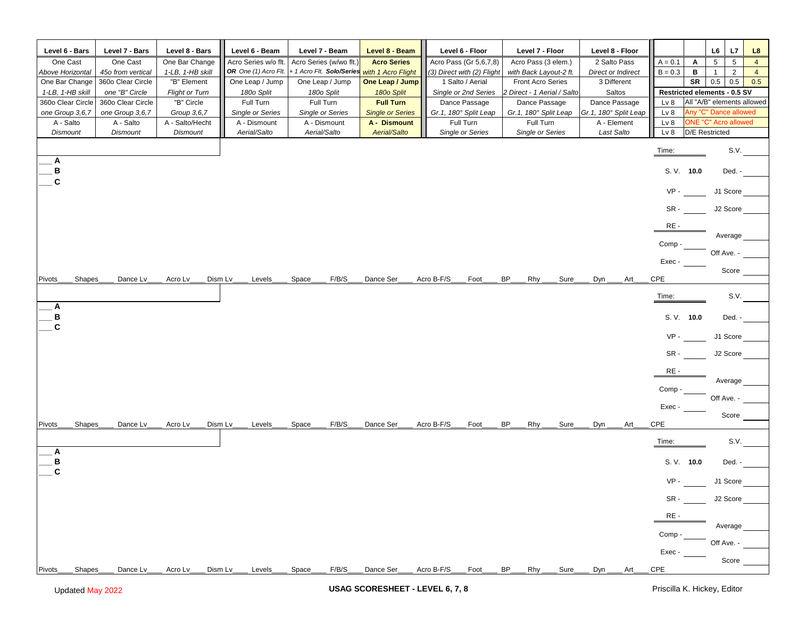| Level 6 - Bars    | Level 7 - Bars    | Level 8 - Bars        | Level 6 - Beam          | Level 7 - Beam            | Level 8 - Beam          | Level 6 - Floor            | Level 7 - Floor                             | Level 8 - Floor           |                                  | L6<br>L7                           | L8             |
|-------------------|-------------------|-----------------------|-------------------------|---------------------------|-------------------------|----------------------------|---------------------------------------------|---------------------------|----------------------------------|------------------------------------|----------------|
| One Cast          | One Cast          | One Bar Change        | Acro Series w/o flt.    | Acro Series (w/wo flt.)   | <b>Acro Series</b>      | Acro Pass (Gr 5,6,7,8)     | Acro Pass (3 elem.)                         | 2 Salto Pass              | $A = 0.1$<br>Α                   | $5\phantom{.0}$<br>$5\phantom{.0}$ | $\overline{4}$ |
| Above Horizontal  | 45o from vertical | 1-LB, 1-HB skill      | OR One (1) Acro Flt.    | + 1 Acro Flt. Solo/Series | with 1 Acro Flight      | (3) Direct with (2) Flight | with Back Layout-2 ft.                      | <b>Direct or Indirect</b> | $B = 0.3$<br>в                   | $\overline{2}$<br>$\mathbf{1}$     | $\overline{4}$ |
| One Bar Change    | 360o Clear Circle | "B" Element           | One Leap / Jump         | One Leap / Jump           | One Leap / Jump         | 1 Salto / Aerial           | <b>Front Acro Series</b>                    | 3 Different               | <b>SR</b>                        | 0.5<br>0.5                         | 0.5            |
| 1-LB, 1-HB skill  | one "B" Circle    | <b>Flight or Turn</b> | 180o Split              | 180o Split                | 180 <sub>o</sub> Split  | Single or 2nd Series       | 2 Direct - 1 Aerial / Salto                 | Saltos                    | Restricted elements - 0.5 SV     |                                    |                |
| 360o Clear Circle | 360o Clear Circle | "B" Circle            | Full Turn               | Full Turn                 | <b>Full Turn</b>        | Dance Passage              | Dance Passage                               | Dance Passage             | Lv <sub>8</sub>                  | All "A/B" elements allowed         |                |
| one Group 3,6,7   | one Group 3,6,7   | Group 3,6,7           | <b>Single or Series</b> | <b>Single or Series</b>   | <b>Single or Series</b> | Gr.1, 180° Split Leap      | Gr.1, 180° Split Leap                       | Gr.1, 180° Split Leap     | Lv <sub>8</sub>                  | Any "C" Dance allowed              |                |
| A - Salto         | A - Salto         | A - Salto/Hecht       | A - Dismount            | A - Dismount              | A - Dismount            | Full Turn                  | Full Turn                                   | A - Element               | Lv <sub>8</sub>                  | <b>ONE "C" Acro allowed</b>        |                |
| Dismount          | <b>Dismount</b>   | <b>Dismount</b>       | Aerial/Salto            | Aerial/Salto              | Aerial/Salto            | Single or Series           | Single or Series                            | Last Salto                | Lv 8                             | <b>D/E</b> Restricted              |                |
|                   |                   |                       |                         |                           |                         |                            |                                             |                           | Time:                            | S.V.                               |                |
| Α<br>В            |                   |                       |                         |                           |                         |                            |                                             |                           | S. V. 10.0                       | Ded. -                             |                |
| C                 |                   |                       |                         |                           |                         |                            |                                             |                           | $VP -$                           | J1 Score                           |                |
|                   |                   |                       |                         |                           |                         |                            |                                             |                           | SR -                             | J2 Score                           |                |
|                   |                   |                       |                         |                           |                         |                            |                                             |                           | RE-                              | Average                            |                |
|                   |                   |                       |                         |                           |                         |                            |                                             |                           | Comp<br>Exec-                    | Off Ave. -                         |                |
| Pivots_<br>Shapes | Dance Lv          | Acro $Lv_$            | Dism Lv_<br>Levels      | Space<br>F/B/S            | Dance Ser               | Acro B-F/S<br>Foot         | BP<br>. Rhy<br>Sure_                        | Dyn<br>Art                | CPE                              | Score                              |                |
|                   |                   |                       |                         |                           |                         |                            |                                             |                           | Time:                            | S.V.                               |                |
| Α<br>В            |                   |                       |                         |                           |                         |                            |                                             |                           | S. V. 10.0                       | Ded. -                             |                |
| C                 |                   |                       |                         |                           |                         |                            |                                             |                           | $VP -$                           | J1 Score                           |                |
|                   |                   |                       |                         |                           |                         |                            |                                             |                           | SR -                             | J2 Score                           |                |
|                   |                   |                       |                         |                           |                         |                            |                                             |                           | RE-                              | Average                            |                |
|                   |                   |                       |                         |                           |                         |                            |                                             |                           | Comp                             |                                    |                |
|                   |                   |                       |                         |                           |                         |                            |                                             |                           | Exec-                            | Off Ave. -                         |                |
| Pivots_<br>Shapes | Dance Lv          | Acro Lv_              | Dism Lv<br>Levels       | F/B/S<br>Space_           | Dance Ser               | Acro B-F/S<br>Foot         | BP_<br><sub>-</sub> Rhy<br>Sure_            | Dyn<br>Art                | CPE                              | Score                              |                |
|                   |                   |                       |                         |                           |                         |                            |                                             |                           | Time:                            | S.V.                               |                |
| Α<br>В            |                   |                       |                         |                           |                         |                            |                                             |                           | S. V. 10.0                       | Ded. -                             |                |
| C                 |                   |                       |                         |                           |                         |                            |                                             |                           | $VP -$                           | J1 Score                           |                |
|                   |                   |                       |                         |                           |                         |                            |                                             |                           | $SR -$                           | J2 Score                           |                |
|                   |                   |                       |                         |                           |                         |                            |                                             |                           | RE-                              |                                    |                |
|                   |                   |                       |                         |                           |                         |                            |                                             |                           |                                  | Average                            |                |
|                   |                   |                       |                         |                           |                         |                            |                                             |                           | $\mathsf{Comp} \operatorname{-}$ | Off Ave. -                         |                |
|                   |                   |                       |                         |                           |                         |                            |                                             |                           | Exec -                           | Score $_{-}$                       |                |
| Pivots_<br>Shapes | Dance Lv_         | Acro Lv___            | Dism Lv<br>Levels_      | F/B/S<br>Space_           | Dance Ser               | Acro B-F/S<br>Foot         | BP_____Rhy______Sure______Dyn _____ Art____ |                           | $\_$ CPE                         |                                    |                |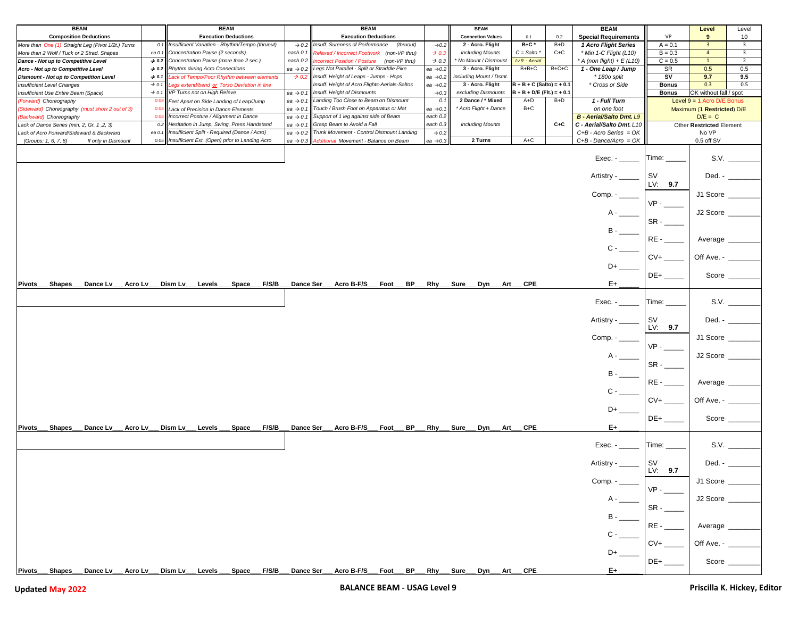| <b>BEAM</b>                                        |                   |                                                     | <b>BEAM</b>                               |                      | <b>BEAM</b>                                                    |                      | <b>BEAM</b>              |                              |         | <b>BEAM</b>                     |                                        | Level                        | Level                   |
|----------------------------------------------------|-------------------|-----------------------------------------------------|-------------------------------------------|----------------------|----------------------------------------------------------------|----------------------|--------------------------|------------------------------|---------|---------------------------------|----------------------------------------|------------------------------|-------------------------|
| <b>Composition Deductions</b>                      |                   |                                                     | <b>Execution Deductions</b>               |                      | <b>Execution Deductions</b>                                    |                      | <b>Connection Values</b> | 0.1                          | 0.2     | <b>Special Requirements</b>     | <b>VP</b>                              | 9                            | 10                      |
| More than One (1) Straight Leg (Pivot 1/2t.) Turns | 0.1               | Insufficient Variation - Rhythm/Tempo (thruout)     |                                           |                      | $\rightarrow$ 0.2 Insuff. Sureness of Performance<br>(thruout) | $\rightarrow 0.2$    | 2 - Acro. Flight         | $B+C^*$                      | $B+D$   | 1 Acro Flight Series            | $A = 0.1$                              | 3 <sup>7</sup>               | $\overline{\mathbf{3}}$ |
| More than 2 Wolf / Tuck or 2 Strad. Shapes         | ea 0.             | Concentration Pause (2 seconds)                     |                                           | each 0.1             | Relaxed / Incorrect Footwork (non-VP thru)                     | $\rightarrow$ 0.3    | including Mounts         | $C = Salto$                  | $C+C$   | * Min 1-C Flight (L10)          | $B = 0.3$                              | $\overline{4}$               | $\overline{\mathbf{3}}$ |
| Dance - Not up to Competitive Level                | $\rightarrow$ 0.2 | Concentration Pause (more than 2 sec.)              |                                           |                      | each 0.2 Incorrect Position / Posture (non-VP thru)            | $\rightarrow$ 0.3    | No Mount / Dismount      | $Lv9 - Aerial$               |         | * A (non flight) + $E(L10)$     | $C = 0.5$                              | $\mathbf{1}$                 | $\overline{2}$          |
| Acro - Not up to Competitive Level                 | $\rightarrow$ 0.2 | Rhythm during Acro Connections                      |                                           | ea $\rightarrow$ 0.2 | Legs Not Parallel - Split or Straddle Pike                     | ea $\rightarrow$ 0.2 | 3 - Acro. Flight         | $B + B + C$                  | $B+C+C$ | 1 - One Leap / Jump             | SR                                     | 0.5                          | 0.5                     |
| <b>Dismount - Not up to Competition Level</b>      | $\rightarrow$ 0.1 |                                                     | ack of Tempo/Poor Rhythm between elements | $\rightarrow$ 0.2    | Insuff. Height of Leaps - Jumps - Hops                         | ea $\rightarrow$ 0.2 | including Mount / Dsmt.  |                              |         | * 180o split                    | SV                                     | 9.7                          | 9.5                     |
| <b>Insufficient Level Changes</b>                  | $\rightarrow$ 0.1 | egs extend/bend or Torso Deviation in line          |                                           |                      | Insuff. Height of Acro Flights-Aerials-Saltos                  | ea $\rightarrow$ 0.2 | 3 - Acro. Flight         | $B + B + C$ (Salto) = + 0.1  |         | * Cross or Side                 | <b>Bonus</b>                           | 0.3                          | 0.5                     |
| Insufficient Use Entire Beam (Space)               | $\rightarrow$ 0.1 | VP Turns not on High Releve                         |                                           | ea $\rightarrow$ 0.1 | Insuff. Height of Dismounts                                    | $\rightarrow 0.3$    | excluding Dismounts      | $B + B + D/E$ (Fit.) = + 0.1 |         |                                 | OK without fall / spot<br><b>Bonus</b> |                              |                         |
| (Forward) Choreography                             | 0.05              | Feet Apart on Side Landing of Leap/Jump             |                                           | ea $\rightarrow$ 0.1 | Landing Too Close to Beam on Dismount                          | 0.1                  | 2 Dance / * Mixed        | $A+D$                        | $B+D$   | 1 - Full Turn                   |                                        | Level $9 = 1$ Acro D/E Bonus |                         |
| (Sideward) Choreography (must show 2 out of 3)     | 0.05              | Lack of Precision in Dance Elements                 |                                           | ea $\rightarrow$ 0.1 | Touch / Brush Foot on Apparatus or Mat                         | ea $\rightarrow$ 0.1 | * Acro Flight + Dance    | B+C                          |         | on one foot                     |                                        | Maximum (1 Restricted) D/E   |                         |
| (Backward) Choreography                            | 0.05              | Incorrect Posture / Alignment in Dance              |                                           | ea $\rightarrow$ 0.1 | Support of 1 leg against side of Beam                          | each 0.2             |                          |                              |         | <b>B - Aerial/Salto Dmt. L9</b> |                                        | $D/E = C$                    |                         |
| Lack of Dance Series (min. 2; Gr. 1,2, 3)          | 0.2               | Hesitation in Jump, Swing, Press Handstand          |                                           | ea $\rightarrow$ 0.1 | Grasp Beam to Avoid a Fall                                     | each 0.3             | including Mounts         |                              | $C+C$   | C - Aerial/Salto Dmt. L10       |                                        | Other Restricted Element     |                         |
| Lack of Acro Forward/Sideward & Backward           |                   | ea 0.1 Insufficient Split - Required (Dance / Acro) |                                           | ea $\rightarrow$ 0.2 | Trunk Movement - Control Dismount Landing                      | $\rightarrow$ 0.2    |                          |                              |         | $C+B$ - Acro Series = OK        |                                        | No VP                        |                         |
| (Groups: 1, 6, 7, 8)<br>If only in Dismount        | 0.05              | Insufficient Ext. (Open) prior to Landing Acro      |                                           | ea $\rightarrow$ 0.3 | Additional Movement - Balance on Beam                          | ea $\rightarrow$ 0.3 | 2 Turns                  | $A+C$                        |         | $C+B$ - Dance/Acro = OK         |                                        | 0.5 off SV                   |                         |
|                                                    |                   |                                                     |                                           |                      |                                                                |                      |                          |                              |         | Exec. -<br>Artistry -           | Time:<br>sv                            | Ded. -                       | S.V.                    |
|                                                    |                   |                                                     |                                           |                      |                                                                |                      |                          |                              |         |                                 | LV: 9.7                                |                              |                         |
|                                                    |                   |                                                     |                                           |                      |                                                                |                      |                          |                              |         | $Comp. -$                       | $VP -$                                 | J1 Score                     |                         |
|                                                    |                   |                                                     |                                           |                      |                                                                |                      |                          |                              |         |                                 |                                        | J2 Score                     |                         |
|                                                    |                   |                                                     |                                           |                      |                                                                |                      |                          |                              |         |                                 | SR-                                    |                              |                         |
|                                                    |                   |                                                     |                                           |                      |                                                                |                      |                          |                              |         |                                 | RE-                                    | Average                      |                         |
|                                                    |                   |                                                     |                                           |                      |                                                                |                      |                          |                              |         | $C -$                           |                                        |                              |                         |
|                                                    |                   |                                                     |                                           |                      |                                                                |                      |                          |                              |         | D+                              | $CV+$                                  | Off Ave. - $_{-}$            |                         |
|                                                    |                   |                                                     |                                           |                      |                                                                |                      |                          |                              |         |                                 | DE+                                    | Score $_{-}$                 |                         |
| Pivots____ Shapes___<br>Dance Lv_                  | Acro Lv_          | Dism Lv_<br>Levels                                  | $_F$ F/S/B<br>Space                       | Dance Ser            | Acro B-F/S<br>BP<br>Foot                                       | Rhy                  | Sure<br>Dyn              | Art CPE                      |         | E+                              |                                        |                              |                         |
|                                                    |                   |                                                     |                                           |                      |                                                                |                      |                          |                              |         | Exec. -                         | Time:                                  |                              | S.V.                    |
|                                                    |                   |                                                     |                                           |                      |                                                                |                      |                          |                              |         | Artistry -                      | sv<br>LV: 9.7                          | Ded. -                       |                         |
|                                                    |                   |                                                     |                                           |                      |                                                                |                      |                          |                              |         | Comp. -                         | VP-                                    | J1 Score                     |                         |
|                                                    |                   |                                                     |                                           |                      |                                                                |                      |                          |                              |         | A -                             | SR-                                    | J2 Score                     |                         |
|                                                    |                   |                                                     |                                           |                      |                                                                |                      |                          |                              |         | <b>B</b> -                      | RE-                                    | Average                      |                         |
|                                                    |                   |                                                     |                                           |                      |                                                                |                      |                          |                              |         | C -                             |                                        |                              |                         |
|                                                    |                   |                                                     |                                           |                      |                                                                |                      |                          |                              |         |                                 | $CV+$                                  | Off Ave. -                   |                         |
|                                                    |                   |                                                     |                                           |                      |                                                                |                      |                          |                              |         | D+                              |                                        |                              |                         |
| Pivots<br>Shapes<br>Dance Lv                       | Acro Lv           | Dism Lv Levels                                      | <b>F/S/B</b><br>Space                     | Dance Ser            | Acro B-F/S<br>BP .<br>Foot                                     | Rhy                  | Sure<br>Dyn<br>Art       | <b>CPE</b>                   |         | E+                              | DE+                                    |                              | Score $\_\_$            |
|                                                    |                   |                                                     |                                           |                      |                                                                |                      |                          |                              |         | $Exec. -$                       | Time: ____                             |                              | S.V.                    |
|                                                    |                   |                                                     |                                           |                      |                                                                |                      |                          |                              |         | Artistry - ___                  | SV<br>LV: 9.7                          | Ded. -                       |                         |
|                                                    |                   |                                                     |                                           |                      |                                                                |                      |                          |                              |         | Comp. -                         |                                        | J1 Score                     |                         |
|                                                    |                   |                                                     |                                           |                      |                                                                |                      |                          |                              |         |                                 | SR-                                    | J2 Score                     |                         |
|                                                    |                   |                                                     |                                           |                      |                                                                |                      |                          |                              |         | в                               |                                        |                              |                         |
|                                                    |                   |                                                     |                                           |                      |                                                                |                      |                          |                              |         |                                 | RE-                                    | Average                      |                         |
|                                                    |                   |                                                     |                                           |                      |                                                                |                      |                          |                              |         |                                 | $CV+$                                  | Off Ave. -                   |                         |
|                                                    |                   |                                                     |                                           |                      |                                                                |                      |                          |                              |         |                                 | $DE+$                                  | Score                        |                         |
| Shapes Dance Lv Acro Lv Dism Lv Levels<br>Pivots_  |                   |                                                     |                                           |                      | Space F/S/B Dance Ser Acro B-F/S Foot BP Rhy Sure Dyn Art CPE  |                      |                          |                              |         | E+                              |                                        |                              |                         |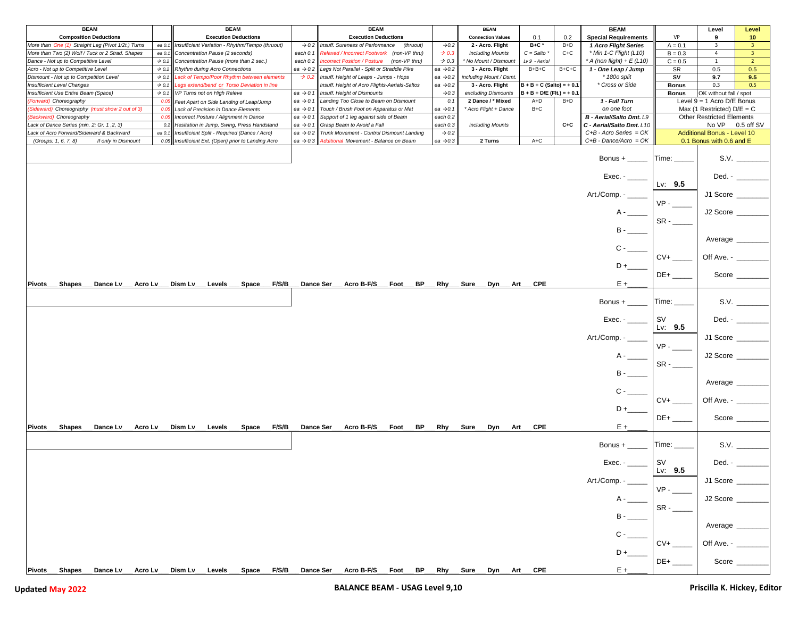| <b>BEAM</b>                                           |                   | <b>BEAM</b>                                     |                |                      | <b>BEAM</b>                                                                                   |                      | <b>BEAM</b>              |                              |         | <b>BEAM</b>                  |                 | Level                              | Level                                                                                 |
|-------------------------------------------------------|-------------------|-------------------------------------------------|----------------|----------------------|-----------------------------------------------------------------------------------------------|----------------------|--------------------------|------------------------------|---------|------------------------------|-----------------|------------------------------------|---------------------------------------------------------------------------------------|
| <b>Composition Deductions</b>                         |                   | <b>Execution Deductions</b>                     |                |                      | <b>Execution Deductions</b>                                                                   |                      | <b>Connection Values</b> | 0.1                          | 0.2     | <b>Special Requirements</b>  | <b>VP</b>       | 9                                  | 10                                                                                    |
| More than One (1) Straight Leg (Pivot 1/2t.) Turns    | ea 0.1            | Insufficient Variation - Rhythm/Tempo (thruout) |                | $\rightarrow$ 0.2    | Insuff. Sureness of Performance<br>(thruout)                                                  |                      | 2 - Acro. Flight         | $B+C$ *                      | $B+D$   | 1 Acro Flight Series         | $A = 0.1$       | $\overline{\mathbf{3}}$            | $\overline{\mathbf{3}}$                                                               |
|                                                       |                   |                                                 |                |                      |                                                                                               | $\rightarrow 0.2$    |                          |                              |         |                              |                 |                                    |                                                                                       |
| More than Two (2) Wolf / Tuck or 2 Strad. Shapes      | ea 0.1            | Concentration Pause (2 seconds)                 |                | each 0.1             | Relaxed / Incorrect Footwork (non-VP thru)                                                    | $\rightarrow$ 0.3    | including Mounts         | $C = Salto$                  | $C+C$   | * Min 1-C Flight (L10)       | $B = 0.3$       | $\overline{4}$                     | $\overline{\mathbf{3}}$                                                               |
| Dance - Not up to Competitive Level                   | $\rightarrow$ 0.2 | Concentration Pause (more than 2 sec.)          |                | each 0.2             | Incorrect Position / Posture (non-VP thru)                                                    | $\rightarrow$ 0.3    | No Mount / Dismount      | Lv 9 - Aerial                |         | * A (non flight) + $E$ (L10) | $C = 0.5$       | 1                                  | $\overline{2}$                                                                        |
| Acro - Not up to Competitive Level                    | $\rightarrow$ 0.2 | Rhythm during Acro Connections                  |                | ea $\rightarrow$ 0.2 | Legs Not Parallel - Split or Straddle Pike                                                    | ea $\rightarrow$ 0.2 | 3 - Acro. Flight         | $B+B+C$                      | $B+C+C$ | 1 - One Leap / Jump          | SR              | 0.5                                | 0.5                                                                                   |
| Dismount - Not up to Competition Level                | $\rightarrow$ 0.1 | Lack of Tempo/Poor Rhythm between elements      |                | $\rightarrow$ 0.2    | Insuff. Height of Leaps - Jumps - Hops                                                        | ea $\rightarrow$ 0.2 | including Mount / Dsmt.  |                              |         | * 180o split                 | SV              | 9.7                                | 9.5                                                                                   |
| <b>Insufficient Level Changes</b>                     | $\rightarrow$ 0.1 | egs extend/bend or Torso Deviation in line      |                |                      | Insuff. Height of Acro Flights-Aerials-Saltos                                                 | ea $\rightarrow$ 0.2 | 3 - Acro. Flight         | $B + B + C$ (Salto) = + 0.1  |         | * Cross or Side              | <b>Bonus</b>    | 0.3                                | 0.5                                                                                   |
| Insufficient Use Entire Beam (Space)                  | $\rightarrow$ 0.1 | VP Turns not on High Releve                     |                | ea $\rightarrow$ 0.1 | Insuff. Height of Dismounts                                                                   | $\rightarrow 0.3$    | excluding Dismounts      | $B + B + D/E$ (Fit.) = + 0.1 |         |                              | Bonus           | OK without fall / spot             |                                                                                       |
| 'Forward) Choreography                                | 0.05              | Feet Apart on Side Landing of Leap/Jump         |                | ea $\rightarrow$ 0.1 | Landing Too Close to Beam on Dismount                                                         | 0.1                  | 2 Dance / * Mixed        | $A+D$                        | $B+D$   | 1 - Full Turn                |                 | Level $9 = 1$ Acro D/E Bonus       |                                                                                       |
| Sideward) Choreography (must show 2 out of 3)         | 0.05              | Lack of Precision in Dance Elements             |                | ea $\rightarrow$ 0.1 | Touch / Brush Foot on Apparatus or Mat                                                        | ea $\rightarrow$ 0.  | * Acro Flight + Dance    | B+C                          |         | on one foot                  |                 | Max (1 Restricted) $D/E = C$       |                                                                                       |
|                                                       |                   |                                                 |                |                      |                                                                                               |                      |                          |                              |         |                              |                 |                                    |                                                                                       |
| Backward) Choreography                                | 0.05              | Incorrect Posture / Alignment in Dance          |                | ea $\rightarrow$ 0.1 | Support of 1 leg against side of Beam                                                         | each 0.2             |                          |                              |         | B - Aerial/Salto Dmt. L9     |                 | Other Restricted Elements          |                                                                                       |
| Lack of Dance Series (min. 2; Gr. 1,2, 3)             | 0.2               | Hesitation in Jump, Swing, Press Handstand      |                | ea $\rightarrow$ 0.1 | Grasp Beam to Avoid a Fall                                                                    | each 0.3             | including Mounts         |                              | $C+C$   | C - Aerial/Salto Dmt. L10    |                 | No VP 0.5 off SV                   |                                                                                       |
| Lack of Acro Forward/Sideward & Backward              | ea 0.1            | Insufficient Split - Required (Dance / Acro)    |                | ea $\rightarrow$ 0.2 | Trunk Movement - Control Dismount Landing                                                     | $\rightarrow$ 0.2    |                          |                              |         | $C+B$ - Acro Series = OK     |                 | <b>Additional Bonus - Level 10</b> |                                                                                       |
| (Groups: 1, 6, 7, 8)<br>If only in Dismount           | 0.05              | Insufficient Ext. (Open) prior to Landing Acro  |                | ea $\rightarrow$ 0.3 | Additional Movement - Balance on Beam                                                         | ea $\rightarrow 0.3$ | 2 Turns                  | $A+C$                        |         | $C+B$ - Dance/Acro = OK      |                 | 0.1 Bonus with 0.6 and E           |                                                                                       |
|                                                       |                   |                                                 |                |                      |                                                                                               |                      |                          |                              |         |                              |                 |                                    |                                                                                       |
|                                                       |                   |                                                 |                |                      |                                                                                               |                      |                          |                              |         | Bonus + $\_\_$               | Time:           |                                    |                                                                                       |
|                                                       |                   |                                                 |                |                      |                                                                                               |                      |                          |                              |         |                              |                 |                                    |                                                                                       |
|                                                       |                   |                                                 |                |                      |                                                                                               |                      |                          |                              |         |                              |                 |                                    |                                                                                       |
|                                                       |                   |                                                 |                |                      |                                                                                               |                      |                          |                              |         | $Exec. -$                    |                 |                                    | Ded. - _______                                                                        |
|                                                       |                   |                                                 |                |                      |                                                                                               |                      |                          |                              |         |                              | Lv: 9.5         |                                    |                                                                                       |
|                                                       |                   |                                                 |                |                      |                                                                                               |                      |                          |                              |         | Art./Comp. - _____           |                 | J1 Score _____                     |                                                                                       |
|                                                       |                   |                                                 |                |                      |                                                                                               |                      |                          |                              |         |                              |                 |                                    |                                                                                       |
|                                                       |                   |                                                 |                |                      |                                                                                               |                      |                          |                              |         |                              | $VP -$          |                                    |                                                                                       |
|                                                       |                   |                                                 |                |                      |                                                                                               |                      |                          |                              |         |                              |                 | J2 Score _                         |                                                                                       |
|                                                       |                   |                                                 |                |                      |                                                                                               |                      |                          |                              |         |                              | $SR -$          |                                    |                                                                                       |
|                                                       |                   |                                                 |                |                      |                                                                                               |                      |                          |                              |         |                              |                 |                                    |                                                                                       |
|                                                       |                   |                                                 |                |                      |                                                                                               |                      |                          |                              |         |                              |                 |                                    |                                                                                       |
|                                                       |                   |                                                 |                |                      |                                                                                               |                      |                          |                              |         |                              |                 | Average                            |                                                                                       |
|                                                       |                   |                                                 |                |                      |                                                                                               |                      |                          |                              |         | $C -$                        |                 |                                    |                                                                                       |
|                                                       |                   |                                                 |                |                      |                                                                                               |                      |                          |                              |         |                              | $CV+$           | Off Ave. - _____                   |                                                                                       |
|                                                       |                   |                                                 |                |                      |                                                                                               |                      |                          |                              |         |                              |                 |                                    |                                                                                       |
|                                                       |                   |                                                 |                |                      |                                                                                               |                      |                          |                              |         | D+                           |                 |                                    |                                                                                       |
|                                                       |                   |                                                 |                |                      |                                                                                               |                      |                          |                              |         |                              |                 |                                    | Score $\_\_$                                                                          |
| <b>Pivots</b><br><b>Shapes</b><br>Dance Lv<br>Acro Lv |                   | Dism Lv<br>Levels                               | F/S/B<br>Space | <b>Dance Ser</b>     | Acro B-F/S<br>BP -<br>Foot                                                                    | Rhy                  | Sure<br>Dyn              | CPE<br>Art                   |         | $E +$                        |                 |                                    |                                                                                       |
|                                                       |                   |                                                 |                |                      |                                                                                               |                      |                          |                              |         |                              |                 |                                    |                                                                                       |
|                                                       |                   |                                                 |                |                      |                                                                                               |                      |                          |                              |         |                              |                 |                                    |                                                                                       |
|                                                       |                   |                                                 |                |                      |                                                                                               |                      |                          |                              |         | Bonus + $\frac{1}{2}$        | Time:           |                                    | S.V.                                                                                  |
|                                                       |                   |                                                 |                |                      |                                                                                               |                      |                          |                              |         |                              |                 |                                    |                                                                                       |
|                                                       |                   |                                                 |                |                      |                                                                                               |                      |                          |                              |         |                              | l SV            |                                    | Ded. - $\qquad$                                                                       |
|                                                       |                   |                                                 |                |                      |                                                                                               |                      |                          |                              |         |                              | Lv: $9.5$       |                                    |                                                                                       |
|                                                       |                   |                                                 |                |                      |                                                                                               |                      |                          |                              |         |                              |                 |                                    |                                                                                       |
|                                                       |                   |                                                 |                |                      |                                                                                               |                      |                          |                              |         | Art./Comp. - ____            |                 | J1 Score                           |                                                                                       |
|                                                       |                   |                                                 |                |                      |                                                                                               |                      |                          |                              |         |                              | $VP -$          |                                    |                                                                                       |
|                                                       |                   |                                                 |                |                      |                                                                                               |                      |                          |                              |         | $A -$                        |                 | J2 Score                           |                                                                                       |
|                                                       |                   |                                                 |                |                      |                                                                                               |                      |                          |                              |         |                              |                 |                                    |                                                                                       |
|                                                       |                   |                                                 |                |                      |                                                                                               |                      |                          |                              |         |                              | $SR -$          |                                    |                                                                                       |
|                                                       |                   |                                                 |                |                      |                                                                                               |                      |                          |                              |         |                              |                 |                                    |                                                                                       |
|                                                       |                   |                                                 |                |                      |                                                                                               |                      |                          |                              |         |                              |                 | Average _                          |                                                                                       |
|                                                       |                   |                                                 |                |                      |                                                                                               |                      |                          |                              |         | $c -$                        |                 |                                    |                                                                                       |
|                                                       |                   |                                                 |                |                      |                                                                                               |                      |                          |                              |         |                              | $CV+$           |                                    |                                                                                       |
|                                                       |                   |                                                 |                |                      |                                                                                               |                      |                          |                              |         |                              |                 | Off Ave. - ____                    |                                                                                       |
|                                                       |                   |                                                 |                |                      |                                                                                               |                      |                          |                              |         | D+                           |                 |                                    |                                                                                       |
|                                                       |                   |                                                 |                |                      |                                                                                               |                      |                          |                              |         |                              |                 |                                    | Score $\_\_$                                                                          |
| Shapes<br>Dance Lv<br>Acro Lv<br>Pivots___            |                   | Dism Lv<br>Levels                               | Space<br>F/S/B | Dance Ser            | Acro B-F/S<br>BP<br>Foot                                                                      | Rhy_                 | .Sure_<br>. Dyn_<br>Art  | <b>CPE</b>                   |         | $E +$                        |                 |                                    |                                                                                       |
|                                                       |                   |                                                 |                |                      |                                                                                               |                      |                          |                              |         |                              |                 |                                    |                                                                                       |
|                                                       |                   |                                                 |                |                      |                                                                                               |                      |                          |                              |         |                              |                 |                                    |                                                                                       |
|                                                       |                   |                                                 |                |                      |                                                                                               |                      |                          |                              |         | Bonus + $\_\_\_\_\_\_\_\$    | Time: _____     |                                    |                                                                                       |
|                                                       |                   |                                                 |                |                      |                                                                                               |                      |                          |                              |         |                              |                 |                                    |                                                                                       |
|                                                       |                   |                                                 |                |                      |                                                                                               |                      |                          |                              |         | $Exec. -$                    | <b>SV</b>       |                                    | Ded. - $\frac{1}{\sqrt{1-\frac{1}{2}}\left\vert \frac{1}{2}-\frac{1}{2}\right\vert }$ |
|                                                       |                   |                                                 |                |                      |                                                                                               |                      |                          |                              |         |                              | Lv: $9.5$       |                                    |                                                                                       |
|                                                       |                   |                                                 |                |                      |                                                                                               |                      |                          |                              |         |                              |                 |                                    |                                                                                       |
|                                                       |                   |                                                 |                |                      |                                                                                               |                      |                          |                              |         | Art./Comp. -                 |                 | J1 Score                           |                                                                                       |
|                                                       |                   |                                                 |                |                      |                                                                                               |                      |                          |                              |         |                              | $VP -$          |                                    |                                                                                       |
|                                                       |                   |                                                 |                |                      |                                                                                               |                      |                          |                              |         |                              |                 | J2 Score                           |                                                                                       |
|                                                       |                   |                                                 |                |                      |                                                                                               |                      |                          |                              |         |                              |                 |                                    |                                                                                       |
|                                                       |                   |                                                 |                |                      |                                                                                               |                      |                          |                              |         |                              | $SR -$          |                                    |                                                                                       |
|                                                       |                   |                                                 |                |                      |                                                                                               |                      |                          |                              |         |                              |                 |                                    |                                                                                       |
|                                                       |                   |                                                 |                |                      |                                                                                               |                      |                          |                              |         |                              |                 |                                    |                                                                                       |
|                                                       |                   |                                                 |                |                      |                                                                                               |                      |                          |                              |         |                              |                 |                                    |                                                                                       |
|                                                       |                   |                                                 |                |                      |                                                                                               |                      |                          |                              |         |                              | $\overline{CV+$ | Average __<br>Off Ave. - __        |                                                                                       |
|                                                       |                   |                                                 |                |                      |                                                                                               |                      |                          |                              |         |                              |                 |                                    |                                                                                       |
|                                                       |                   |                                                 |                |                      |                                                                                               |                      |                          |                              |         |                              |                 |                                    |                                                                                       |
|                                                       |                   |                                                 |                |                      |                                                                                               |                      |                          |                              |         |                              | $DE+$           | Score ___                          |                                                                                       |
|                                                       |                   |                                                 |                |                      |                                                                                               |                      |                          |                              |         |                              |                 |                                    |                                                                                       |
| Pivots___<br>Shapes                                   |                   | Dance Lv__ Acro Lv__ Dism Lv__ Levels __        |                |                      | _ Space___ F/S/B___ Dance Ser___ Acro B-F/S___ Foot___ BP___ Rhy___ Sure___ Dyn___ Art___ CPE |                      |                          |                              |         | $E +$                        |                 |                                    |                                                                                       |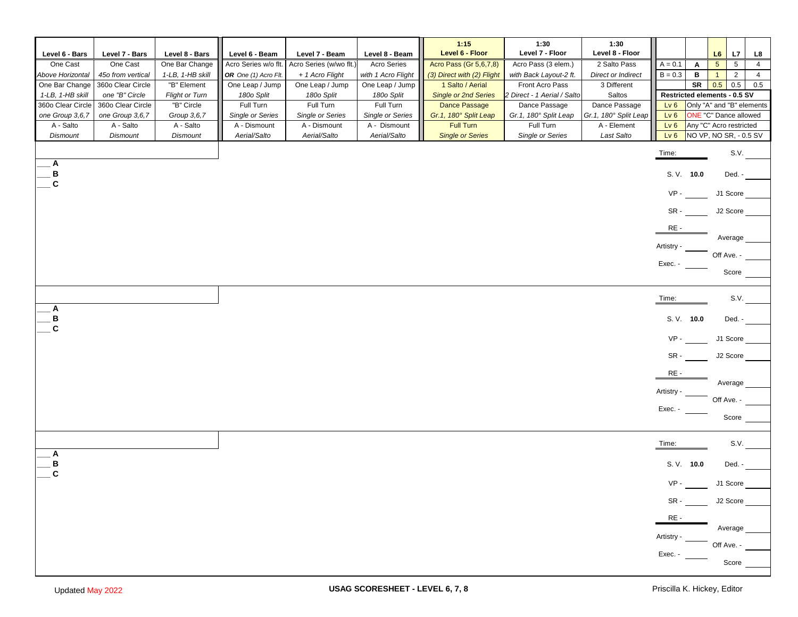|                   |                   |                       |                         |                         |                         | 1:15                        | 1:30                        | 1:30                      |                              |                           |                              |                                  |
|-------------------|-------------------|-----------------------|-------------------------|-------------------------|-------------------------|-----------------------------|-----------------------------|---------------------------|------------------------------|---------------------------|------------------------------|----------------------------------|
| Level 6 - Bars    | Level 7 - Bars    | Level 8 - Bars        | Level 6 - Beam          | Level 7 - Beam          | Level 8 - Beam          | Level 6 - Floor             | Level 7 - Floor             | Level 8 - Floor           |                              |                           | L6<br>L7                     | L8                               |
| One Cast          | One Cast          | One Bar Change        | Acro Series w/o flt.    | Acro Series (w/wo flt.) | <b>Acro Series</b>      | Acro Pass (Gr 5,6,7,8)      | Acro Pass (3 elem.)         | 2 Salto Pass              | $A = 0.1$                    | Α                         | 5 <sup>5</sup><br>5          | $\overline{4}$                   |
| Above Horizontal  | 45o from vertical | 1-LB, 1-HB skill      | OR One (1) Acro Flt.    | + 1 Acro Flight         | with 1 Acro Flight      | (3) Direct with (2) Flight  | with Back Layout-2 ft.      | <b>Direct or Indirect</b> | $B = 0.3$                    | в                         | $\overline{1}$               | $\overline{2}$<br>$\overline{4}$ |
| One Bar Change    | 360o Clear Circle | "B" Element           | One Leap / Jump         | One Leap / Jump         | One Leap / Jump         | 1 Salto / Aerial            | Front Acro Pass             | 3 Different               |                              | SR                        | 0.5<br>0.5                   | 0.5                              |
| 1-LB, 1-HB skill  | one "B" Circle    | <b>Flight or Turn</b> | 180o Split              | 180o Split              | 180o Split              | <b>Single or 2nd Series</b> | 2 Direct - 1 Aerial / Salto | Saltos                    | Restricted elements - 0.5 SV |                           |                              |                                  |
| 360o Clear Circle | 360o Clear Circle | "B" Circle            | Full Turn               | Full Turn               | Full Turn               | Dance Passage               | Dance Passage               | Dance Passage             | Lv <sub>6</sub>              | Only "A" and "B" elements |                              |                                  |
| one Group 3,6,7   | one Group 3,6,7   | Group 3,6,7           | <b>Single or Series</b> | <b>Single or Series</b> | <b>Single or Series</b> | Gr.1, 180° Split Leap       | Gr.1, 180° Split Leap       | Gr.1, 180° Split Leap     | Lv6                          |                           | <b>ONE</b> "C" Dance allowed |                                  |
| A - Salto         | A - Salto         | A - Salto             | A - Dismount            | A - Dismount            | A - Dismount            | <b>Full Turn</b>            | Full Turn                   | A - Element               | Lv6                          |                           | Any "C" Acro restricted      |                                  |
| Dismount          | Dismount          | Dismount              | Aerial/Salto            | Aerial/Salto            | Aerial/Salto            | <b>Single or Series</b>     | Single or Series            | Last Salto                | Lv6                          |                           | NO VP, NO SR, - 0.5 SV       |                                  |
|                   |                   |                       |                         |                         |                         |                             |                             |                           | Time:                        |                           |                              | S.V.                             |
| Α                 |                   |                       |                         |                         |                         |                             |                             |                           |                              |                           |                              |                                  |
| В<br>$\mathbf{C}$ |                   |                       |                         |                         |                         |                             |                             |                           | S. V. 10.0                   |                           | Ded. -                       |                                  |
|                   |                   |                       |                         |                         |                         |                             |                             |                           | $VP -$                       |                           | J1 Score                     |                                  |
|                   |                   |                       |                         |                         |                         |                             |                             |                           | SR-                          |                           | J2 Score                     |                                  |
|                   |                   |                       |                         |                         |                         |                             |                             |                           | RE-                          |                           | Average                      |                                  |
|                   |                   |                       |                         |                         |                         |                             |                             |                           | Artistry -                   |                           |                              |                                  |
|                   |                   |                       |                         |                         |                         |                             |                             |                           | Exec. -                      |                           | Off Ave. -                   |                                  |
|                   |                   |                       |                         |                         |                         |                             |                             |                           |                              |                           | Score                        |                                  |
|                   |                   |                       |                         |                         |                         |                             |                             |                           |                              |                           |                              |                                  |
|                   |                   |                       |                         |                         |                         |                             |                             |                           | Time:                        |                           |                              | S.V.                             |
| Α<br>B            |                   |                       |                         |                         |                         |                             |                             |                           | S. V. 10.0                   |                           | Ded. -                       |                                  |
| C                 |                   |                       |                         |                         |                         |                             |                             |                           | $VP -$                       |                           | J1 Score                     |                                  |
|                   |                   |                       |                         |                         |                         |                             |                             |                           | SR-                          |                           | J2 Score                     |                                  |
|                   |                   |                       |                         |                         |                         |                             |                             |                           | RE-                          |                           |                              |                                  |
|                   |                   |                       |                         |                         |                         |                             |                             |                           |                              |                           | Average                      |                                  |
|                   |                   |                       |                         |                         |                         |                             |                             |                           | Artistry -                   |                           | Off Ave. -                   |                                  |
|                   |                   |                       |                         |                         |                         |                             |                             |                           | Exec. -                      |                           |                              |                                  |
|                   |                   |                       |                         |                         |                         |                             |                             |                           |                              |                           | Score                        |                                  |
|                   |                   |                       |                         |                         |                         |                             |                             |                           |                              |                           |                              |                                  |
|                   |                   |                       |                         |                         |                         |                             |                             |                           | Time:                        |                           |                              | S.V.                             |
| Α<br>B            |                   |                       |                         |                         |                         |                             |                             |                           | S. V. 10.0                   |                           | Ded. -                       |                                  |
| C                 |                   |                       |                         |                         |                         |                             |                             |                           | $VP -$                       |                           | J1 Score                     |                                  |
|                   |                   |                       |                         |                         |                         |                             |                             |                           | SR -                         |                           | J2 Score                     |                                  |
|                   |                   |                       |                         |                         |                         |                             |                             |                           | RE-                          |                           |                              |                                  |
|                   |                   |                       |                         |                         |                         |                             |                             |                           |                              |                           | Average                      |                                  |
|                   |                   |                       |                         |                         |                         |                             |                             |                           | Artistry -                   |                           |                              |                                  |
|                   |                   |                       |                         |                         |                         |                             |                             |                           | Exec. -                      |                           | Off Ave. -                   |                                  |
|                   |                   |                       |                         |                         |                         |                             |                             |                           |                              |                           | Score                        |                                  |
|                   |                   |                       |                         |                         |                         |                             |                             |                           |                              |                           |                              |                                  |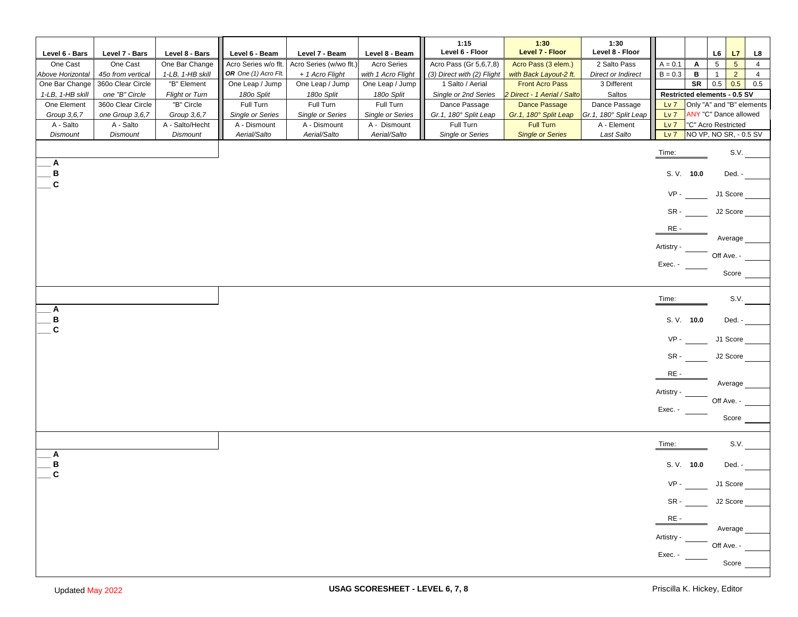|                              |                               |                                    |                                              |                                            |                                          | 1:15<br>Level 6 - Floor                              | 1:30<br>Level 7 - Floor                       | 1:30<br>Level 8 - Floor |                        |            |                                                                      |                                  |
|------------------------------|-------------------------------|------------------------------------|----------------------------------------------|--------------------------------------------|------------------------------------------|------------------------------------------------------|-----------------------------------------------|-------------------------|------------------------|------------|----------------------------------------------------------------------|----------------------------------|
| Level 6 - Bars               | Level 7 - Bars                | Level 8 - Bars                     | Level 6 - Beam                               | Level 7 - Beam                             | Level 8 - Beam                           |                                                      |                                               | 2 Salto Pass            |                        |            | L6<br>L7                                                             | L8                               |
| One Cast<br>Above Horizontal | One Cast<br>45o from vertical | One Bar Change<br>1-LB, 1-HB skill | Acro Series w/o flt.<br>OR One (1) Acro Flt. | Acro Series (w/wo flt.)<br>+ 1 Acro Flight | <b>Acro Series</b><br>with 1 Acro Flight | Acro Pass (Gr 5,6,7,8)<br>(3) Direct with (2) Flight | Acro Pass (3 elem.)<br>with Back Layout-2 ft. | Direct or Indirect      | $A = 0.1$<br>$B = 0.3$ | A<br>в     | $5\overline{)}$<br>$5\overline{)}$<br>$\overline{2}$<br>$\mathbf{1}$ | $\overline{4}$<br>$\overline{4}$ |
| One Bar Change               | 360o Clear Circle             | "B" Element                        | One Leap / Jump                              | One Leap / Jump                            | One Leap / Jump                          | 1 Salto / Aerial                                     | <b>Front Acro Pass</b>                        | 3 Different             |                        | SR         | 0.5<br>0.5                                                           | 0.5                              |
| 1-LB, 1-HB skill             | one "B" Circle                | <b>Flight or Turn</b>              | 180o Split                                   | 180o Split                                 | 180o Split                               | Single or 2nd Series                                 | 2 Direct - 1 Aerial / Salto                   | Saltos                  |                        |            | Restricted elements - 0.5 SV                                         |                                  |
| One Element                  | 360o Clear Circle             | "B" Circle                         | Full Turn                                    | Full Turn                                  | Full Turn                                | Dance Passage                                        | Dance Passage                                 | Dance Passage           | $Lv$ $7$               |            | Only "A" and "B" elements                                            |                                  |
| Group 3,6,7                  | one Group 3,6,7               | Group 3,6,7                        | <b>Single or Series</b>                      | <b>Single or Series</b>                    | <b>Single or Series</b>                  | Gr.1, 180° Split Leap                                | Gr.1, 180° Split Leap                         | Gr.1, 180° Split Leap   | $Lv$ $7$               |            | ANY "C" Dance allowed                                                |                                  |
| A - Salto                    | A - Salto                     | A - Salto/Hecht                    | A - Dismount                                 | A - Dismount                               | A - Dismount                             | Full Turn                                            | Full Turn                                     | A - Element             | $Lv$ $7$               |            | "C" Acro Restricted                                                  |                                  |
| Dismount                     | Dismount                      | <b>Dismount</b>                    | Aerial/Salto                                 | Aerial/Salto                               | Aerial/Salto                             | Single or Series                                     | <b>Single or Series</b>                       | Last Salto              | $Lv$ $7$               |            | NO VP, NO SR, - 0.5 SV                                               |                                  |
|                              |                               |                                    |                                              |                                            |                                          |                                                      |                                               |                         | Time:                  |            | S.V.                                                                 |                                  |
| Α                            |                               |                                    |                                              |                                            |                                          |                                                      |                                               |                         |                        |            |                                                                      |                                  |
| в<br>C                       |                               |                                    |                                              |                                            |                                          |                                                      |                                               |                         |                        | S. V. 10.0 | Ded. -                                                               |                                  |
|                              |                               |                                    |                                              |                                            |                                          |                                                      |                                               |                         | $VP -$                 |            | J1 Score                                                             |                                  |
|                              |                               |                                    |                                              |                                            |                                          |                                                      |                                               |                         | SR-                    |            | J2 Score                                                             |                                  |
|                              |                               |                                    |                                              |                                            |                                          |                                                      |                                               |                         | RE-                    |            | Average                                                              |                                  |
|                              |                               |                                    |                                              |                                            |                                          |                                                      |                                               |                         | <b>Artistry</b>        |            | Off Ave. -                                                           |                                  |
|                              |                               |                                    |                                              |                                            |                                          |                                                      |                                               |                         | Exec. -                |            |                                                                      |                                  |
|                              |                               |                                    |                                              |                                            |                                          |                                                      |                                               |                         |                        |            | Score                                                                |                                  |
|                              |                               |                                    |                                              |                                            |                                          |                                                      |                                               |                         |                        |            |                                                                      |                                  |
| Α                            |                               |                                    |                                              |                                            |                                          |                                                      |                                               |                         | Time:                  |            | S.V.                                                                 |                                  |
| B<br>$\mathbf{C}$            |                               |                                    |                                              |                                            |                                          |                                                      |                                               |                         |                        | S. V. 10.0 | Ded. -                                                               |                                  |
|                              |                               |                                    |                                              |                                            |                                          |                                                      |                                               |                         | VP-                    |            | J1 Score                                                             |                                  |
|                              |                               |                                    |                                              |                                            |                                          |                                                      |                                               |                         | SR-                    |            | J2 Score                                                             |                                  |
|                              |                               |                                    |                                              |                                            |                                          |                                                      |                                               |                         | RE-                    |            | Average                                                              |                                  |
|                              |                               |                                    |                                              |                                            |                                          |                                                      |                                               |                         | <b>Artistry</b>        |            |                                                                      |                                  |
|                              |                               |                                    |                                              |                                            |                                          |                                                      |                                               |                         | Exec. -                |            | Off Ave. -                                                           |                                  |
|                              |                               |                                    |                                              |                                            |                                          |                                                      |                                               |                         |                        |            | Score                                                                |                                  |
|                              |                               |                                    |                                              |                                            |                                          |                                                      |                                               |                         | Time:                  |            | S.V.                                                                 |                                  |
| Α                            |                               |                                    |                                              |                                            |                                          |                                                      |                                               |                         |                        |            |                                                                      |                                  |
| B<br>C                       |                               |                                    |                                              |                                            |                                          |                                                      |                                               |                         |                        | S. V. 10.0 | Ded. -                                                               |                                  |
|                              |                               |                                    |                                              |                                            |                                          |                                                      |                                               |                         | $VP -$                 |            | J1 Score                                                             |                                  |
|                              |                               |                                    |                                              |                                            |                                          |                                                      |                                               |                         |                        | $SR -$     | J2 Score                                                             |                                  |
|                              |                               |                                    |                                              |                                            |                                          |                                                      |                                               |                         | $RE -$                 |            | Average                                                              |                                  |
|                              |                               |                                    |                                              |                                            |                                          |                                                      |                                               |                         | Artistry -             |            |                                                                      |                                  |
|                              |                               |                                    |                                              |                                            |                                          |                                                      |                                               |                         | Exec. -                |            | Off Ave. -                                                           |                                  |
|                              |                               |                                    |                                              |                                            |                                          |                                                      |                                               |                         |                        |            | Score _                                                              |                                  |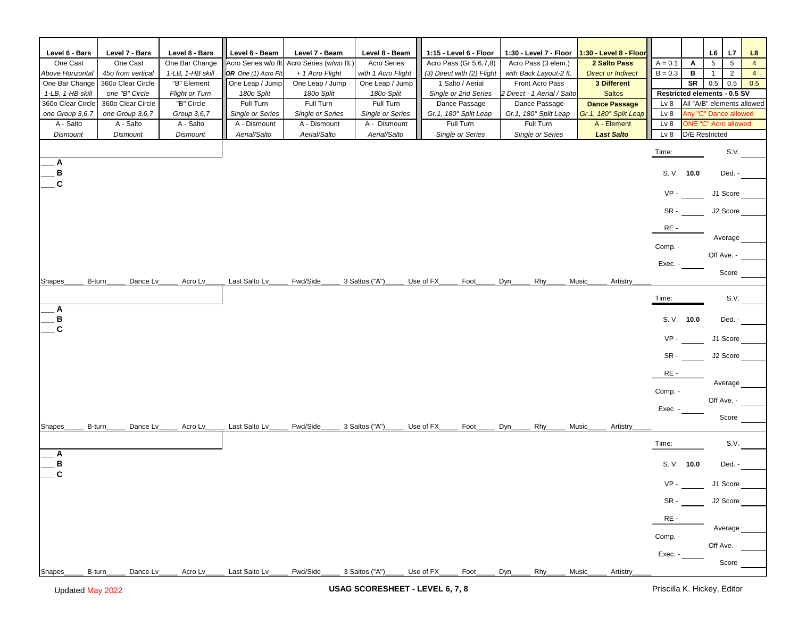| Level 6 - Bars               | Level 7 - Bars               | Level 8 - Bars           | Level 6 - Beam                          | Level 7 - Beam                   | Level 8 - Beam                          | 1:15 - Level 6 - Floor             | 1:30 - Level 7 - Floor             | 1:30 - Level 8 - Floor               |                                    |    | L7<br>L6                                      | L8             |
|------------------------------|------------------------------|--------------------------|-----------------------------------------|----------------------------------|-----------------------------------------|------------------------------------|------------------------------------|--------------------------------------|------------------------------------|----|-----------------------------------------------|----------------|
| One Cast                     | One Cast                     | One Bar Change           | Acro Series w/o flt.                    | Acro Series (w/wo flt.)          | <b>Acro Series</b>                      | Acro Pass (Gr 5,6,7,8)             | Acro Pass (3 elem.)                | 2 Salto Pass                         | $A = 0.1$                          | Α  | $5\overline{5}$<br>$5\phantom{.0}$            | $\overline{4}$ |
| Above Horizontal             | 45o from vertical            | 1-LB, 1-HB skill         | OR One (1) Acro Fli                     | + 1 Acro Flight                  | with 1 Acro Flight                      | (3) Direct with (2) Flight         | with Back Layout-2 ft.             | <b>Direct or Indirect</b>            | $B = 0.3$                          | в  | $\overline{2}$<br>$\mathbf{1}$                | $\overline{4}$ |
| One Bar Change               | 360o Clear Circle            | "B" Element              | One Leap / Jump                         | One Leap / Jump                  | One Leap / Jump                         | 1 Salto / Aerial                   | Front Acro Pass                    | 3 Different                          |                                    | SR | 0.5<br>0.5                                    | 0.5            |
| 1-LB, 1-HB skill             | one "B" Circle               | <b>Flight or Turn</b>    | 180o Split                              | 180o Split                       | 180o Split                              | Single or 2nd Series               | 2 Direct - 1 Aerial / Salto        | <b>Saltos</b>                        |                                    |    | Restricted elements - 0.5 SV                  |                |
| 360o Clear Circle            | 360o Clear Circle            | "B" Circle               | Full Turn                               | Full Turn                        | Full Turn                               | Dance Passage                      | Dance Passage                      | <b>Dance Passage</b>                 | Lv <sub>8</sub>                    |    | All "A/B" elements allowed                    |                |
| one Group 3,6,7<br>A - Salto | one Group 3,6,7<br>A - Salto | Group 3,6,7<br>A - Salto | <b>Single or Series</b><br>A - Dismount | Single or Series<br>A - Dismount | <b>Single or Series</b><br>A - Dismount | Gr.1, 180° Split Leap<br>Full Turn | Gr.1, 180° Split Leap<br>Full Turn | Gr.1, 180° Split Leap<br>A - Element | Lv <sub>8</sub><br>Lv <sub>8</sub> |    | Any "C" Dance allowed<br>ONE "C" Acro allowed |                |
| <b>Dismount</b>              | <b>Dismount</b>              | <b>Dismount</b>          | Aerial/Salto                            | Aerial/Salto                     | Aerial/Salto                            | Single or Series                   | Lv 8                               |                                      | <b>D/E</b> Restricted              |    |                                               |                |
|                              |                              |                          |                                         |                                  |                                         |                                    | Single or Series                   | <b>Last Salto</b>                    |                                    |    |                                               |                |
|                              |                              |                          |                                         |                                  |                                         |                                    |                                    |                                      | Time:                              |    | S.V.                                          |                |
| Α                            |                              |                          |                                         |                                  |                                         |                                    |                                    |                                      |                                    |    |                                               |                |
| в                            |                              |                          |                                         |                                  |                                         |                                    |                                    |                                      | S. V. 10.0                         |    | Ded. -                                        |                |
| C                            |                              |                          |                                         |                                  |                                         |                                    |                                    |                                      | $VP -$                             |    |                                               |                |
|                              |                              |                          |                                         |                                  |                                         |                                    |                                    |                                      |                                    |    | J1 Score                                      |                |
|                              |                              |                          |                                         |                                  |                                         |                                    |                                    |                                      | SR-                                |    | J2 Score                                      |                |
|                              |                              |                          |                                         |                                  |                                         |                                    |                                    |                                      | RE-                                |    |                                               |                |
|                              |                              |                          |                                         |                                  |                                         |                                    |                                    |                                      |                                    |    | Average                                       |                |
|                              |                              |                          |                                         |                                  |                                         |                                    |                                    |                                      | Comp. -                            |    |                                               |                |
|                              |                              |                          |                                         |                                  |                                         |                                    |                                    |                                      |                                    |    | Off Ave. -                                    |                |
|                              |                              |                          |                                         |                                  |                                         |                                    |                                    |                                      | Exec. -                            |    | Score                                         |                |
| B-turn<br>Shapes             | Dance Lv                     | Acro Lv                  | Last Salto Lv                           | Fwd/Side                         | 3 Saltos ("A")                          | Use of FX<br>Foot                  | Dyn<br>Rhy                         | Music<br><b>Artistry</b>             |                                    |    |                                               |                |
|                              |                              |                          |                                         |                                  |                                         |                                    |                                    |                                      |                                    |    |                                               |                |
|                              |                              |                          |                                         |                                  |                                         |                                    |                                    |                                      | Time:                              |    | S.V.                                          |                |
| Α<br>в                       |                              |                          |                                         |                                  |                                         |                                    |                                    |                                      | S. V. 10.0                         |    | Ded. -                                        |                |
| C                            |                              |                          |                                         |                                  |                                         |                                    |                                    |                                      |                                    |    |                                               |                |
|                              |                              |                          |                                         |                                  |                                         |                                    |                                    |                                      | $VP -$                             |    | J1 Score                                      |                |
|                              |                              |                          |                                         |                                  |                                         |                                    |                                    |                                      |                                    |    |                                               |                |
|                              |                              |                          |                                         |                                  |                                         |                                    |                                    |                                      | SR-                                |    | J2 Score                                      |                |
|                              |                              |                          |                                         |                                  |                                         |                                    |                                    |                                      | RE-                                |    |                                               |                |
|                              |                              |                          |                                         |                                  |                                         |                                    |                                    |                                      |                                    |    | Average                                       |                |
|                              |                              |                          |                                         |                                  |                                         |                                    |                                    |                                      | Comp. -                            |    | Off Ave. -                                    |                |
|                              |                              |                          |                                         |                                  |                                         |                                    |                                    |                                      | Exec. -                            |    |                                               |                |
|                              |                              |                          |                                         |                                  |                                         |                                    |                                    |                                      |                                    |    | Score                                         |                |
| B-turn<br>Shapes             | Dance Lv                     | Acro Lv                  | Last Salto Lv                           | Fwd/Side                         | 3 Saltos ("A")                          | Use of FX<br>Foot                  | Dyn<br>Rhy                         | <b>Artistry</b><br>Music             |                                    |    |                                               |                |
|                              |                              |                          |                                         |                                  |                                         |                                    |                                    |                                      | Time:                              |    | S.V.                                          |                |
| Α                            |                              |                          |                                         |                                  |                                         |                                    |                                    |                                      |                                    |    |                                               |                |
| В                            |                              |                          |                                         |                                  |                                         |                                    |                                    |                                      | S. V. 10.0                         |    | Ded. -                                        |                |
| C                            |                              |                          |                                         |                                  |                                         |                                    |                                    |                                      |                                    |    |                                               |                |
|                              |                              |                          |                                         |                                  |                                         |                                    |                                    |                                      | $VP -$                             |    | J1 Score                                      |                |
|                              |                              |                          |                                         |                                  |                                         |                                    |                                    |                                      | SR -                               |    | J2 Score                                      |                |
|                              |                              |                          |                                         |                                  |                                         |                                    |                                    |                                      |                                    |    |                                               |                |
|                              |                              |                          |                                         |                                  |                                         |                                    |                                    |                                      | RE-                                |    |                                               |                |
|                              |                              |                          |                                         |                                  |                                         |                                    |                                    |                                      | Comp. -                            |    | Average                                       |                |
|                              |                              |                          |                                         |                                  |                                         |                                    |                                    |                                      |                                    |    | Off Ave. -                                    |                |
|                              |                              |                          |                                         |                                  |                                         |                                    |                                    |                                      | Exec. -                            |    |                                               |                |
|                              |                              |                          |                                         |                                  |                                         |                                    |                                    |                                      |                                    |    | Score                                         |                |
| Shapes<br>B-turn_            | Dance Lv.                    | Acro Lv                  | Last Salto Lv                           | Fwd/Side                         | 3 Saltos ("A")                          | Use of FX_<br>Foot_                | $Dyn_$<br>$R$ hy                   | Music<br>Artistry                    |                                    |    |                                               |                |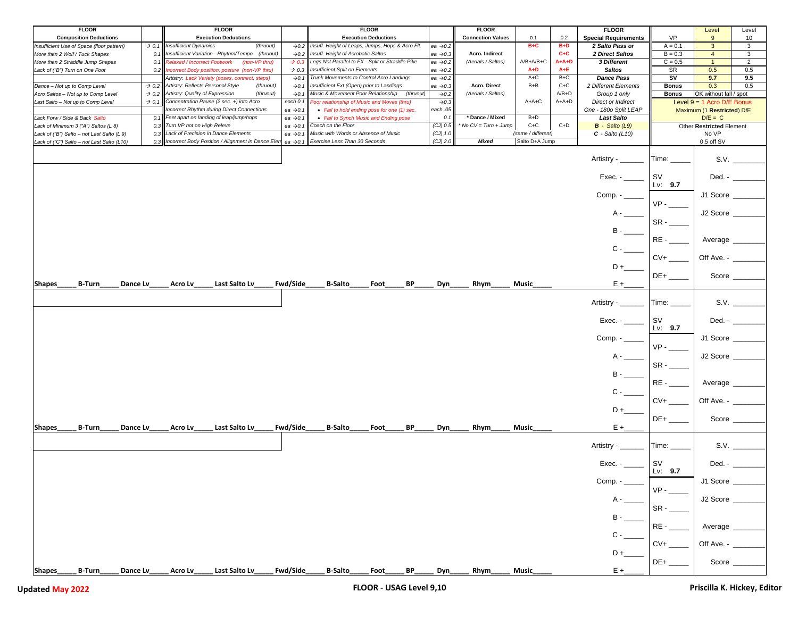| <b>FLOOR</b>                               |                   | <b>FLOOR</b>                                         |                      | <b>FLOOR</b>                                     |                      | <b>FLOOR</b>             |                    |         | <b>FLOOR</b>                |              | Level                               | Level                |
|--------------------------------------------|-------------------|------------------------------------------------------|----------------------|--------------------------------------------------|----------------------|--------------------------|--------------------|---------|-----------------------------|--------------|-------------------------------------|----------------------|
| <b>Composition Deductions</b>              |                   | <b>Execution Deductions</b>                          |                      | <b>Execution Deductions</b>                      |                      | <b>Connection Values</b> | 0.1                | 0.2     | <b>Special Requirements</b> | <b>VP</b>    | 9                                   | 10                   |
| Insufficient Use of Space (floor pattern)  | $\rightarrow$ 0.1 | <b>Insufficient Dynamics</b><br>(thruout)            | $\rightarrow 0.2$    | nsuff. Height of Leaps, Jumps, Hops & Acro Flt.  | ea $\rightarrow$ 0.2 |                          | B+C                | $B+D$   | 2 Salto Pass or             | $A = 0.1$    | $\mathbf{3}$                        | 3                    |
|                                            |                   |                                                      |                      |                                                  |                      |                          |                    |         |                             |              |                                     |                      |
| More than 2 Wolf / Tuck Shapes             | 0.1               | Insufficient Variation - Rhythm/Tempo (thruout)      | $\rightarrow 0.2$    | Insuff. Height of Acrobatic Saltos               | ea →0.3              | Acro. Indirect           |                    | $C + C$ | 2 Direct Saltos             | $B = 0.3$    | 4                                   | 3                    |
| More than 2 Straddle Jump Shapes           | 0.1               | <b>Relaxed / Incorrect Footwork</b><br>(non-VP thru) | $\rightarrow$ 0.3    | Legs Not Parallel to FX - Split or Straddle Pike | ea $\rightarrow$ 0.2 | (Aerials / Saltos)       | A/B+A/B+C          | $A+A+D$ | 3 Different                 | $C = 0.5$    | 1                                   | $\overline{2}$       |
| Lack of ("B") Turn on One Foot             | 0.2               | Incorrect Body position, posture (non-VP thru)       | $\rightarrow$ 0.3    | Insufficient Split on Elements                   | ea $\rightarrow$ 0.2 |                          | $A+D$              | $A + E$ | <b>Saltos</b>               | <b>SR</b>    | 0.5                                 | 0.5                  |
|                                            |                   | Artistry: Lack Variety (poses, connect, steps)       | $\rightarrow 0.1$    | Trunk Movements to Control Acro Landings         | ea $\rightarrow$ 0.2 |                          | A+C                | B+C     | <b>Dance Pass</b>           | sv           | 9.7                                 | 9.5                  |
| Dance - Not up to Comp Level               | $\rightarrow$ 0.2 | Artistry: Reflects Personal Style<br>(thruout)       | $\rightarrow 0.1$    | Insufficient Ext (Open) prior to Landings        | ea $\rightarrow 0.3$ | Acro. Direct             | $B + B$            | $C+C$   | 2 Different Elements        | <b>Bonus</b> | 0.3                                 | 0.5                  |
| Acro Saltos - Not up to Comp Level         | $\rightarrow$ 0.2 | Artistry: Quality of Expression<br>(thruout)         | $\rightarrow$ 0.1    | Music & Movement Poor Relationship (thruout)     | $\rightarrow 0.2$    | (Aerials / Saltos)       |                    | $A/B+D$ | Group 1 only                | <b>Bonus</b> | OK without fall / spot              |                      |
| Last Salto - Not up to Comp Level          | $\rightarrow$ 0.1 | Concentration Pause (2 sec. +) into Acro             | each 0.1             | Poor relationship of Music and Moves (thru)      | $\rightarrow 0.3$    |                          | A+A+C              | A+A+D   | <b>Direct or Indirect</b>   |              |                                     |                      |
|                                            |                   |                                                      |                      |                                                  |                      |                          |                    |         |                             |              | Level $9 = 1$ Acro D/E Bonus        |                      |
|                                            |                   | <b>Incorrect Rhythm during Direct Connections</b>    | ea $\rightarrow$ 0.1 | • Fail to hold ending pose for one (1) sec.      | each.05              |                          |                    |         | One - 1800 Split LEAP       |              | Maximum (1 Restricted) D/E          |                      |
| Lack Forw / Side & Back Salto              | 0.1               | Feet apart on landing of leap/jump/hops              | ea $\rightarrow$ 0.1 | • Fail to Synch Music and Ending pose            | 0.1                  | * Dance / Mixed          | $B+D$              |         | <b>Last Salto</b>           |              | $D/E = C$                           |                      |
| Lack of Minimum 3 ("A") Saltos (L 8)       | 0.3               | Turn VP not on High Releve                           | ea $\rightarrow$ 0.1 | Coach on the Floor                               | $(CJ)$ 0.5           | No CV = Turn + Jump      | $C+C$              | $C+D$   | $B -$ Salto (L9)            |              | Other Restricted Element            |                      |
| Lack of ("B") Salto - not Last Salto (L 9) | 0.3               | Lack of Precision in Dance Elements                  | ea $\rightarrow$ 0.1 | Music with Words or Absence of Music             | $(CJ)$ 1.0           |                          | (same / different) |         | $C - Salto (L10)$           |              | No VP                               |                      |
| Lack of ("C") Salto - not Last Salto (L10) | 0.3               | Incorrect Body Position / Alignment in Dance Elem    | ea $\rightarrow$ 0.1 | Exercise Less Than 30 Seconds                    | $(CJ)$ 2.0           | Mixed                    | Salto D+A Jump     |         |                             |              | 0.5 off SV                          |                      |
|                                            |                   |                                                      |                      |                                                  |                      |                          |                    |         |                             |              |                                     |                      |
|                                            |                   |                                                      |                      |                                                  |                      |                          |                    |         |                             |              |                                     |                      |
|                                            |                   |                                                      |                      |                                                  |                      |                          |                    |         | Artistry -                  | Time:        |                                     | S.V.                 |
|                                            |                   |                                                      |                      |                                                  |                      |                          |                    |         |                             |              |                                     |                      |
|                                            |                   |                                                      |                      |                                                  |                      |                          |                    |         | Exec. - $\_\_$              | sv           |                                     | Ded. - _______       |
|                                            |                   |                                                      |                      |                                                  |                      |                          |                    |         |                             | Lv: $9.7$    |                                     |                      |
|                                            |                   |                                                      |                      |                                                  |                      |                          |                    |         |                             |              |                                     |                      |
|                                            |                   |                                                      |                      |                                                  |                      |                          |                    |         | $Comp. -$                   |              | J1 Score $\_\_$                     |                      |
|                                            |                   |                                                      |                      |                                                  |                      |                          |                    |         |                             | $VP -$       |                                     |                      |
|                                            |                   |                                                      |                      |                                                  |                      |                          |                    |         |                             |              | J2 Score                            |                      |
|                                            |                   |                                                      |                      |                                                  |                      |                          |                    |         |                             |              |                                     |                      |
|                                            |                   |                                                      |                      |                                                  |                      |                          |                    |         |                             | $SR -$       |                                     |                      |
|                                            |                   |                                                      |                      |                                                  |                      |                          |                    |         |                             |              |                                     |                      |
|                                            |                   |                                                      |                      |                                                  |                      |                          |                    |         |                             | $RE -$       | Average                             |                      |
|                                            |                   |                                                      |                      |                                                  |                      |                          |                    |         | $C -$                       |              |                                     |                      |
|                                            |                   |                                                      |                      |                                                  |                      |                          |                    |         |                             |              |                                     |                      |
|                                            |                   |                                                      |                      |                                                  |                      |                          |                    |         |                             | $CV+$        | Off Ave. - ____                     |                      |
|                                            |                   |                                                      |                      |                                                  |                      |                          |                    |         |                             |              |                                     |                      |
|                                            |                   |                                                      |                      |                                                  |                      |                          |                    |         |                             | $DE+$        | Score                               |                      |
| <b>B-Turn</b><br>Shapes<br>Dance Lv        |                   | Last Salto Lv<br>Acro Lv                             | Fwd/Side             | <b>B-Salto</b><br>ВP<br>Foot                     | Dyn                  | <b>Rhym</b>              | Music              |         | $E +$                       |              |                                     |                      |
|                                            |                   |                                                      |                      |                                                  |                      |                          |                    |         |                             |              |                                     |                      |
|                                            |                   |                                                      |                      |                                                  |                      |                          |                    |         |                             |              |                                     |                      |
|                                            |                   |                                                      |                      |                                                  |                      |                          |                    |         | Artistry - _                | Time: _      |                                     | S.V.                 |
|                                            |                   |                                                      |                      |                                                  |                      |                          |                    |         |                             |              |                                     |                      |
|                                            |                   |                                                      |                      |                                                  |                      |                          |                    |         |                             |              |                                     |                      |
|                                            |                   |                                                      |                      |                                                  |                      |                          |                    |         | Exec. -                     | <b>SV</b>    | Ded. - $\_\_\_\_\_\_\_\_\_\_\$      |                      |
|                                            |                   |                                                      |                      |                                                  |                      |                          |                    |         |                             | Lv: $9.7$    |                                     |                      |
|                                            |                   |                                                      |                      |                                                  |                      |                          |                    |         | Comp. $-$                   |              | J1 Score                            |                      |
|                                            |                   |                                                      |                      |                                                  |                      |                          |                    |         |                             | $VP -$       |                                     |                      |
|                                            |                   |                                                      |                      |                                                  |                      |                          |                    |         |                             |              |                                     |                      |
|                                            |                   |                                                      |                      |                                                  |                      |                          |                    |         | $A -$                       |              | J2 Score                            |                      |
|                                            |                   |                                                      |                      |                                                  |                      |                          |                    |         |                             | $SR -$       |                                     |                      |
|                                            |                   |                                                      |                      |                                                  |                      |                          |                    |         | $B -$                       |              |                                     |                      |
|                                            |                   |                                                      |                      |                                                  |                      |                          |                    |         |                             | RE -         |                                     |                      |
|                                            |                   |                                                      |                      |                                                  |                      |                          |                    |         |                             |              | Average _                           |                      |
|                                            |                   |                                                      |                      |                                                  |                      |                          |                    |         | $C -$                       |              |                                     |                      |
|                                            |                   |                                                      |                      |                                                  |                      |                          |                    |         |                             | $CV+$        | Off Ave. - ____                     |                      |
|                                            |                   |                                                      |                      |                                                  |                      |                          |                    |         | $D +$                       |              |                                     |                      |
|                                            |                   |                                                      |                      |                                                  |                      |                          |                    |         |                             |              |                                     | Score _____          |
|                                            |                   |                                                      |                      |                                                  |                      |                          |                    |         |                             |              |                                     |                      |
| <b>B-Turn</b><br>Shapes<br>Dance Lv        |                   | Last Salto Lv<br>Acro Lv                             | Fwd/Side             | <b>B-Salto</b><br>BP<br>Foot                     | Dyn                  | <b>Rhym</b>              | Music              |         | $E +$                       |              |                                     |                      |
|                                            |                   |                                                      |                      |                                                  |                      |                          |                    |         |                             |              |                                     |                      |
|                                            |                   |                                                      |                      |                                                  |                      |                          |                    |         | Artistry - ______           | Time: _____  |                                     | S.V.                 |
|                                            |                   |                                                      |                      |                                                  |                      |                          |                    |         |                             |              |                                     |                      |
|                                            |                   |                                                      |                      |                                                  |                      |                          |                    |         |                             |              |                                     |                      |
|                                            |                   |                                                      |                      |                                                  |                      |                          |                    |         | Exec. - $\_\_$              | <b>SV</b>    |                                     | Ded. - $\frac{1}{2}$ |
|                                            |                   |                                                      |                      |                                                  |                      |                          |                    |         |                             | Lv: 9.7      |                                     |                      |
|                                            |                   |                                                      |                      |                                                  |                      |                          |                    |         | Comp. -                     |              | J1 Score                            |                      |
|                                            |                   |                                                      |                      |                                                  |                      |                          |                    |         |                             |              |                                     |                      |
|                                            |                   |                                                      |                      |                                                  |                      |                          |                    |         |                             | $VP -$       |                                     |                      |
|                                            |                   |                                                      |                      |                                                  |                      |                          |                    |         |                             |              | J2 Score                            |                      |
|                                            |                   |                                                      |                      |                                                  |                      |                          |                    |         |                             | $SR -$       |                                     |                      |
|                                            |                   |                                                      |                      |                                                  |                      |                          |                    |         | $B -$                       |              |                                     |                      |
|                                            |                   |                                                      |                      |                                                  |                      |                          |                    |         |                             |              |                                     |                      |
|                                            |                   |                                                      |                      |                                                  |                      |                          |                    |         |                             | $RE -$       | Average                             |                      |
|                                            |                   |                                                      |                      |                                                  |                      |                          |                    |         |                             |              |                                     |                      |
|                                            |                   |                                                      |                      |                                                  |                      |                          |                    |         |                             | $CV+$        | Off Ave. - $\overline{\phantom{a}}$ |                      |
|                                            |                   |                                                      |                      |                                                  |                      |                          |                    |         |                             |              |                                     |                      |
|                                            |                   |                                                      |                      |                                                  |                      |                          |                    |         | $D +$                       |              |                                     |                      |
|                                            |                   |                                                      |                      |                                                  |                      |                          |                    |         |                             | $DE+$        | Score ___                           |                      |
| B-Turn<br>Shapes<br>Dance Lv               |                   | Last Salto Lv<br>Acro Lv                             | Fwd/Side             | <b>B-Salto</b><br>BP<br>Foot_                    | Dyn                  | Rhym_                    | Music              |         | $E + E$                     |              |                                     |                      |
|                                            |                   |                                                      |                      |                                                  |                      |                          |                    |         |                             |              |                                     |                      |